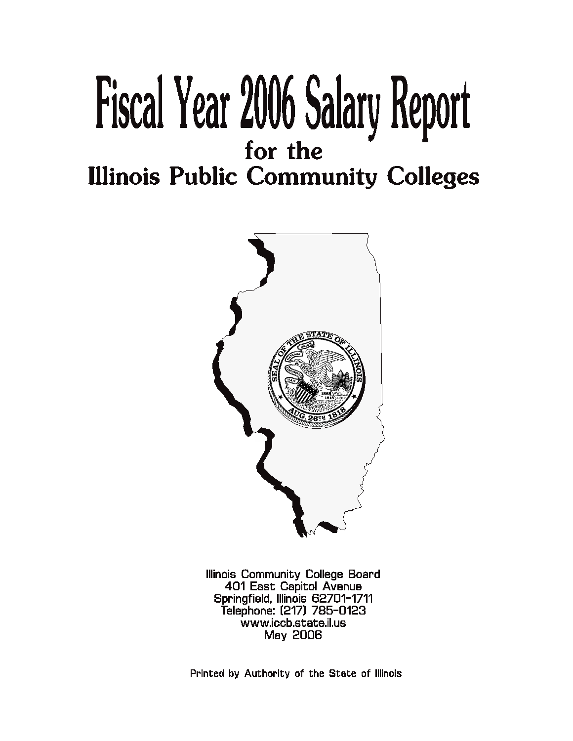# Fiscal Year 2006 Salary Report for the

**Illinois Public Community Colleges** 



Illinois Community College Board 401 East Capitol Avenue Springfield, Illinois 62701-1711 Telephone: (217) 785-0123 www.iccb.state.il.us **May 2006** 

Printed by Authority of the State of Illinois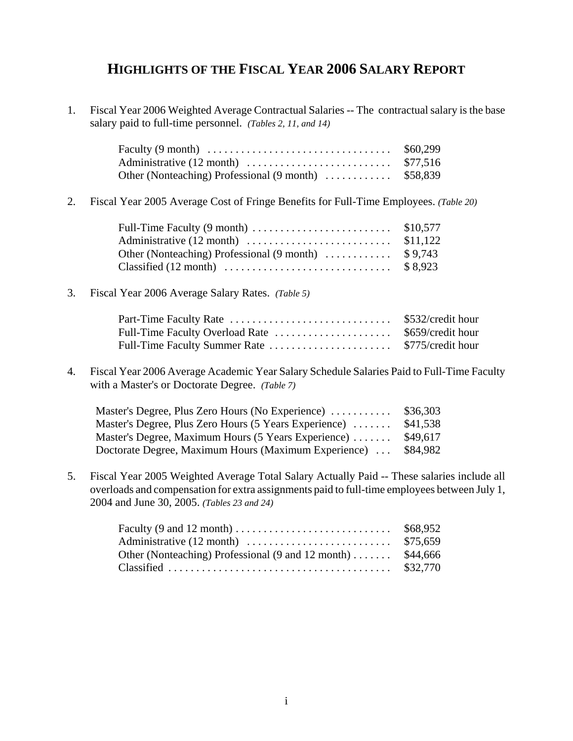# **HIGHLIGHTS OF THE FISCAL YEAR 2006 SALARY REPORT**

1. Fiscal Year 2006 Weighted Average Contractual Salaries -- The contractual salary is the base salary paid to full-time personnel. *(Tables 2, 11, and 14)*

|                                                      | \$60,299 |
|------------------------------------------------------|----------|
|                                                      |          |
| Other (Nonteaching) Professional (9 month)  \$58,839 |          |

2. Fiscal Year 2005 Average Cost of Fringe Benefits for Full-Time Employees. *(Table 20)*

| Full-Time Faculty $(9 \text{ month})$ \$10,577               |  |
|--------------------------------------------------------------|--|
|                                                              |  |
| Other (Nonteaching) Professional $(9 \text{ month})$ \$9,743 |  |
|                                                              |  |

## 3. Fiscal Year 2006 Average Salary Rates. *(Table 5)*

| \$532/credit hour |
|-------------------|
|                   |
| \$775/credit hour |

4. Fiscal Year 2006 Average Academic Year Salary Schedule Salaries Paid to Full-Time Faculty with a Master's or Doctorate Degree. *(Table 7)*

| Master's Degree, Plus Zero Hours (No Experience)      | \$36,303 |
|-------------------------------------------------------|----------|
| Master's Degree, Plus Zero Hours (5 Years Experience) | \$41,538 |
| Master's Degree, Maximum Hours (5 Years Experience)   | \$49.617 |
| Doctorate Degree, Maximum Hours (Maximum Experience)  | \$84,982 |

5. Fiscal Year 2005 Weighted Average Total Salary Actually Paid -- These salaries include all overloads and compensation for extra assignments paid to full-time employees between July 1, 2004 and June 30, 2005. *(Tables 23 and 24)*

| Faculty (9 and 12 month) $\dots \dots \dots \dots \dots \dots \dots \dots$ \$68,952 |  |
|-------------------------------------------------------------------------------------|--|
|                                                                                     |  |
| Other (Nonteaching) Professional $(9 \text{ and } 12 \text{ month}) \dots$ \$44,666 |  |
|                                                                                     |  |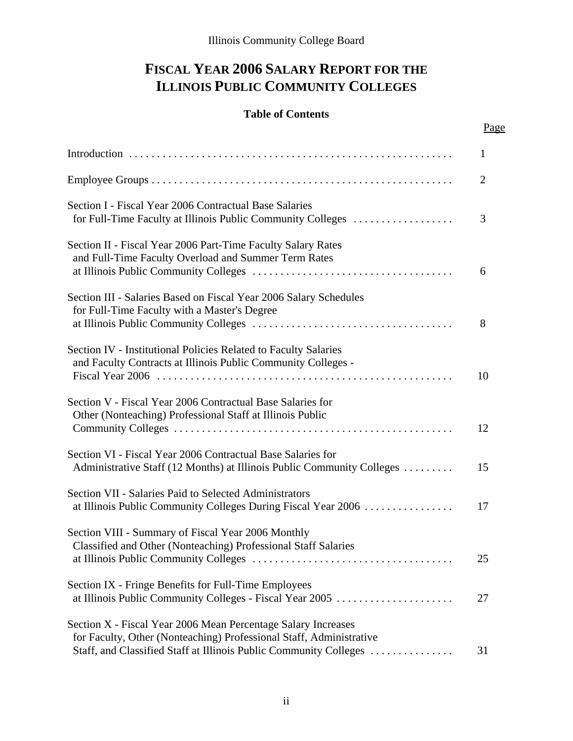# **FISCAL YEAR 2006 SALARY REPORT FOR THE ILLINOIS PUBLIC COMMUNITY COLLEGES**

# **Table of Contents**

# Page

|                                                                                                                                                                                                           | $\mathbf{1}$   |
|-----------------------------------------------------------------------------------------------------------------------------------------------------------------------------------------------------------|----------------|
|                                                                                                                                                                                                           | $\overline{2}$ |
| Section I - Fiscal Year 2006 Contractual Base Salaries<br>for Full-Time Faculty at Illinois Public Community Colleges                                                                                     | 3              |
| Section II - Fiscal Year 2006 Part-Time Faculty Salary Rates<br>and Full-Time Faculty Overload and Summer Term Rates                                                                                      | 6              |
| Section III - Salaries Based on Fiscal Year 2006 Salary Schedules<br>for Full-Time Faculty with a Master's Degree                                                                                         | 8              |
| Section IV - Institutional Policies Related to Faculty Salaries<br>and Faculty Contracts at Illinois Public Community Colleges -                                                                          | 10             |
| Section V - Fiscal Year 2006 Contractual Base Salaries for<br>Other (Nonteaching) Professional Staff at Illinois Public                                                                                   | 12             |
| Section VI - Fiscal Year 2006 Contractual Base Salaries for<br>Administrative Staff (12 Months) at Illinois Public Community Colleges                                                                     | 15             |
| Section VII - Salaries Paid to Selected Administrators<br>at Illinois Public Community Colleges During Fiscal Year 2006                                                                                   | 17             |
| Section VIII - Summary of Fiscal Year 2006 Monthly<br>Classified and Other (Nonteaching) Professional Staff Salaries                                                                                      | 25             |
| Section IX - Fringe Benefits for Full-Time Employees<br>at Illinois Public Community Colleges - Fiscal Year 2005                                                                                          | 27             |
| Section X - Fiscal Year 2006 Mean Percentage Salary Increases<br>for Faculty, Other (Nonteaching) Professional Staff, Administrative<br>Staff, and Classified Staff at Illinois Public Community Colleges | 31             |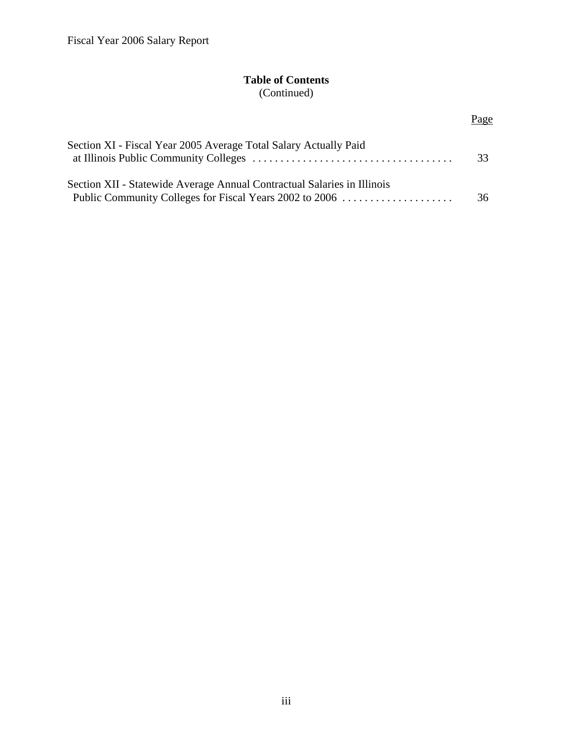# **Table of Contents** (Continued)

Page

| Section XI - Fiscal Year 2005 Average Total Salary Actually Paid                                                                   | 33 |
|------------------------------------------------------------------------------------------------------------------------------------|----|
| Section XII - Statewide Average Annual Contractual Salaries in Illinois<br>Public Community Colleges for Fiscal Years 2002 to 2006 | 36 |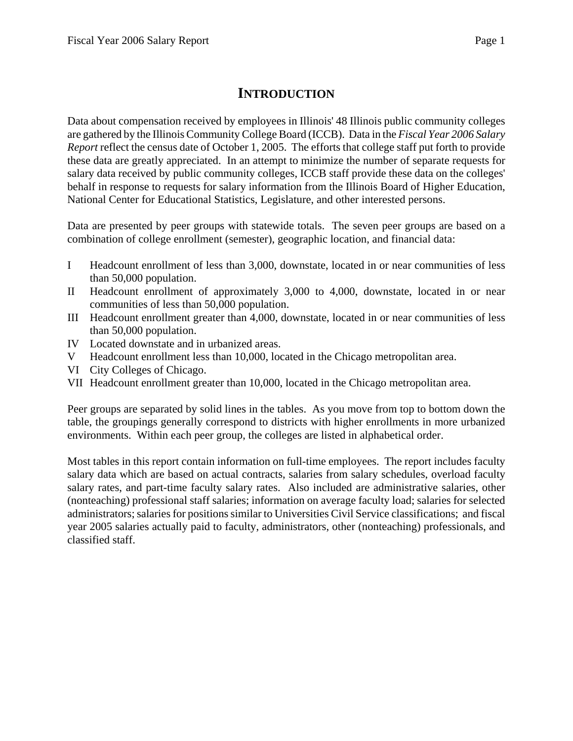# **INTRODUCTION**

Data about compensation received by employees in Illinois' 48 Illinois public community colleges are gathered by the Illinois Community College Board (ICCB). Data in the *Fiscal Year 2006 Salary Report* reflect the census date of October 1, 2005. The efforts that college staff put forth to provide these data are greatly appreciated. In an attempt to minimize the number of separate requests for salary data received by public community colleges, ICCB staff provide these data on the colleges' behalf in response to requests for salary information from the Illinois Board of Higher Education, National Center for Educational Statistics, Legislature, and other interested persons.

Data are presented by peer groups with statewide totals. The seven peer groups are based on a combination of college enrollment (semester), geographic location, and financial data:

- I Headcount enrollment of less than 3,000, downstate, located in or near communities of less than 50,000 population.
- II Headcount enrollment of approximately 3,000 to 4,000, downstate, located in or near communities of less than 50,000 population.
- III Headcount enrollment greater than 4,000, downstate, located in or near communities of less than 50,000 population.
- IV Located downstate and in urbanized areas.
- V Headcount enrollment less than 10,000, located in the Chicago metropolitan area.
- VI City Colleges of Chicago.
- VII Headcount enrollment greater than 10,000, located in the Chicago metropolitan area.

Peer groups are separated by solid lines in the tables. As you move from top to bottom down the table, the groupings generally correspond to districts with higher enrollments in more urbanized environments. Within each peer group, the colleges are listed in alphabetical order.

Most tables in this report contain information on full-time employees. The report includes faculty salary data which are based on actual contracts, salaries from salary schedules, overload faculty salary rates, and part-time faculty salary rates. Also included are administrative salaries, other (nonteaching) professional staff salaries; information on average faculty load; salaries for selected administrators; salaries for positions similar to Universities Civil Service classifications; and fiscal year 2005 salaries actually paid to faculty, administrators, other (nonteaching) professionals, and classified staff.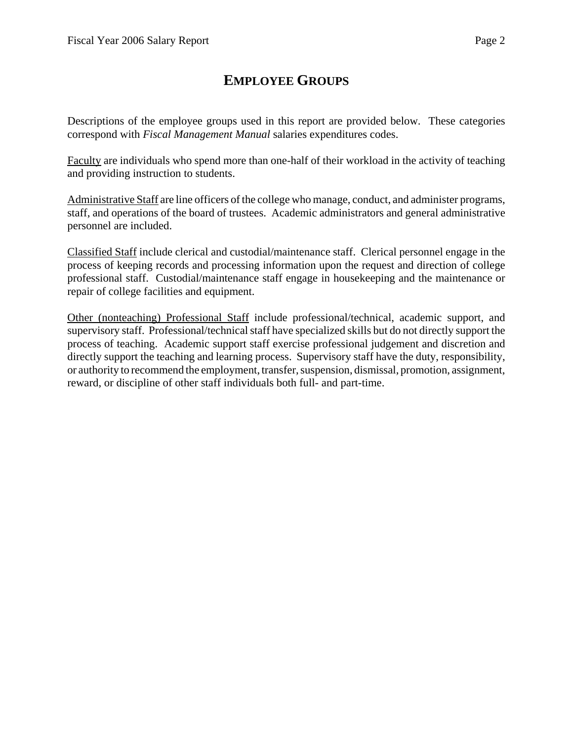# **EMPLOYEE GROUPS**

Descriptions of the employee groups used in this report are provided below. These categories correspond with *Fiscal Management Manual* salaries expenditures codes.

Faculty are individuals who spend more than one-half of their workload in the activity of teaching and providing instruction to students.

Administrative Staff are line officers of the college who manage, conduct, and administer programs, staff, and operations of the board of trustees. Academic administrators and general administrative personnel are included.

Classified Staff include clerical and custodial/maintenance staff. Clerical personnel engage in the process of keeping records and processing information upon the request and direction of college professional staff. Custodial/maintenance staff engage in housekeeping and the maintenance or repair of college facilities and equipment.

Other (nonteaching) Professional Staff include professional/technical, academic support, and supervisory staff. Professional/technical staff have specialized skills but do not directly support the process of teaching. Academic support staff exercise professional judgement and discretion and directly support the teaching and learning process. Supervisory staff have the duty, responsibility, or authority to recommend the employment, transfer, suspension, dismissal, promotion, assignment, reward, or discipline of other staff individuals both full- and part-time.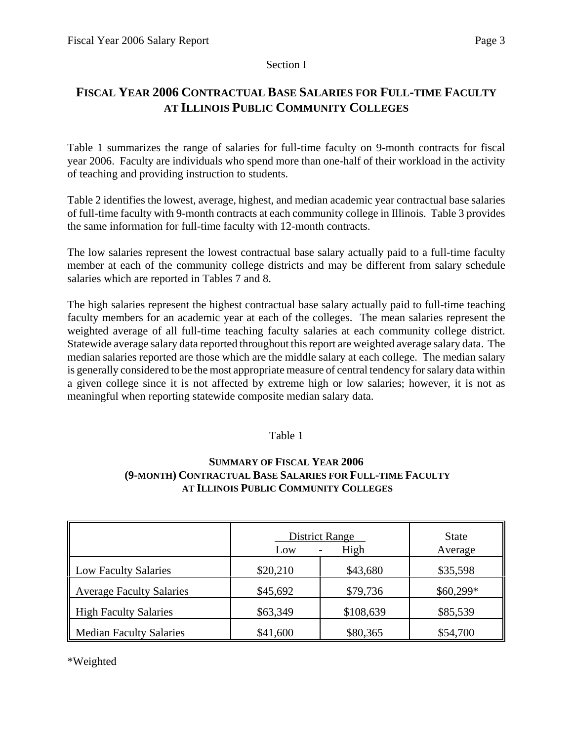## Section I

# **FISCAL YEAR 2006 CONTRACTUAL BASE SALARIES FOR FULL-TIME FACULTY AT ILLINOIS PUBLIC COMMUNITY COLLEGES**

Table 1 summarizes the range of salaries for full-time faculty on 9-month contracts for fiscal year 2006. Faculty are individuals who spend more than one-half of their workload in the activity of teaching and providing instruction to students.

Table 2 identifies the lowest, average, highest, and median academic year contractual base salaries of full-time faculty with 9-month contracts at each community college in Illinois. Table 3 provides the same information for full-time faculty with 12-month contracts.

The low salaries represent the lowest contractual base salary actually paid to a full-time faculty member at each of the community college districts and may be different from salary schedule salaries which are reported in Tables 7 and 8.

The high salaries represent the highest contractual base salary actually paid to full-time teaching faculty members for an academic year at each of the colleges. The mean salaries represent the weighted average of all full-time teaching faculty salaries at each community college district. Statewide average salary data reported throughout this report are weighted average salary data. The median salaries reported are those which are the middle salary at each college. The median salary is generally considered to be the most appropriate measure of central tendency for salary data within a given college since it is not affected by extreme high or low salaries; however, it is not as meaningful when reporting statewide composite median salary data.

## Table 1

# **SUMMARY OF FISCAL YEAR 2006 (9-MONTH) CONTRACTUAL BASE SALARIES FOR FULL-TIME FACULTY AT ILLINOIS PUBLIC COMMUNITY COLLEGES**

|                                 | <b>District Range</b><br>Low | <b>State</b><br>Average |            |
|---------------------------------|------------------------------|-------------------------|------------|
| <b>Low Faculty Salaries</b>     | \$20,210                     | \$43,680                | \$35,598   |
| <b>Average Faculty Salaries</b> | \$45,692                     | \$79,736                | $$60,299*$ |
| <b>High Faculty Salaries</b>    | \$63,349                     | \$108,639               | \$85,539   |
| <b>Median Faculty Salaries</b>  | \$41,600                     | \$80,365                | \$54,700   |

\*Weighted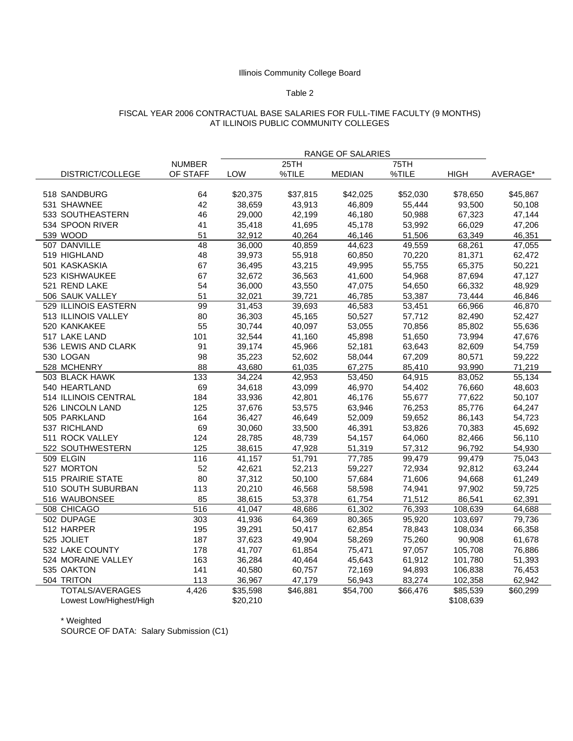### Table 2

#### FISCAL YEAR 2006 CONTRACTUAL BASE SALARIES FOR FULL-TIME FACULTY (9 MONTHS) AT ILLINOIS PUBLIC COMMUNITY COLLEGES

|                         |               | RANGE OF SALARIES |          |               |          |             |          |
|-------------------------|---------------|-------------------|----------|---------------|----------|-------------|----------|
|                         | <b>NUMBER</b> |                   | 25TH     |               | 75TH     |             |          |
| DISTRICT/COLLEGE        | OF STAFF      | LOW               | %TILE    | <b>MEDIAN</b> | %TILE    | <b>HIGH</b> | AVERAGE* |
|                         |               |                   |          |               |          |             |          |
| 518 SANDBURG            | 64            | \$20,375          | \$37,815 | \$42,025      | \$52,030 | \$78,650    | \$45,867 |
| 531 SHAWNEE             | 42            | 38,659            | 43,913   | 46,809        | 55,444   | 93,500      | 50,108   |
| 533 SOUTHEASTERN        | 46            | 29,000            | 42,199   | 46,180        | 50,988   | 67,323      | 47,144   |
| 534 SPOON RIVER         | 41            | 35,418            | 41,695   | 45,178        | 53,992   | 66,029      | 47,206   |
| 539 WOOD                | 51            | 32,912            | 40,264   | 46,146        | 51,506   | 63,349      | 46,351   |
| 507 DANVILLE            | 48            | 36,000            | 40,859   | 44,623        | 49,559   | 68,261      | 47,055   |
| 519 HIGHLAND            | 48            | 39,973            | 55,918   | 60,850        | 70,220   | 81,371      | 62,472   |
| 501 KASKASKIA           | 67            | 36,495            | 43,215   | 49,995        | 55,755   | 65,375      | 50,221   |
| 523 KISHWAUKEE          | 67            | 32,672            | 36,563   | 41,600        | 54,968   | 87,694      | 47,127   |
| 521 REND LAKE           | 54            | 36,000            | 43,550   | 47,075        | 54,650   | 66,332      | 48,929   |
| 506 SAUK VALLEY         | 51            | 32,021            | 39,721   | 46,785        | 53,387   | 73,444      | 46,846   |
| 529 ILLINOIS EASTERN    | 99            | 31,453            | 39,693   | 46,583        | 53,451   | 66,966      | 46,870   |
| 513 ILLINOIS VALLEY     | 80            | 36,303            | 45,165   | 50,527        | 57,712   | 82,490      | 52,427   |
| 520 KANKAKEE            | 55            | 30,744            | 40,097   | 53,055        | 70,856   | 85,802      | 55,636   |
| 517 LAKE LAND           | 101           | 32,544            | 41,160   | 45,898        | 51,650   | 73,994      | 47,676   |
| 536 LEWIS AND CLARK     | 91            | 39,174            | 45,966   | 52,181        | 63,643   | 82,609      | 54,759   |
| 530 LOGAN               | 98            | 35,223            | 52,602   | 58,044        | 67,209   | 80,571      | 59,222   |
| 528 MCHENRY             | 88            | 43,680            | 61,035   | 67,275        | 85,410   | 93,990      | 71,219   |
| 503 BLACK HAWK          | 133           | 34,224            | 42,953   | 53,450        | 64,915   | 83,052      | 55,134   |
| 540 HEARTLAND           | 69            | 34,618            | 43,099   | 46,970        | 54,402   | 76,660      | 48,603   |
| 514 ILLINOIS CENTRAL    | 184           | 33,936            | 42,801   | 46,176        | 55,677   | 77,622      | 50,107   |
| 526 LINCOLN LAND        | 125           | 37,676            | 53,575   | 63,946        | 76,253   | 85,776      | 64,247   |
| 505 PARKLAND            | 164           | 36,427            | 46,649   | 52,009        | 59,652   | 86,143      | 54,723   |
| 537 RICHLAND            | 69            | 30,060            | 33,500   | 46,391        | 53,826   | 70,383      | 45,692   |
| 511 ROCK VALLEY         | 124           | 28,785            | 48,739   | 54,157        | 64,060   | 82,466      | 56,110   |
| 522 SOUTHWESTERN        | 125           | 38,615            | 47,928   | 51,319        | 57,312   | 96,792      | 54,930   |
| 509 ELGIN               | 116           | 41,157            | 51,791   | 77,785        | 99,479   | 99,479      | 75,043   |
| 527 MORTON              | 52            | 42,621            | 52,213   | 59,227        | 72,934   | 92,812      | 63,244   |
| 515 PRAIRIE STATE       | 80            | 37,312            | 50,100   | 57,684        | 71,606   | 94,668      | 61,249   |
| 510 SOUTH SUBURBAN      | 113           | 20,210            | 46,568   | 58,598        | 74,941   | 97,902      | 59,725   |
| 516 WAUBONSEE           | 85            | 38,615            | 53,378   | 61,754        | 71,512   | 86,541      | 62,391   |
| 508 CHICAGO             | 516           | 41,047            | 48,686   | 61,302        | 76,393   | 108,639     | 64,688   |
| 502 DUPAGE              | 303           | 41,936            | 64,369   | 80,365        | 95,920   | 103,697     | 79,736   |
| 512 HARPER              | 195           | 39,291            | 50,417   | 62,854        | 78,843   | 108,034     | 66,358   |
| 525 JOLIET              | 187           | 37,623            | 49,904   | 58,269        | 75,260   | 90,908      | 61,678   |
| 532 LAKE COUNTY         | 178           | 41,707            | 61,854   | 75,471        | 97,057   | 105,708     | 76,886   |
| 524 MORAINE VALLEY      | 163           | 36,284            | 40,464   | 45,643        | 61,912   | 101,780     | 51,393   |
| 535 OAKTON              | 141           | 40,580            | 60,757   | 72,169        | 94,893   | 106,838     | 76,453   |
| 504 TRITON              | 113           | 36,967            | 47,179   | 56,943        | 83,274   | 102,358     | 62,942   |
| <b>TOTALS/AVERAGES</b>  | 4,426         | \$35,598          | \$46,881 | \$54,700      | \$66,476 | \$85,539    | \$60,299 |
| Lowest Low/Highest/High |               | \$20,210          |          |               |          | \$108,639   |          |

\* Weighted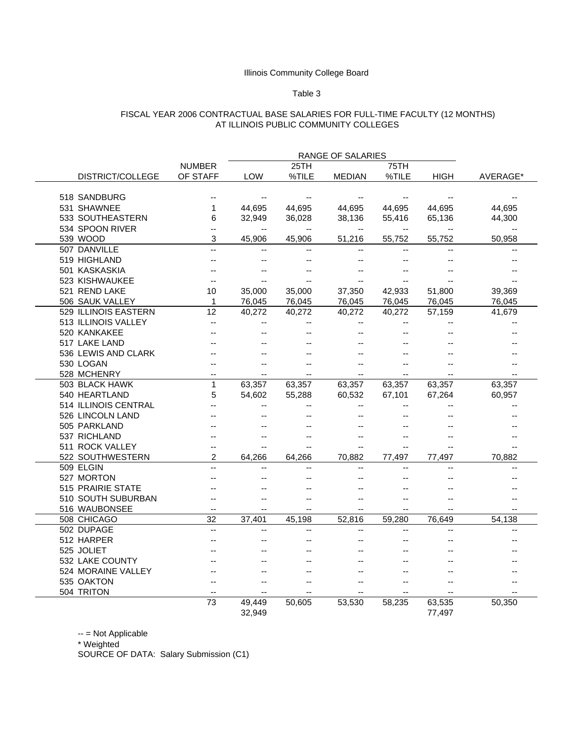#### Table 3

### FISCAL YEAR 2006 CONTRACTUAL BASE SALARIES FOR FULL-TIME FACULTY (12 MONTHS) AT ILLINOIS PUBLIC COMMUNITY COLLEGES

|                          |                |                          |                          | RANGE OF SALARIES        |                          |                          |                          |
|--------------------------|----------------|--------------------------|--------------------------|--------------------------|--------------------------|--------------------------|--------------------------|
|                          | <b>NUMBER</b>  |                          | 25TH                     |                          | 75TH                     |                          |                          |
| DISTRICT/COLLEGE         | OF STAFF       | LOW                      | %TILE                    | <b>MEDIAN</b>            | %TILE                    | HIGH                     | AVERAGE*                 |
|                          |                |                          |                          |                          |                          |                          |                          |
| 518 SANDBURG             |                |                          |                          |                          |                          |                          |                          |
| 531 SHAWNEE              | 1              | 44.695                   | 44.695                   | 44.695                   | 44,695                   | 44.695                   | 44,695                   |
| 533 SOUTHEASTERN         | 6              | 32,949                   | 36,028                   | 38,136                   | 55,416                   | 65,136                   | 44,300                   |
| 534 SPOON RIVER          | --             | --                       | $\overline{\phantom{a}}$ | $\overline{\phantom{a}}$ | --                       | $\overline{\phantom{a}}$ | --                       |
| 539 WOOD                 | 3              | 45,906                   | 45.906                   | 51,216                   | 55,752                   | 55,752                   | 50.958                   |
| 507 DANVILLE             |                | $\overline{a}$           | $\overline{a}$           | u.                       | $\overline{a}$           |                          | $\sim$                   |
| 519 HIGHLAND             |                |                          | $-$                      | --                       | --                       |                          | --                       |
| 501 KASKASKIA            |                |                          |                          |                          |                          |                          |                          |
| 523 KISHWAUKEE           | $-$            |                          |                          |                          |                          |                          |                          |
| 521 REND LAKE            | 10             | 35,000                   | 35,000                   | 37,350                   | 42,933                   | 51,800                   | 39,369                   |
| 506 SAUK VALLEY          | 1              | 76,045                   | 76,045                   | 76,045                   | 76,045                   | 76,045                   | 76,045                   |
| 529 ILLINOIS EASTERN     | 12             | 40,272                   | 40,272                   | 40,272                   | 40,272                   | 57,159                   | 41,679                   |
| 513 ILLINOIS VALLEY      | $-$            |                          |                          | --                       | --                       |                          | $-$                      |
| 520 KANKAKEE             |                | $-$                      |                          | $-$                      | --                       |                          |                          |
| 517 LAKE LAND            |                |                          |                          |                          |                          |                          |                          |
| 536 LEWIS AND CLARK      |                |                          |                          |                          |                          |                          |                          |
| 530 LOGAN                | --             |                          |                          | $-$                      | --                       |                          |                          |
| 528 MCHENRY              | $-$            |                          |                          |                          | $\overline{\phantom{a}}$ |                          |                          |
| 503 BLACK HAWK           | $\mathbf{1}$   | 63,357                   | 63,357                   | 63,357                   | 63,357                   | 63,357                   | 63,357                   |
| 540 HEARTLAND            | 5              | 54,602                   | 55,288                   | 60,532                   | 67,101                   | 67,264                   | 60,957                   |
| 514 ILLINOIS CENTRAL     |                | $-1$                     | $-$                      | $-$                      | $-$                      |                          |                          |
| 526 LINCOLN LAND         |                |                          |                          |                          |                          |                          |                          |
| 505 PARKLAND             |                |                          |                          |                          |                          |                          |                          |
| 537 RICHLAND             |                | $-$                      |                          | $-$                      | --                       |                          |                          |
| 511 ROCK VALLEY          | $-$            | $-$                      |                          | --                       | --                       |                          |                          |
| 522 SOUTHWESTERN         | $\mathfrak{p}$ | 64.266                   | 64.266                   | 70,882                   | 77,497                   | 77.497                   | 70.882                   |
| 509 ELGIN                |                | Ξ.                       |                          | u.                       | Ξ.                       |                          |                          |
| 527 MORTON               |                |                          |                          |                          |                          |                          |                          |
| <b>515 PRAIRIE STATE</b> |                |                          |                          |                          |                          |                          |                          |
| 510 SOUTH SUBURBAN       | $-$            | $-$                      | $-$                      | $\overline{\phantom{a}}$ | --                       |                          |                          |
| 516 WAUBONSEE            | --             | $\overline{\phantom{a}}$ | --                       | --                       | --                       |                          | --                       |
| 508 CHICAGO              | 32             | 37,401                   | 45,198                   | 52,816                   | 59.280                   | 76,649                   | 54.138                   |
| 502 DUPAGE               | $\overline{a}$ | $-1$                     |                          | $-$                      | --                       |                          | $\overline{\phantom{a}}$ |
| 512 HARPER               |                |                          |                          |                          |                          |                          |                          |
| 525 JOLIET               |                |                          |                          |                          |                          |                          |                          |
| 532 LAKE COUNTY          |                |                          |                          |                          |                          |                          |                          |
| 524 MORAINE VALLEY       |                |                          |                          |                          |                          |                          |                          |
| 535 OAKTON               | $-$            | $-$                      |                          |                          | --                       |                          |                          |
| 504 TRITON               | $\overline{a}$ | $-$                      |                          |                          |                          |                          |                          |
|                          | 73             | 49,449                   | 50,605                   | 53,530                   | 58,235                   | 63,535                   | 50,350                   |
|                          |                | 32,949                   |                          |                          |                          | 77,497                   |                          |

-- = Not Applicable

\* Weighted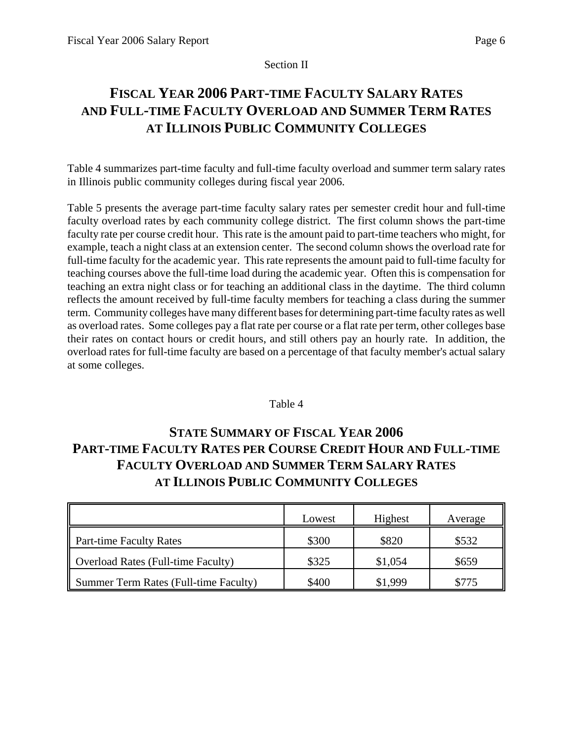## Section II

# **FISCAL YEAR 2006 PART-TIME FACULTY SALARY RATES AND FULL-TIME FACULTY OVERLOAD AND SUMMER TERM RATES AT ILLINOIS PUBLIC COMMUNITY COLLEGES**

Table 4 summarizes part-time faculty and full-time faculty overload and summer term salary rates in Illinois public community colleges during fiscal year 2006.

Table 5 presents the average part-time faculty salary rates per semester credit hour and full-time faculty overload rates by each community college district. The first column shows the part-time faculty rate per course credit hour. This rate is the amount paid to part-time teachers who might, for example, teach a night class at an extension center. The second column shows the overload rate for full-time faculty for the academic year. This rate represents the amount paid to full-time faculty for teaching courses above the full-time load during the academic year. Often this is compensation for teaching an extra night class or for teaching an additional class in the daytime. The third column reflects the amount received by full-time faculty members for teaching a class during the summer term. Community colleges have many different bases for determining part-time faculty rates as well as overload rates. Some colleges pay a flat rate per course or a flat rate per term, other colleges base their rates on contact hours or credit hours, and still others pay an hourly rate. In addition, the overload rates for full-time faculty are based on a percentage of that faculty member's actual salary at some colleges.

## Table 4

# **STATE SUMMARY OF FISCAL YEAR 2006 PART-TIME FACULTY RATES PER COURSE CREDIT HOUR AND FULL-TIME FACULTY OVERLOAD AND SUMMER TERM SALARY RATES AT ILLINOIS PUBLIC COMMUNITY COLLEGES**

|                                           | Lowest | Highest | Average |
|-------------------------------------------|--------|---------|---------|
| <b>Part-time Faculty Rates</b>            | \$300  | \$820   | \$532   |
| <b>Overload Rates (Full-time Faculty)</b> | \$325  | \$1,054 | \$659   |
| Summer Term Rates (Full-time Faculty)     | \$400  | \$1,999 | \$775   |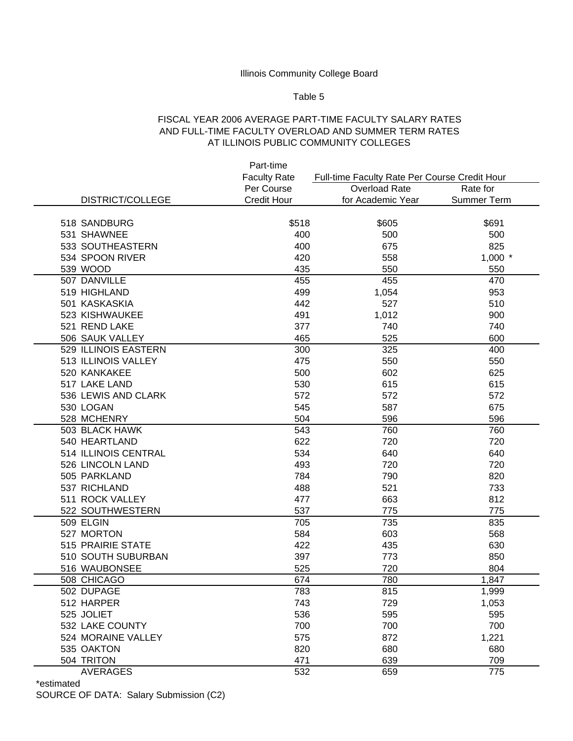#### Table 5

## FISCAL YEAR 2006 AVERAGE PART-TIME FACULTY SALARY RATES AND FULL-TIME FACULTY OVERLOAD AND SUMMER TERM RATES AT ILLINOIS PUBLIC COMMUNITY COLLEGES

|                      | Part-time           |                                               |                    |
|----------------------|---------------------|-----------------------------------------------|--------------------|
|                      | <b>Faculty Rate</b> | Full-time Faculty Rate Per Course Credit Hour |                    |
|                      | Per Course          | <b>Overload Rate</b>                          | Rate for           |
| DISTRICT/COLLEGE     | <b>Credit Hour</b>  | for Academic Year                             | <b>Summer Term</b> |
|                      |                     |                                               |                    |
| 518 SANDBURG         | \$518               | \$605                                         | \$691              |
| 531 SHAWNEE          | 400                 | 500                                           | 500                |
| 533 SOUTHEASTERN     | 400                 | 675                                           | 825                |
| 534 SPOON RIVER      | 420                 | 558                                           | $1,000$ *          |
| 539 WOOD             | 435                 | 550                                           | 550                |
| 507 DANVILLE         | 455                 | 455                                           | 470                |
| 519 HIGHLAND         | 499                 | 1,054                                         | 953                |
| 501 KASKASKIA        | 442                 | 527                                           | 510                |
| 523 KISHWAUKEE       | 491                 | 1,012                                         | 900                |
| 521 REND LAKE        | 377                 | 740                                           | 740                |
| 506 SAUK VALLEY      | 465                 | 525                                           | 600                |
| 529 ILLINOIS EASTERN | 300                 | 325                                           | 400                |
| 513 ILLINOIS VALLEY  | 475                 | 550                                           | 550                |
| 520 KANKAKEE         | 500                 | 602                                           | 625                |
| 517 LAKE LAND        | 530                 | 615                                           | 615                |
| 536 LEWIS AND CLARK  | 572                 | 572                                           | 572                |
| 530 LOGAN            | 545                 | 587                                           | 675                |
| 528 MCHENRY          | 504                 | 596                                           | 596                |
| 503 BLACK HAWK       | 543                 | 760                                           | 760                |
| 540 HEARTLAND        | 622                 | 720                                           | 720                |
| 514 ILLINOIS CENTRAL | 534                 | 640                                           | 640                |
| 526 LINCOLN LAND     | 493                 | 720                                           | 720                |
| 505 PARKLAND         | 784                 | 790                                           | 820                |
| 537 RICHLAND         | 488                 | 521                                           | 733                |
| 511 ROCK VALLEY      | 477                 | 663                                           | 812                |
| 522 SOUTHWESTERN     | 537                 | 775                                           | 775                |
| 509 ELGIN            | 705                 | 735                                           | 835                |
| 527 MORTON           | 584                 | 603                                           | 568                |
| 515 PRAIRIE STATE    | 422                 | 435                                           | 630                |
| 510 SOUTH SUBURBAN   | 397                 | 773                                           | 850                |
| 516 WAUBONSEE        | 525                 | 720                                           | 804                |
| 508 CHICAGO          | 674                 | 780                                           | 1,847              |
| 502 DUPAGE           | 783                 | 815                                           | 1,999              |
| 512 HARPER           | 743                 | 729                                           | 1,053              |
| 525 JOLIET           | 536                 | 595                                           | 595                |
| 532 LAKE COUNTY      | 700                 | 700                                           | 700                |
| 524 MORAINE VALLEY   | 575                 | 872                                           | 1,221              |
| 535 OAKTON           | 820                 | 680                                           | 680                |
| 504 TRITON           | 471                 | 639                                           | 709                |
| <b>AVERAGES</b>      | 532                 | 659                                           | 775                |

\*estimated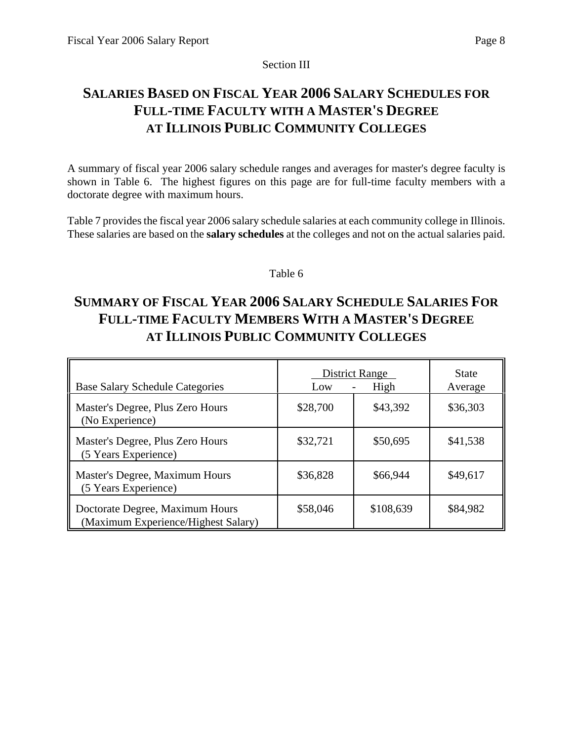Section III

# **SALARIES BASED ON FISCAL YEAR 2006 SALARY SCHEDULES FOR FULL-TIME FACULTY WITH A MASTER'S DEGREE AT ILLINOIS PUBLIC COMMUNITY COLLEGES**

A summary of fiscal year 2006 salary schedule ranges and averages for master's degree faculty is shown in Table 6. The highest figures on this page are for full-time faculty members with a doctorate degree with maximum hours.

Table 7 provides the fiscal year 2006 salary schedule salaries at each community college in Illinois. These salaries are based on the **salary schedules** at the colleges and not on the actual salaries paid.

# Table 6

# **SUMMARY OF FISCAL YEAR 2006 SALARY SCHEDULE SALARIES FOR FULL-TIME FACULTY MEMBERS WITH A MASTER'S DEGREE AT ILLINOIS PUBLIC COMMUNITY COLLEGES**

| <b>Base Salary Schedule Categories</b>                                 | <b>District Range</b><br>Low | State<br>Average |          |  |
|------------------------------------------------------------------------|------------------------------|------------------|----------|--|
| Master's Degree, Plus Zero Hours<br>(No Experience)                    | \$28,700                     | \$43,392         | \$36,303 |  |
| Master's Degree, Plus Zero Hours<br>(5 Years Experience)               | \$32,721                     | \$50,695         | \$41,538 |  |
| Master's Degree, Maximum Hours<br>(5 Years Experience)                 | \$36,828                     | \$66,944         | \$49,617 |  |
| Doctorate Degree, Maximum Hours<br>(Maximum Experience/Highest Salary) | \$58,046                     | \$108,639        | \$84,982 |  |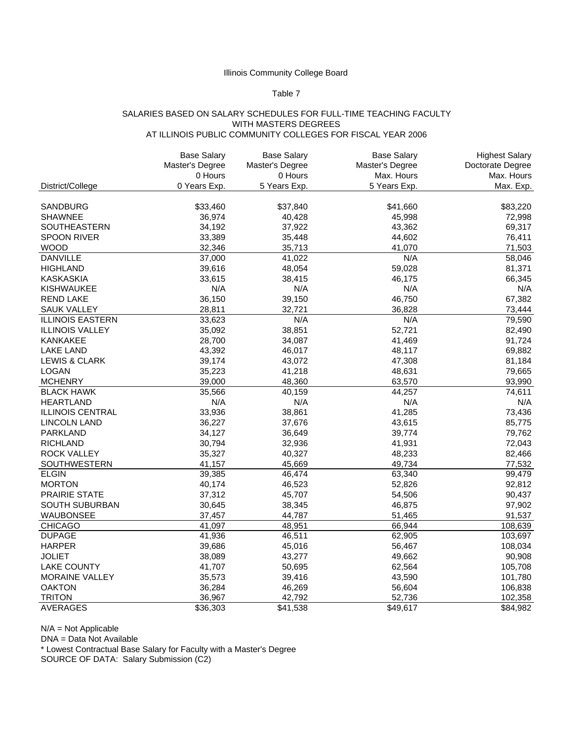## Table 7

#### SALARIES BASED ON SALARY SCHEDULES FOR FULL-TIME TEACHING FACULTY WITH MASTERS DEGREES AT ILLINOIS PUBLIC COMMUNITY COLLEGES FOR FISCAL YEAR 2006

|                          | <b>Base Salary</b> | <b>Base Salary</b> | <b>Base Salary</b> | <b>Highest Salary</b> |
|--------------------------|--------------------|--------------------|--------------------|-----------------------|
|                          | Master's Degree    | Master's Degree    | Master's Degree    | Doctorate Degree      |
|                          | 0 Hours            | 0 Hours            | Max. Hours         | Max. Hours            |
| District/College         | 0 Years Exp.       | 5 Years Exp.       | 5 Years Exp.       | Max. Exp.             |
|                          |                    |                    |                    |                       |
| SANDBURG                 | \$33,460           | \$37,840           | \$41,660           | \$83,220              |
| <b>SHAWNEE</b>           | 36,974             | 40,428             | 45,998             | 72,998                |
| <b>SOUTHEASTERN</b>      | 34,192             | 37,922             | 43,362             | 69,317                |
| <b>SPOON RIVER</b>       | 33,389             | 35,448             | 44,602             | 76,411                |
| <b>WOOD</b>              | 32,346             | 35,713             | 41,070             | 71,503                |
| <b>DANVILLE</b>          | 37,000             | 41,022             | N/A                | 58,046                |
| <b>HIGHLAND</b>          | 39,616             | 48,054             | 59,028             | 81,371                |
| <b>KASKASKIA</b>         | 33,615             | 38,415             | 46,175             | 66,345                |
| <b>KISHWAUKEE</b>        | N/A                | N/A                | N/A                | N/A                   |
| <b>REND LAKE</b>         | 36,150             | 39,150             | 46,750             | 67,382                |
| <b>SAUK VALLEY</b>       | 28,811             | 32,721             | 36,828             | 73,444                |
| <b>ILLINOIS EASTERN</b>  | 33,623             | N/A                | N/A                | 79,590                |
| <b>ILLINOIS VALLEY</b>   | 35,092             | 38,851             | 52,721             | 82,490                |
| <b>KANKAKEE</b>          | 28,700             | 34,087             | 41,469             | 91,724                |
| <b>LAKE LAND</b>         | 43,392             | 46,017             | 48,117             | 69,882                |
| <b>LEWIS &amp; CLARK</b> | 39,174             | 43,072             | 47,308             | 81,184                |
| LOGAN                    | 35,223             | 41,218             | 48,631             | 79,665                |
| <b>MCHENRY</b>           | 39,000             | 48,360             | 63,570             | 93,990                |
| <b>BLACK HAWK</b>        | 35,566             | 40,159             | 44,257             | 74,611                |
| <b>HEARTLAND</b>         | N/A                | N/A                | N/A                | N/A                   |
| <b>ILLINOIS CENTRAL</b>  | 33,936             | 38,861             | 41,285             | 73,436                |
| LINCOLN LAND             | 36,227             | 37,676             | 43,615             | 85,775                |
| <b>PARKLAND</b>          | 34,127             | 36,649             | 39,774             | 79,762                |
| <b>RICHLAND</b>          | 30,794             | 32,936             | 41,931             | 72,043                |
| <b>ROCK VALLEY</b>       | 35,327             | 40,327             | 48,233             | 82,466                |
| SOUTHWESTERN             | 41,157             | 45,669             | 49,734             | 77,532                |
| <b>ELGIN</b>             | 39,385             | 46,474             | 63,340             | 99,479                |
| <b>MORTON</b>            | 40,174             | 46,523             | 52,826             | 92,812                |
| <b>PRAIRIE STATE</b>     | 37,312             | 45,707             | 54,506             | 90,437                |
| SOUTH SUBURBAN           | 30,645             | 38,345             | 46,875             | 97,902                |
| WAUBONSEE                | 37,457             | 44,787             | 51,465             | 91,537                |
| <b>CHICAGO</b>           | 41,097             | 48,951             | 66,944             | 108,639               |
| <b>DUPAGE</b>            | 41,936             | 46,511             | 62,905             | 103,697               |
| <b>HARPER</b>            | 39,686             | 45,016             | 56,467             | 108,034               |
| <b>JOLIET</b>            | 38,089             | 43,277             | 49,662             | 90,908                |
| <b>LAKE COUNTY</b>       | 41,707             | 50,695             | 62,564             | 105,708               |
| <b>MORAINE VALLEY</b>    | 35,573             | 39,416             | 43,590             | 101,780               |
| <b>OAKTON</b>            | 36,284             | 46,269             | 56,604             | 106,838               |
| <b>TRITON</b>            | 36,967             | 42,792             | 52,736             | 102,358               |
| <b>AVERAGES</b>          | \$36,303           | \$41,538           | \$49,617           | \$84,982              |

N/A = Not Applicable

DNA = Data Not Available

\* Lowest Contractual Base Salary for Faculty with a Master's Degree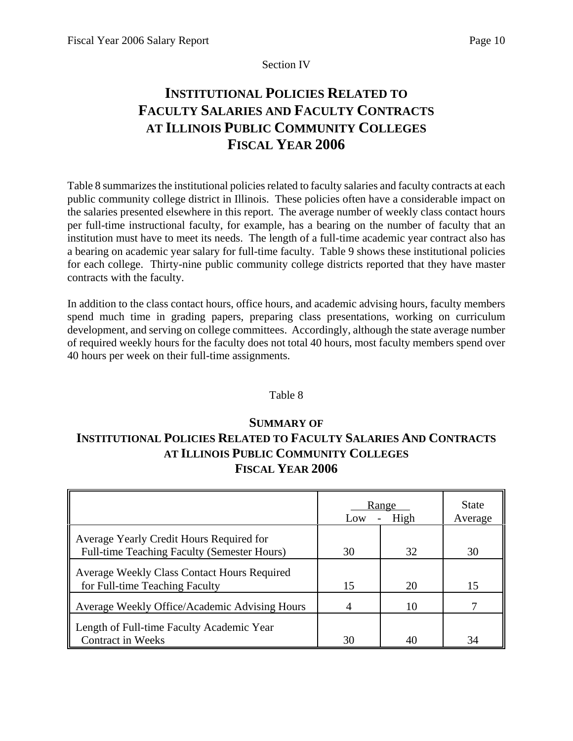## Section IV

# **INSTITUTIONAL POLICIES RELATED TO FACULTY SALARIES AND FACULTY CONTRACTS AT ILLINOIS PUBLIC COMMUNITY COLLEGES FISCAL YEAR 2006**

Table 8 summarizes the institutional policies related to faculty salaries and faculty contracts at each public community college district in Illinois. These policies often have a considerable impact on the salaries presented elsewhere in this report. The average number of weekly class contact hours per full-time instructional faculty, for example, has a bearing on the number of faculty that an institution must have to meet its needs. The length of a full-time academic year contract also has a bearing on academic year salary for full-time faculty. Table 9 shows these institutional policies for each college. Thirty-nine public community college districts reported that they have master contracts with the faculty.

In addition to the class contact hours, office hours, and academic advising hours, faculty members spend much time in grading papers, preparing class presentations, working on curriculum development, and serving on college committees. Accordingly, although the state average number of required weekly hours for the faculty does not total 40 hours, most faculty members spend over 40 hours per week on their full-time assignments.

## Table 8

# **SUMMARY OF INSTITUTIONAL POLICIES RELATED TO FACULTY SALARIES AND CONTRACTS AT ILLINOIS PUBLIC COMMUNITY COLLEGES FISCAL YEAR 2006**

|                                                                                         | Range<br>Low | <b>State</b><br>Average |    |
|-----------------------------------------------------------------------------------------|--------------|-------------------------|----|
| Average Yearly Credit Hours Required for<br>Full-time Teaching Faculty (Semester Hours) | 30           | 32                      | 30 |
| Average Weekly Class Contact Hours Required<br>for Full-time Teaching Faculty           | 15           | 20                      | 15 |
| Average Weekly Office/Academic Advising Hours                                           |              | 10                      |    |
| Length of Full-time Faculty Academic Year<br><b>Contract in Weeks</b>                   | 30           | 40                      | 34 |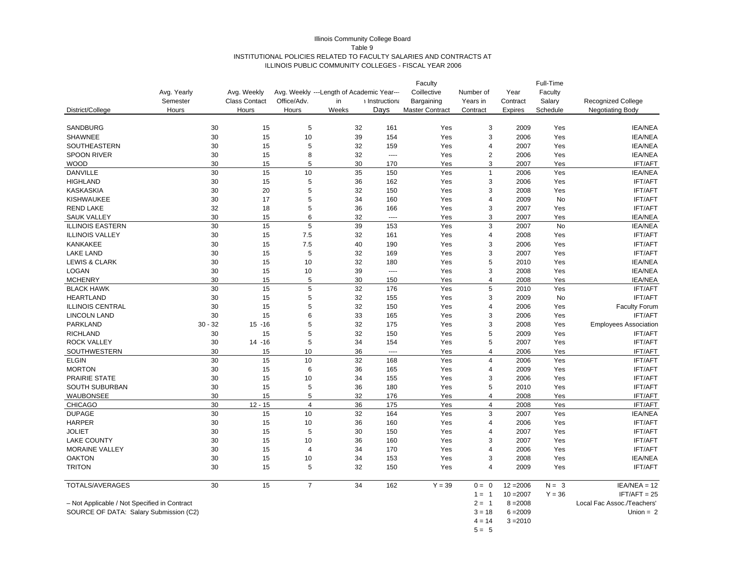#### Illinois Community College Board Table 9 INSTITUTIONAL POLICIES RELATED TO FACULTY SALARIES AND CONTRACTS AT ILLINOIS PUBLIC COMMUNITY COLLEGES - FISCAL YEAR 2006

| Coillective<br>Avg. Yearly<br>Avg. Weekly<br>Avg. Weekly ---Length of Academic Year---<br>Faculty<br>Number of<br>Year<br>Semester<br><b>Class Contact</b><br>Office/Adv.<br>Recognized College<br>in<br>i Instruction:<br>Bargaining<br>Years in<br>Contract<br>Salary<br>District/College<br>Weeks<br>Davs<br><b>Master Contract</b><br>Schedule<br><b>Negotiating Body</b><br>Hours<br>Hours<br>Hours<br>Contract<br>Expires<br>SANDBURG<br>30<br>15<br>5<br>32<br>161<br>Yes<br>3<br>2009<br>Yes<br><b>IEA/NEA</b><br>30<br><b>SHAWNEE</b><br>15<br>10<br>39<br>154<br>Yes<br>3<br>2006<br>Yes<br><b>IEA/NEA</b><br>30<br>5<br>2007<br><b>IEA/NEA</b><br>SOUTHEASTERN<br>15<br>32<br>159<br>Yes<br>4<br>Yes<br><b>SPOON RIVER</b><br>30<br>15<br>8<br>32<br>Yes<br>2<br>2006<br>Yes<br><b>IEA/NEA</b><br>----<br>5<br><b>WOOD</b><br>30<br>15<br>30<br>170<br>Yes<br>3<br>2007<br>Yes<br><b>IFT/AFT</b><br>Yes<br><b>DANVILLE</b><br>30<br>15<br>10<br>35<br>150<br>Yes<br>$\mathbf{1}$<br><b>IEA/NEA</b><br>2006<br><b>HIGHLAND</b><br>30<br>15<br>5<br>162<br>Yes<br>3<br>2006<br>Yes<br><b>IFT/AFT</b><br>36<br>20<br>5<br>3<br><b>KASKASKIA</b><br>30<br>32<br>150<br>Yes<br>2008<br>Yes<br><b>IFT/AFT</b><br>30<br>17<br>5<br><b>IFT/AFT</b><br><b>KISHWAUKEE</b><br>34<br>160<br>Yes<br>4<br>2009<br>No<br>5<br><b>REND LAKE</b><br>32<br>18<br>Yes<br>3<br><b>IFT/AFT</b><br>36<br>166<br>2007<br>Yes<br>30<br>15<br>6<br>32<br>Yes<br>3<br>2007<br>Yes<br><b>SAUK VALLEY</b><br><b>IEA/NEA</b><br>$---$<br>30<br>15<br>5<br>3<br>39<br>Yes<br>2007<br>No<br><b>IEA/NEA</b><br><b>ILLINOIS EASTERN</b><br>153<br>30<br>7.5<br><b>ILLINOIS VALLEY</b><br>15<br>32<br>161<br>Yes<br>4<br>2008<br>Yes<br><b>IFT/AFT</b><br>30<br>15<br>7.5<br>40<br>190<br>Yes<br>3<br>2006<br>Yes<br><b>IFT/AFT</b><br><b>KANKAKEE</b><br>30<br>5<br><b>LAKE LAND</b><br>15<br>32<br>169<br>Yes<br>3<br>2007<br>Yes<br><b>IFT/AFT</b><br>5<br>30<br>15<br>32<br><b>LEWIS &amp; CLARK</b><br>10<br>180<br>Yes<br>2010<br>Yes<br><b>IEA/NEA</b><br>30<br>15<br>39<br>3<br>2008<br>Yes<br>LOGAN<br>10<br>Yes<br><b>IEA/NEA</b><br>$\overline{a}$<br>30<br>15<br>5<br>30<br><b>MCHENRY</b><br>150<br>Yes<br>$\overline{4}$<br>2008<br>Yes<br><b>IEA/NEA</b><br>5<br>30<br>15<br>32<br>5<br>Yes<br><b>IFT/AFT</b><br><b>BLACK HAWK</b><br>176<br>Yes<br>2010<br>30<br>5<br>15<br>32<br>3<br>2009<br><b>IFT/AFT</b><br><b>HEARTLAND</b><br>155<br>Yes<br>No<br>30<br><b>ILLINOIS CENTRAL</b><br>15<br>5<br>32<br>150<br>Yes<br>2006<br>Yes<br><b>Faculty Forum</b><br>4<br>30<br>15<br>33<br>3<br><b>IFT/AFT</b><br><b>LINCOLN LAND</b><br>6<br>165<br>Yes<br>2006<br>Yes<br>PARKLAND<br>$30 - 32$<br>$15 - 16$<br>32<br>175<br>3<br>2008<br>5<br>Yes<br>Yes<br><b>Employees Association</b><br>5<br><b>RICHLAND</b><br>30<br>15<br>5<br>32<br>150<br>2009<br>Yes<br><b>IFT/AFT</b><br>Yes<br>30<br>34<br>5<br>2007<br><b>IFT/AFT</b><br><b>ROCK VALLEY</b><br>$14 - 16$<br>5<br>154<br>Yes<br>Yes<br>30<br>36<br>$\overline{4}$<br>SOUTHWESTERN<br>15<br>10<br>Yes<br>2006<br>Yes<br><b>IFT/AFT</b><br>$---$<br>30<br>15<br>10<br>32<br>2006<br>Yes<br><b>IFT/AFT</b><br><b>ELGIN</b><br>168<br>Yes<br>$\overline{4}$<br><b>MORTON</b><br>30<br>15<br>6<br>36<br>165<br>Yes<br>$\overline{4}$<br>2009<br>Yes<br><b>IFT/AFT</b><br>PRAIRIE STATE<br>30<br>15<br>10<br>34<br>155<br>3<br>2006<br>Yes<br><b>IFT/AFT</b><br>Yes<br>30<br>5<br>SOUTH SUBURBAN<br>15<br>5<br>36<br>180<br>Yes<br>2010<br>Yes<br><b>IFT/AFT</b><br><b>WAUBONSEE</b><br>30<br>15<br>32<br>2008<br>5<br>176<br>$\overline{4}$<br>Yes<br><b>IFT/AFT</b><br>Yes<br>30<br>$12 - 15$<br>175<br>Yes<br><b>CHICAGO</b><br>$\overline{4}$<br>36<br>Yes<br>$\overline{4}$<br>2008<br><b>IFT/AFT</b><br>Yes<br><b>DUPAGE</b><br>30<br>15<br>10<br>32<br>164<br>Yes<br>3<br><b>IEA/NEA</b><br>2007<br><b>HARPER</b><br>30<br>15<br>10<br>36<br>160<br>2006<br>Yes<br><b>IFT/AFT</b><br>Yes<br>4<br><b>JOLIET</b><br>30<br>15<br>5<br>30<br>150<br>2007<br>Yes<br><b>IFT/AFT</b><br>Yes<br>4<br>30<br><b>LAKE COUNTY</b><br>15<br>10<br>36<br>160<br>Yes<br>3<br>2007<br>Yes<br><b>IFT/AFT</b><br>MORAINE VALLEY<br>30<br>15<br>170<br>2006<br>Yes<br><b>IFT/AFT</b><br>$\overline{4}$<br>34<br>Yes<br>4<br><b>OAKTON</b><br>30<br>15<br>10<br>34<br>153<br>3<br>2008<br><b>IEA/NEA</b><br>Yes<br>Yes<br><b>TRITON</b><br>30<br>5<br>15<br>32<br>150<br>Yes<br>$\overline{4}$<br>2009<br>Yes<br><b>IFT/AFT</b><br>TOTALS/AVERAGES<br>30<br>15<br>$\overline{7}$<br>34<br>$Y = 39$<br>$IEA/NEA = 12$<br>162<br>$0 = 0$<br>$12 = 2006$<br>$N = 3$<br>$10 = 2007$<br>$Y = 36$<br>$IFT/AFT = 25$<br>$1 = 1$<br>- Not Applicable / Not Specified in Contract<br>$2 = 1$<br>$8 = 2008$<br>Local Fac Assoc./Teachers'<br>SOURCE OF DATA: Salary Submission (C2)<br>$3 = 18$<br>$6 = 2009$<br>Union $= 2$ |  |  |  |  | Faculty |          |            | Full-Time |  |
|---------------------------------------------------------------------------------------------------------------------------------------------------------------------------------------------------------------------------------------------------------------------------------------------------------------------------------------------------------------------------------------------------------------------------------------------------------------------------------------------------------------------------------------------------------------------------------------------------------------------------------------------------------------------------------------------------------------------------------------------------------------------------------------------------------------------------------------------------------------------------------------------------------------------------------------------------------------------------------------------------------------------------------------------------------------------------------------------------------------------------------------------------------------------------------------------------------------------------------------------------------------------------------------------------------------------------------------------------------------------------------------------------------------------------------------------------------------------------------------------------------------------------------------------------------------------------------------------------------------------------------------------------------------------------------------------------------------------------------------------------------------------------------------------------------------------------------------------------------------------------------------------------------------------------------------------------------------------------------------------------------------------------------------------------------------------------------------------------------------------------------------------------------------------------------------------------------------------------------------------------------------------------------------------------------------------------------------------------------------------------------------------------------------------------------------------------------------------------------------------------------------------------------------------------------------------------------------------------------------------------------------------------------------------------------------------------------------------------------------------------------------------------------------------------------------------------------------------------------------------------------------------------------------------------------------------------------------------------------------------------------------------------------------------------------------------------------------------------------------------------------------------------------------------------------------------------------------------------------------------------------------------------------------------------------------------------------------------------------------------------------------------------------------------------------------------------------------------------------------------------------------------------------------------------------------------------------------------------------------------------------------------------------------------------------------------------------------------------------------------------------------------------------------------------------------------------------------------------------------------------------------------------------------------------------------------------------------------------------------------------------------------------------------------------------------------------------------------------------------------------------------------------------------------------------------------------------------------------------------------------------------------------------------------------------------------------------------------------------------------------------------------------------------------------------------------------------------------------------------------------------------------------------------------------------------------------------------------------------------------------------------------------------------------------------------------------------------------------------------------------------------------------------------------------------------------------------------------------|--|--|--|--|---------|----------|------------|-----------|--|
|                                                                                                                                                                                                                                                                                                                                                                                                                                                                                                                                                                                                                                                                                                                                                                                                                                                                                                                                                                                                                                                                                                                                                                                                                                                                                                                                                                                                                                                                                                                                                                                                                                                                                                                                                                                                                                                                                                                                                                                                                                                                                                                                                                                                                                                                                                                                                                                                                                                                                                                                                                                                                                                                                                                                                                                                                                                                                                                                                                                                                                                                                                                                                                                                                                                                                                                                                                                                                                                                                                                                                                                                                                                                                                                                                                                                                                                                                                                                                                                                                                                                                                                                                                                                                                                                                                                                                                                                                                                                                                                                                                                                                                                                                                                                                                                                                                                   |  |  |  |  |         |          |            |           |  |
|                                                                                                                                                                                                                                                                                                                                                                                                                                                                                                                                                                                                                                                                                                                                                                                                                                                                                                                                                                                                                                                                                                                                                                                                                                                                                                                                                                                                                                                                                                                                                                                                                                                                                                                                                                                                                                                                                                                                                                                                                                                                                                                                                                                                                                                                                                                                                                                                                                                                                                                                                                                                                                                                                                                                                                                                                                                                                                                                                                                                                                                                                                                                                                                                                                                                                                                                                                                                                                                                                                                                                                                                                                                                                                                                                                                                                                                                                                                                                                                                                                                                                                                                                                                                                                                                                                                                                                                                                                                                                                                                                                                                                                                                                                                                                                                                                                                   |  |  |  |  |         |          |            |           |  |
|                                                                                                                                                                                                                                                                                                                                                                                                                                                                                                                                                                                                                                                                                                                                                                                                                                                                                                                                                                                                                                                                                                                                                                                                                                                                                                                                                                                                                                                                                                                                                                                                                                                                                                                                                                                                                                                                                                                                                                                                                                                                                                                                                                                                                                                                                                                                                                                                                                                                                                                                                                                                                                                                                                                                                                                                                                                                                                                                                                                                                                                                                                                                                                                                                                                                                                                                                                                                                                                                                                                                                                                                                                                                                                                                                                                                                                                                                                                                                                                                                                                                                                                                                                                                                                                                                                                                                                                                                                                                                                                                                                                                                                                                                                                                                                                                                                                   |  |  |  |  |         |          |            |           |  |
|                                                                                                                                                                                                                                                                                                                                                                                                                                                                                                                                                                                                                                                                                                                                                                                                                                                                                                                                                                                                                                                                                                                                                                                                                                                                                                                                                                                                                                                                                                                                                                                                                                                                                                                                                                                                                                                                                                                                                                                                                                                                                                                                                                                                                                                                                                                                                                                                                                                                                                                                                                                                                                                                                                                                                                                                                                                                                                                                                                                                                                                                                                                                                                                                                                                                                                                                                                                                                                                                                                                                                                                                                                                                                                                                                                                                                                                                                                                                                                                                                                                                                                                                                                                                                                                                                                                                                                                                                                                                                                                                                                                                                                                                                                                                                                                                                                                   |  |  |  |  |         |          |            |           |  |
|                                                                                                                                                                                                                                                                                                                                                                                                                                                                                                                                                                                                                                                                                                                                                                                                                                                                                                                                                                                                                                                                                                                                                                                                                                                                                                                                                                                                                                                                                                                                                                                                                                                                                                                                                                                                                                                                                                                                                                                                                                                                                                                                                                                                                                                                                                                                                                                                                                                                                                                                                                                                                                                                                                                                                                                                                                                                                                                                                                                                                                                                                                                                                                                                                                                                                                                                                                                                                                                                                                                                                                                                                                                                                                                                                                                                                                                                                                                                                                                                                                                                                                                                                                                                                                                                                                                                                                                                                                                                                                                                                                                                                                                                                                                                                                                                                                                   |  |  |  |  |         |          |            |           |  |
|                                                                                                                                                                                                                                                                                                                                                                                                                                                                                                                                                                                                                                                                                                                                                                                                                                                                                                                                                                                                                                                                                                                                                                                                                                                                                                                                                                                                                                                                                                                                                                                                                                                                                                                                                                                                                                                                                                                                                                                                                                                                                                                                                                                                                                                                                                                                                                                                                                                                                                                                                                                                                                                                                                                                                                                                                                                                                                                                                                                                                                                                                                                                                                                                                                                                                                                                                                                                                                                                                                                                                                                                                                                                                                                                                                                                                                                                                                                                                                                                                                                                                                                                                                                                                                                                                                                                                                                                                                                                                                                                                                                                                                                                                                                                                                                                                                                   |  |  |  |  |         |          |            |           |  |
|                                                                                                                                                                                                                                                                                                                                                                                                                                                                                                                                                                                                                                                                                                                                                                                                                                                                                                                                                                                                                                                                                                                                                                                                                                                                                                                                                                                                                                                                                                                                                                                                                                                                                                                                                                                                                                                                                                                                                                                                                                                                                                                                                                                                                                                                                                                                                                                                                                                                                                                                                                                                                                                                                                                                                                                                                                                                                                                                                                                                                                                                                                                                                                                                                                                                                                                                                                                                                                                                                                                                                                                                                                                                                                                                                                                                                                                                                                                                                                                                                                                                                                                                                                                                                                                                                                                                                                                                                                                                                                                                                                                                                                                                                                                                                                                                                                                   |  |  |  |  |         |          |            |           |  |
|                                                                                                                                                                                                                                                                                                                                                                                                                                                                                                                                                                                                                                                                                                                                                                                                                                                                                                                                                                                                                                                                                                                                                                                                                                                                                                                                                                                                                                                                                                                                                                                                                                                                                                                                                                                                                                                                                                                                                                                                                                                                                                                                                                                                                                                                                                                                                                                                                                                                                                                                                                                                                                                                                                                                                                                                                                                                                                                                                                                                                                                                                                                                                                                                                                                                                                                                                                                                                                                                                                                                                                                                                                                                                                                                                                                                                                                                                                                                                                                                                                                                                                                                                                                                                                                                                                                                                                                                                                                                                                                                                                                                                                                                                                                                                                                                                                                   |  |  |  |  |         |          |            |           |  |
|                                                                                                                                                                                                                                                                                                                                                                                                                                                                                                                                                                                                                                                                                                                                                                                                                                                                                                                                                                                                                                                                                                                                                                                                                                                                                                                                                                                                                                                                                                                                                                                                                                                                                                                                                                                                                                                                                                                                                                                                                                                                                                                                                                                                                                                                                                                                                                                                                                                                                                                                                                                                                                                                                                                                                                                                                                                                                                                                                                                                                                                                                                                                                                                                                                                                                                                                                                                                                                                                                                                                                                                                                                                                                                                                                                                                                                                                                                                                                                                                                                                                                                                                                                                                                                                                                                                                                                                                                                                                                                                                                                                                                                                                                                                                                                                                                                                   |  |  |  |  |         |          |            |           |  |
|                                                                                                                                                                                                                                                                                                                                                                                                                                                                                                                                                                                                                                                                                                                                                                                                                                                                                                                                                                                                                                                                                                                                                                                                                                                                                                                                                                                                                                                                                                                                                                                                                                                                                                                                                                                                                                                                                                                                                                                                                                                                                                                                                                                                                                                                                                                                                                                                                                                                                                                                                                                                                                                                                                                                                                                                                                                                                                                                                                                                                                                                                                                                                                                                                                                                                                                                                                                                                                                                                                                                                                                                                                                                                                                                                                                                                                                                                                                                                                                                                                                                                                                                                                                                                                                                                                                                                                                                                                                                                                                                                                                                                                                                                                                                                                                                                                                   |  |  |  |  |         |          |            |           |  |
|                                                                                                                                                                                                                                                                                                                                                                                                                                                                                                                                                                                                                                                                                                                                                                                                                                                                                                                                                                                                                                                                                                                                                                                                                                                                                                                                                                                                                                                                                                                                                                                                                                                                                                                                                                                                                                                                                                                                                                                                                                                                                                                                                                                                                                                                                                                                                                                                                                                                                                                                                                                                                                                                                                                                                                                                                                                                                                                                                                                                                                                                                                                                                                                                                                                                                                                                                                                                                                                                                                                                                                                                                                                                                                                                                                                                                                                                                                                                                                                                                                                                                                                                                                                                                                                                                                                                                                                                                                                                                                                                                                                                                                                                                                                                                                                                                                                   |  |  |  |  |         |          |            |           |  |
|                                                                                                                                                                                                                                                                                                                                                                                                                                                                                                                                                                                                                                                                                                                                                                                                                                                                                                                                                                                                                                                                                                                                                                                                                                                                                                                                                                                                                                                                                                                                                                                                                                                                                                                                                                                                                                                                                                                                                                                                                                                                                                                                                                                                                                                                                                                                                                                                                                                                                                                                                                                                                                                                                                                                                                                                                                                                                                                                                                                                                                                                                                                                                                                                                                                                                                                                                                                                                                                                                                                                                                                                                                                                                                                                                                                                                                                                                                                                                                                                                                                                                                                                                                                                                                                                                                                                                                                                                                                                                                                                                                                                                                                                                                                                                                                                                                                   |  |  |  |  |         |          |            |           |  |
|                                                                                                                                                                                                                                                                                                                                                                                                                                                                                                                                                                                                                                                                                                                                                                                                                                                                                                                                                                                                                                                                                                                                                                                                                                                                                                                                                                                                                                                                                                                                                                                                                                                                                                                                                                                                                                                                                                                                                                                                                                                                                                                                                                                                                                                                                                                                                                                                                                                                                                                                                                                                                                                                                                                                                                                                                                                                                                                                                                                                                                                                                                                                                                                                                                                                                                                                                                                                                                                                                                                                                                                                                                                                                                                                                                                                                                                                                                                                                                                                                                                                                                                                                                                                                                                                                                                                                                                                                                                                                                                                                                                                                                                                                                                                                                                                                                                   |  |  |  |  |         |          |            |           |  |
|                                                                                                                                                                                                                                                                                                                                                                                                                                                                                                                                                                                                                                                                                                                                                                                                                                                                                                                                                                                                                                                                                                                                                                                                                                                                                                                                                                                                                                                                                                                                                                                                                                                                                                                                                                                                                                                                                                                                                                                                                                                                                                                                                                                                                                                                                                                                                                                                                                                                                                                                                                                                                                                                                                                                                                                                                                                                                                                                                                                                                                                                                                                                                                                                                                                                                                                                                                                                                                                                                                                                                                                                                                                                                                                                                                                                                                                                                                                                                                                                                                                                                                                                                                                                                                                                                                                                                                                                                                                                                                                                                                                                                                                                                                                                                                                                                                                   |  |  |  |  |         |          |            |           |  |
|                                                                                                                                                                                                                                                                                                                                                                                                                                                                                                                                                                                                                                                                                                                                                                                                                                                                                                                                                                                                                                                                                                                                                                                                                                                                                                                                                                                                                                                                                                                                                                                                                                                                                                                                                                                                                                                                                                                                                                                                                                                                                                                                                                                                                                                                                                                                                                                                                                                                                                                                                                                                                                                                                                                                                                                                                                                                                                                                                                                                                                                                                                                                                                                                                                                                                                                                                                                                                                                                                                                                                                                                                                                                                                                                                                                                                                                                                                                                                                                                                                                                                                                                                                                                                                                                                                                                                                                                                                                                                                                                                                                                                                                                                                                                                                                                                                                   |  |  |  |  |         |          |            |           |  |
|                                                                                                                                                                                                                                                                                                                                                                                                                                                                                                                                                                                                                                                                                                                                                                                                                                                                                                                                                                                                                                                                                                                                                                                                                                                                                                                                                                                                                                                                                                                                                                                                                                                                                                                                                                                                                                                                                                                                                                                                                                                                                                                                                                                                                                                                                                                                                                                                                                                                                                                                                                                                                                                                                                                                                                                                                                                                                                                                                                                                                                                                                                                                                                                                                                                                                                                                                                                                                                                                                                                                                                                                                                                                                                                                                                                                                                                                                                                                                                                                                                                                                                                                                                                                                                                                                                                                                                                                                                                                                                                                                                                                                                                                                                                                                                                                                                                   |  |  |  |  |         |          |            |           |  |
|                                                                                                                                                                                                                                                                                                                                                                                                                                                                                                                                                                                                                                                                                                                                                                                                                                                                                                                                                                                                                                                                                                                                                                                                                                                                                                                                                                                                                                                                                                                                                                                                                                                                                                                                                                                                                                                                                                                                                                                                                                                                                                                                                                                                                                                                                                                                                                                                                                                                                                                                                                                                                                                                                                                                                                                                                                                                                                                                                                                                                                                                                                                                                                                                                                                                                                                                                                                                                                                                                                                                                                                                                                                                                                                                                                                                                                                                                                                                                                                                                                                                                                                                                                                                                                                                                                                                                                                                                                                                                                                                                                                                                                                                                                                                                                                                                                                   |  |  |  |  |         |          |            |           |  |
|                                                                                                                                                                                                                                                                                                                                                                                                                                                                                                                                                                                                                                                                                                                                                                                                                                                                                                                                                                                                                                                                                                                                                                                                                                                                                                                                                                                                                                                                                                                                                                                                                                                                                                                                                                                                                                                                                                                                                                                                                                                                                                                                                                                                                                                                                                                                                                                                                                                                                                                                                                                                                                                                                                                                                                                                                                                                                                                                                                                                                                                                                                                                                                                                                                                                                                                                                                                                                                                                                                                                                                                                                                                                                                                                                                                                                                                                                                                                                                                                                                                                                                                                                                                                                                                                                                                                                                                                                                                                                                                                                                                                                                                                                                                                                                                                                                                   |  |  |  |  |         |          |            |           |  |
|                                                                                                                                                                                                                                                                                                                                                                                                                                                                                                                                                                                                                                                                                                                                                                                                                                                                                                                                                                                                                                                                                                                                                                                                                                                                                                                                                                                                                                                                                                                                                                                                                                                                                                                                                                                                                                                                                                                                                                                                                                                                                                                                                                                                                                                                                                                                                                                                                                                                                                                                                                                                                                                                                                                                                                                                                                                                                                                                                                                                                                                                                                                                                                                                                                                                                                                                                                                                                                                                                                                                                                                                                                                                                                                                                                                                                                                                                                                                                                                                                                                                                                                                                                                                                                                                                                                                                                                                                                                                                                                                                                                                                                                                                                                                                                                                                                                   |  |  |  |  |         |          |            |           |  |
|                                                                                                                                                                                                                                                                                                                                                                                                                                                                                                                                                                                                                                                                                                                                                                                                                                                                                                                                                                                                                                                                                                                                                                                                                                                                                                                                                                                                                                                                                                                                                                                                                                                                                                                                                                                                                                                                                                                                                                                                                                                                                                                                                                                                                                                                                                                                                                                                                                                                                                                                                                                                                                                                                                                                                                                                                                                                                                                                                                                                                                                                                                                                                                                                                                                                                                                                                                                                                                                                                                                                                                                                                                                                                                                                                                                                                                                                                                                                                                                                                                                                                                                                                                                                                                                                                                                                                                                                                                                                                                                                                                                                                                                                                                                                                                                                                                                   |  |  |  |  |         |          |            |           |  |
|                                                                                                                                                                                                                                                                                                                                                                                                                                                                                                                                                                                                                                                                                                                                                                                                                                                                                                                                                                                                                                                                                                                                                                                                                                                                                                                                                                                                                                                                                                                                                                                                                                                                                                                                                                                                                                                                                                                                                                                                                                                                                                                                                                                                                                                                                                                                                                                                                                                                                                                                                                                                                                                                                                                                                                                                                                                                                                                                                                                                                                                                                                                                                                                                                                                                                                                                                                                                                                                                                                                                                                                                                                                                                                                                                                                                                                                                                                                                                                                                                                                                                                                                                                                                                                                                                                                                                                                                                                                                                                                                                                                                                                                                                                                                                                                                                                                   |  |  |  |  |         |          |            |           |  |
|                                                                                                                                                                                                                                                                                                                                                                                                                                                                                                                                                                                                                                                                                                                                                                                                                                                                                                                                                                                                                                                                                                                                                                                                                                                                                                                                                                                                                                                                                                                                                                                                                                                                                                                                                                                                                                                                                                                                                                                                                                                                                                                                                                                                                                                                                                                                                                                                                                                                                                                                                                                                                                                                                                                                                                                                                                                                                                                                                                                                                                                                                                                                                                                                                                                                                                                                                                                                                                                                                                                                                                                                                                                                                                                                                                                                                                                                                                                                                                                                                                                                                                                                                                                                                                                                                                                                                                                                                                                                                                                                                                                                                                                                                                                                                                                                                                                   |  |  |  |  |         |          |            |           |  |
|                                                                                                                                                                                                                                                                                                                                                                                                                                                                                                                                                                                                                                                                                                                                                                                                                                                                                                                                                                                                                                                                                                                                                                                                                                                                                                                                                                                                                                                                                                                                                                                                                                                                                                                                                                                                                                                                                                                                                                                                                                                                                                                                                                                                                                                                                                                                                                                                                                                                                                                                                                                                                                                                                                                                                                                                                                                                                                                                                                                                                                                                                                                                                                                                                                                                                                                                                                                                                                                                                                                                                                                                                                                                                                                                                                                                                                                                                                                                                                                                                                                                                                                                                                                                                                                                                                                                                                                                                                                                                                                                                                                                                                                                                                                                                                                                                                                   |  |  |  |  |         |          |            |           |  |
|                                                                                                                                                                                                                                                                                                                                                                                                                                                                                                                                                                                                                                                                                                                                                                                                                                                                                                                                                                                                                                                                                                                                                                                                                                                                                                                                                                                                                                                                                                                                                                                                                                                                                                                                                                                                                                                                                                                                                                                                                                                                                                                                                                                                                                                                                                                                                                                                                                                                                                                                                                                                                                                                                                                                                                                                                                                                                                                                                                                                                                                                                                                                                                                                                                                                                                                                                                                                                                                                                                                                                                                                                                                                                                                                                                                                                                                                                                                                                                                                                                                                                                                                                                                                                                                                                                                                                                                                                                                                                                                                                                                                                                                                                                                                                                                                                                                   |  |  |  |  |         |          |            |           |  |
|                                                                                                                                                                                                                                                                                                                                                                                                                                                                                                                                                                                                                                                                                                                                                                                                                                                                                                                                                                                                                                                                                                                                                                                                                                                                                                                                                                                                                                                                                                                                                                                                                                                                                                                                                                                                                                                                                                                                                                                                                                                                                                                                                                                                                                                                                                                                                                                                                                                                                                                                                                                                                                                                                                                                                                                                                                                                                                                                                                                                                                                                                                                                                                                                                                                                                                                                                                                                                                                                                                                                                                                                                                                                                                                                                                                                                                                                                                                                                                                                                                                                                                                                                                                                                                                                                                                                                                                                                                                                                                                                                                                                                                                                                                                                                                                                                                                   |  |  |  |  |         |          |            |           |  |
|                                                                                                                                                                                                                                                                                                                                                                                                                                                                                                                                                                                                                                                                                                                                                                                                                                                                                                                                                                                                                                                                                                                                                                                                                                                                                                                                                                                                                                                                                                                                                                                                                                                                                                                                                                                                                                                                                                                                                                                                                                                                                                                                                                                                                                                                                                                                                                                                                                                                                                                                                                                                                                                                                                                                                                                                                                                                                                                                                                                                                                                                                                                                                                                                                                                                                                                                                                                                                                                                                                                                                                                                                                                                                                                                                                                                                                                                                                                                                                                                                                                                                                                                                                                                                                                                                                                                                                                                                                                                                                                                                                                                                                                                                                                                                                                                                                                   |  |  |  |  |         |          |            |           |  |
|                                                                                                                                                                                                                                                                                                                                                                                                                                                                                                                                                                                                                                                                                                                                                                                                                                                                                                                                                                                                                                                                                                                                                                                                                                                                                                                                                                                                                                                                                                                                                                                                                                                                                                                                                                                                                                                                                                                                                                                                                                                                                                                                                                                                                                                                                                                                                                                                                                                                                                                                                                                                                                                                                                                                                                                                                                                                                                                                                                                                                                                                                                                                                                                                                                                                                                                                                                                                                                                                                                                                                                                                                                                                                                                                                                                                                                                                                                                                                                                                                                                                                                                                                                                                                                                                                                                                                                                                                                                                                                                                                                                                                                                                                                                                                                                                                                                   |  |  |  |  |         |          |            |           |  |
|                                                                                                                                                                                                                                                                                                                                                                                                                                                                                                                                                                                                                                                                                                                                                                                                                                                                                                                                                                                                                                                                                                                                                                                                                                                                                                                                                                                                                                                                                                                                                                                                                                                                                                                                                                                                                                                                                                                                                                                                                                                                                                                                                                                                                                                                                                                                                                                                                                                                                                                                                                                                                                                                                                                                                                                                                                                                                                                                                                                                                                                                                                                                                                                                                                                                                                                                                                                                                                                                                                                                                                                                                                                                                                                                                                                                                                                                                                                                                                                                                                                                                                                                                                                                                                                                                                                                                                                                                                                                                                                                                                                                                                                                                                                                                                                                                                                   |  |  |  |  |         |          |            |           |  |
|                                                                                                                                                                                                                                                                                                                                                                                                                                                                                                                                                                                                                                                                                                                                                                                                                                                                                                                                                                                                                                                                                                                                                                                                                                                                                                                                                                                                                                                                                                                                                                                                                                                                                                                                                                                                                                                                                                                                                                                                                                                                                                                                                                                                                                                                                                                                                                                                                                                                                                                                                                                                                                                                                                                                                                                                                                                                                                                                                                                                                                                                                                                                                                                                                                                                                                                                                                                                                                                                                                                                                                                                                                                                                                                                                                                                                                                                                                                                                                                                                                                                                                                                                                                                                                                                                                                                                                                                                                                                                                                                                                                                                                                                                                                                                                                                                                                   |  |  |  |  |         |          |            |           |  |
|                                                                                                                                                                                                                                                                                                                                                                                                                                                                                                                                                                                                                                                                                                                                                                                                                                                                                                                                                                                                                                                                                                                                                                                                                                                                                                                                                                                                                                                                                                                                                                                                                                                                                                                                                                                                                                                                                                                                                                                                                                                                                                                                                                                                                                                                                                                                                                                                                                                                                                                                                                                                                                                                                                                                                                                                                                                                                                                                                                                                                                                                                                                                                                                                                                                                                                                                                                                                                                                                                                                                                                                                                                                                                                                                                                                                                                                                                                                                                                                                                                                                                                                                                                                                                                                                                                                                                                                                                                                                                                                                                                                                                                                                                                                                                                                                                                                   |  |  |  |  |         |          |            |           |  |
|                                                                                                                                                                                                                                                                                                                                                                                                                                                                                                                                                                                                                                                                                                                                                                                                                                                                                                                                                                                                                                                                                                                                                                                                                                                                                                                                                                                                                                                                                                                                                                                                                                                                                                                                                                                                                                                                                                                                                                                                                                                                                                                                                                                                                                                                                                                                                                                                                                                                                                                                                                                                                                                                                                                                                                                                                                                                                                                                                                                                                                                                                                                                                                                                                                                                                                                                                                                                                                                                                                                                                                                                                                                                                                                                                                                                                                                                                                                                                                                                                                                                                                                                                                                                                                                                                                                                                                                                                                                                                                                                                                                                                                                                                                                                                                                                                                                   |  |  |  |  |         |          |            |           |  |
|                                                                                                                                                                                                                                                                                                                                                                                                                                                                                                                                                                                                                                                                                                                                                                                                                                                                                                                                                                                                                                                                                                                                                                                                                                                                                                                                                                                                                                                                                                                                                                                                                                                                                                                                                                                                                                                                                                                                                                                                                                                                                                                                                                                                                                                                                                                                                                                                                                                                                                                                                                                                                                                                                                                                                                                                                                                                                                                                                                                                                                                                                                                                                                                                                                                                                                                                                                                                                                                                                                                                                                                                                                                                                                                                                                                                                                                                                                                                                                                                                                                                                                                                                                                                                                                                                                                                                                                                                                                                                                                                                                                                                                                                                                                                                                                                                                                   |  |  |  |  |         |          |            |           |  |
|                                                                                                                                                                                                                                                                                                                                                                                                                                                                                                                                                                                                                                                                                                                                                                                                                                                                                                                                                                                                                                                                                                                                                                                                                                                                                                                                                                                                                                                                                                                                                                                                                                                                                                                                                                                                                                                                                                                                                                                                                                                                                                                                                                                                                                                                                                                                                                                                                                                                                                                                                                                                                                                                                                                                                                                                                                                                                                                                                                                                                                                                                                                                                                                                                                                                                                                                                                                                                                                                                                                                                                                                                                                                                                                                                                                                                                                                                                                                                                                                                                                                                                                                                                                                                                                                                                                                                                                                                                                                                                                                                                                                                                                                                                                                                                                                                                                   |  |  |  |  |         |          |            |           |  |
|                                                                                                                                                                                                                                                                                                                                                                                                                                                                                                                                                                                                                                                                                                                                                                                                                                                                                                                                                                                                                                                                                                                                                                                                                                                                                                                                                                                                                                                                                                                                                                                                                                                                                                                                                                                                                                                                                                                                                                                                                                                                                                                                                                                                                                                                                                                                                                                                                                                                                                                                                                                                                                                                                                                                                                                                                                                                                                                                                                                                                                                                                                                                                                                                                                                                                                                                                                                                                                                                                                                                                                                                                                                                                                                                                                                                                                                                                                                                                                                                                                                                                                                                                                                                                                                                                                                                                                                                                                                                                                                                                                                                                                                                                                                                                                                                                                                   |  |  |  |  |         |          |            |           |  |
|                                                                                                                                                                                                                                                                                                                                                                                                                                                                                                                                                                                                                                                                                                                                                                                                                                                                                                                                                                                                                                                                                                                                                                                                                                                                                                                                                                                                                                                                                                                                                                                                                                                                                                                                                                                                                                                                                                                                                                                                                                                                                                                                                                                                                                                                                                                                                                                                                                                                                                                                                                                                                                                                                                                                                                                                                                                                                                                                                                                                                                                                                                                                                                                                                                                                                                                                                                                                                                                                                                                                                                                                                                                                                                                                                                                                                                                                                                                                                                                                                                                                                                                                                                                                                                                                                                                                                                                                                                                                                                                                                                                                                                                                                                                                                                                                                                                   |  |  |  |  |         |          |            |           |  |
|                                                                                                                                                                                                                                                                                                                                                                                                                                                                                                                                                                                                                                                                                                                                                                                                                                                                                                                                                                                                                                                                                                                                                                                                                                                                                                                                                                                                                                                                                                                                                                                                                                                                                                                                                                                                                                                                                                                                                                                                                                                                                                                                                                                                                                                                                                                                                                                                                                                                                                                                                                                                                                                                                                                                                                                                                                                                                                                                                                                                                                                                                                                                                                                                                                                                                                                                                                                                                                                                                                                                                                                                                                                                                                                                                                                                                                                                                                                                                                                                                                                                                                                                                                                                                                                                                                                                                                                                                                                                                                                                                                                                                                                                                                                                                                                                                                                   |  |  |  |  |         |          |            |           |  |
|                                                                                                                                                                                                                                                                                                                                                                                                                                                                                                                                                                                                                                                                                                                                                                                                                                                                                                                                                                                                                                                                                                                                                                                                                                                                                                                                                                                                                                                                                                                                                                                                                                                                                                                                                                                                                                                                                                                                                                                                                                                                                                                                                                                                                                                                                                                                                                                                                                                                                                                                                                                                                                                                                                                                                                                                                                                                                                                                                                                                                                                                                                                                                                                                                                                                                                                                                                                                                                                                                                                                                                                                                                                                                                                                                                                                                                                                                                                                                                                                                                                                                                                                                                                                                                                                                                                                                                                                                                                                                                                                                                                                                                                                                                                                                                                                                                                   |  |  |  |  |         |          |            |           |  |
|                                                                                                                                                                                                                                                                                                                                                                                                                                                                                                                                                                                                                                                                                                                                                                                                                                                                                                                                                                                                                                                                                                                                                                                                                                                                                                                                                                                                                                                                                                                                                                                                                                                                                                                                                                                                                                                                                                                                                                                                                                                                                                                                                                                                                                                                                                                                                                                                                                                                                                                                                                                                                                                                                                                                                                                                                                                                                                                                                                                                                                                                                                                                                                                                                                                                                                                                                                                                                                                                                                                                                                                                                                                                                                                                                                                                                                                                                                                                                                                                                                                                                                                                                                                                                                                                                                                                                                                                                                                                                                                                                                                                                                                                                                                                                                                                                                                   |  |  |  |  |         |          |            |           |  |
|                                                                                                                                                                                                                                                                                                                                                                                                                                                                                                                                                                                                                                                                                                                                                                                                                                                                                                                                                                                                                                                                                                                                                                                                                                                                                                                                                                                                                                                                                                                                                                                                                                                                                                                                                                                                                                                                                                                                                                                                                                                                                                                                                                                                                                                                                                                                                                                                                                                                                                                                                                                                                                                                                                                                                                                                                                                                                                                                                                                                                                                                                                                                                                                                                                                                                                                                                                                                                                                                                                                                                                                                                                                                                                                                                                                                                                                                                                                                                                                                                                                                                                                                                                                                                                                                                                                                                                                                                                                                                                                                                                                                                                                                                                                                                                                                                                                   |  |  |  |  |         |          |            |           |  |
|                                                                                                                                                                                                                                                                                                                                                                                                                                                                                                                                                                                                                                                                                                                                                                                                                                                                                                                                                                                                                                                                                                                                                                                                                                                                                                                                                                                                                                                                                                                                                                                                                                                                                                                                                                                                                                                                                                                                                                                                                                                                                                                                                                                                                                                                                                                                                                                                                                                                                                                                                                                                                                                                                                                                                                                                                                                                                                                                                                                                                                                                                                                                                                                                                                                                                                                                                                                                                                                                                                                                                                                                                                                                                                                                                                                                                                                                                                                                                                                                                                                                                                                                                                                                                                                                                                                                                                                                                                                                                                                                                                                                                                                                                                                                                                                                                                                   |  |  |  |  |         |          |            |           |  |
|                                                                                                                                                                                                                                                                                                                                                                                                                                                                                                                                                                                                                                                                                                                                                                                                                                                                                                                                                                                                                                                                                                                                                                                                                                                                                                                                                                                                                                                                                                                                                                                                                                                                                                                                                                                                                                                                                                                                                                                                                                                                                                                                                                                                                                                                                                                                                                                                                                                                                                                                                                                                                                                                                                                                                                                                                                                                                                                                                                                                                                                                                                                                                                                                                                                                                                                                                                                                                                                                                                                                                                                                                                                                                                                                                                                                                                                                                                                                                                                                                                                                                                                                                                                                                                                                                                                                                                                                                                                                                                                                                                                                                                                                                                                                                                                                                                                   |  |  |  |  |         |          |            |           |  |
|                                                                                                                                                                                                                                                                                                                                                                                                                                                                                                                                                                                                                                                                                                                                                                                                                                                                                                                                                                                                                                                                                                                                                                                                                                                                                                                                                                                                                                                                                                                                                                                                                                                                                                                                                                                                                                                                                                                                                                                                                                                                                                                                                                                                                                                                                                                                                                                                                                                                                                                                                                                                                                                                                                                                                                                                                                                                                                                                                                                                                                                                                                                                                                                                                                                                                                                                                                                                                                                                                                                                                                                                                                                                                                                                                                                                                                                                                                                                                                                                                                                                                                                                                                                                                                                                                                                                                                                                                                                                                                                                                                                                                                                                                                                                                                                                                                                   |  |  |  |  |         |          |            |           |  |
|                                                                                                                                                                                                                                                                                                                                                                                                                                                                                                                                                                                                                                                                                                                                                                                                                                                                                                                                                                                                                                                                                                                                                                                                                                                                                                                                                                                                                                                                                                                                                                                                                                                                                                                                                                                                                                                                                                                                                                                                                                                                                                                                                                                                                                                                                                                                                                                                                                                                                                                                                                                                                                                                                                                                                                                                                                                                                                                                                                                                                                                                                                                                                                                                                                                                                                                                                                                                                                                                                                                                                                                                                                                                                                                                                                                                                                                                                                                                                                                                                                                                                                                                                                                                                                                                                                                                                                                                                                                                                                                                                                                                                                                                                                                                                                                                                                                   |  |  |  |  |         |          |            |           |  |
|                                                                                                                                                                                                                                                                                                                                                                                                                                                                                                                                                                                                                                                                                                                                                                                                                                                                                                                                                                                                                                                                                                                                                                                                                                                                                                                                                                                                                                                                                                                                                                                                                                                                                                                                                                                                                                                                                                                                                                                                                                                                                                                                                                                                                                                                                                                                                                                                                                                                                                                                                                                                                                                                                                                                                                                                                                                                                                                                                                                                                                                                                                                                                                                                                                                                                                                                                                                                                                                                                                                                                                                                                                                                                                                                                                                                                                                                                                                                                                                                                                                                                                                                                                                                                                                                                                                                                                                                                                                                                                                                                                                                                                                                                                                                                                                                                                                   |  |  |  |  |         |          |            |           |  |
|                                                                                                                                                                                                                                                                                                                                                                                                                                                                                                                                                                                                                                                                                                                                                                                                                                                                                                                                                                                                                                                                                                                                                                                                                                                                                                                                                                                                                                                                                                                                                                                                                                                                                                                                                                                                                                                                                                                                                                                                                                                                                                                                                                                                                                                                                                                                                                                                                                                                                                                                                                                                                                                                                                                                                                                                                                                                                                                                                                                                                                                                                                                                                                                                                                                                                                                                                                                                                                                                                                                                                                                                                                                                                                                                                                                                                                                                                                                                                                                                                                                                                                                                                                                                                                                                                                                                                                                                                                                                                                                                                                                                                                                                                                                                                                                                                                                   |  |  |  |  |         |          |            |           |  |
|                                                                                                                                                                                                                                                                                                                                                                                                                                                                                                                                                                                                                                                                                                                                                                                                                                                                                                                                                                                                                                                                                                                                                                                                                                                                                                                                                                                                                                                                                                                                                                                                                                                                                                                                                                                                                                                                                                                                                                                                                                                                                                                                                                                                                                                                                                                                                                                                                                                                                                                                                                                                                                                                                                                                                                                                                                                                                                                                                                                                                                                                                                                                                                                                                                                                                                                                                                                                                                                                                                                                                                                                                                                                                                                                                                                                                                                                                                                                                                                                                                                                                                                                                                                                                                                                                                                                                                                                                                                                                                                                                                                                                                                                                                                                                                                                                                                   |  |  |  |  |         |          |            |           |  |
|                                                                                                                                                                                                                                                                                                                                                                                                                                                                                                                                                                                                                                                                                                                                                                                                                                                                                                                                                                                                                                                                                                                                                                                                                                                                                                                                                                                                                                                                                                                                                                                                                                                                                                                                                                                                                                                                                                                                                                                                                                                                                                                                                                                                                                                                                                                                                                                                                                                                                                                                                                                                                                                                                                                                                                                                                                                                                                                                                                                                                                                                                                                                                                                                                                                                                                                                                                                                                                                                                                                                                                                                                                                                                                                                                                                                                                                                                                                                                                                                                                                                                                                                                                                                                                                                                                                                                                                                                                                                                                                                                                                                                                                                                                                                                                                                                                                   |  |  |  |  |         |          |            |           |  |
|                                                                                                                                                                                                                                                                                                                                                                                                                                                                                                                                                                                                                                                                                                                                                                                                                                                                                                                                                                                                                                                                                                                                                                                                                                                                                                                                                                                                                                                                                                                                                                                                                                                                                                                                                                                                                                                                                                                                                                                                                                                                                                                                                                                                                                                                                                                                                                                                                                                                                                                                                                                                                                                                                                                                                                                                                                                                                                                                                                                                                                                                                                                                                                                                                                                                                                                                                                                                                                                                                                                                                                                                                                                                                                                                                                                                                                                                                                                                                                                                                                                                                                                                                                                                                                                                                                                                                                                                                                                                                                                                                                                                                                                                                                                                                                                                                                                   |  |  |  |  |         |          |            |           |  |
|                                                                                                                                                                                                                                                                                                                                                                                                                                                                                                                                                                                                                                                                                                                                                                                                                                                                                                                                                                                                                                                                                                                                                                                                                                                                                                                                                                                                                                                                                                                                                                                                                                                                                                                                                                                                                                                                                                                                                                                                                                                                                                                                                                                                                                                                                                                                                                                                                                                                                                                                                                                                                                                                                                                                                                                                                                                                                                                                                                                                                                                                                                                                                                                                                                                                                                                                                                                                                                                                                                                                                                                                                                                                                                                                                                                                                                                                                                                                                                                                                                                                                                                                                                                                                                                                                                                                                                                                                                                                                                                                                                                                                                                                                                                                                                                                                                                   |  |  |  |  |         | $4 = 14$ | $3 = 2010$ |           |  |

<sup>5 = 5</sup>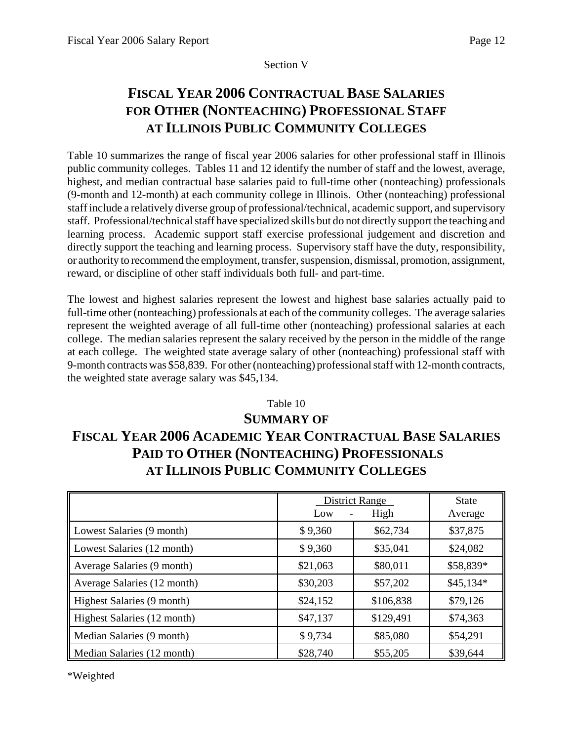## Section V

# **FISCAL YEAR 2006 CONTRACTUAL BASE SALARIES FOR OTHER (NONTEACHING) PROFESSIONAL STAFF AT ILLINOIS PUBLIC COMMUNITY COLLEGES**

Table 10 summarizes the range of fiscal year 2006 salaries for other professional staff in Illinois public community colleges. Tables 11 and 12 identify the number of staff and the lowest, average, highest, and median contractual base salaries paid to full-time other (nonteaching) professionals (9-month and 12-month) at each community college in Illinois. Other (nonteaching) professional staff include a relatively diverse group of professional/technical, academic support, and supervisory staff. Professional/technical staff have specialized skills but do not directly support the teaching and learning process. Academic support staff exercise professional judgement and discretion and directly support the teaching and learning process. Supervisory staff have the duty, responsibility, or authority to recommend the employment, transfer, suspension, dismissal, promotion, assignment, reward, or discipline of other staff individuals both full- and part-time.

The lowest and highest salaries represent the lowest and highest base salaries actually paid to full-time other (nonteaching) professionals at each of the community colleges. The average salaries represent the weighted average of all full-time other (nonteaching) professional salaries at each college. The median salaries represent the salary received by the person in the middle of the range at each college. The weighted state average salary of other (nonteaching) professional staff with 9-month contracts was \$58,839. For other (nonteaching) professional staff with 12-month contracts, the weighted state average salary was \$45,134.

# Table 10 **SUMMARY OF FISCAL YEAR 2006 ACADEMIC YEAR CONTRACTUAL BASE SALARIES PAID TO OTHER (NONTEACHING) PROFESSIONALS AT ILLINOIS PUBLIC COMMUNITY COLLEGES**

|                             | Low      | <b>District Range</b><br>High | <b>State</b><br>Average |
|-----------------------------|----------|-------------------------------|-------------------------|
|                             |          |                               |                         |
| Lowest Salaries (9 month)   | \$9,360  | \$62,734                      | \$37,875                |
| Lowest Salaries (12 month)  | \$9,360  | \$35,041                      | \$24,082                |
| Average Salaries (9 month)  | \$21,063 | \$80,011                      | \$58,839*               |
| Average Salaries (12 month) | \$30,203 | \$57,202                      | $$45,134*$              |
| Highest Salaries (9 month)  | \$24,152 | \$106,838                     | \$79,126                |
| Highest Salaries (12 month) | \$47,137 | \$129,491                     | \$74,363                |
| Median Salaries (9 month)   | \$9,734  | \$85,080                      | \$54,291                |
| Median Salaries (12 month)  | \$28,740 | \$55,205                      | \$39,644                |

\*Weighted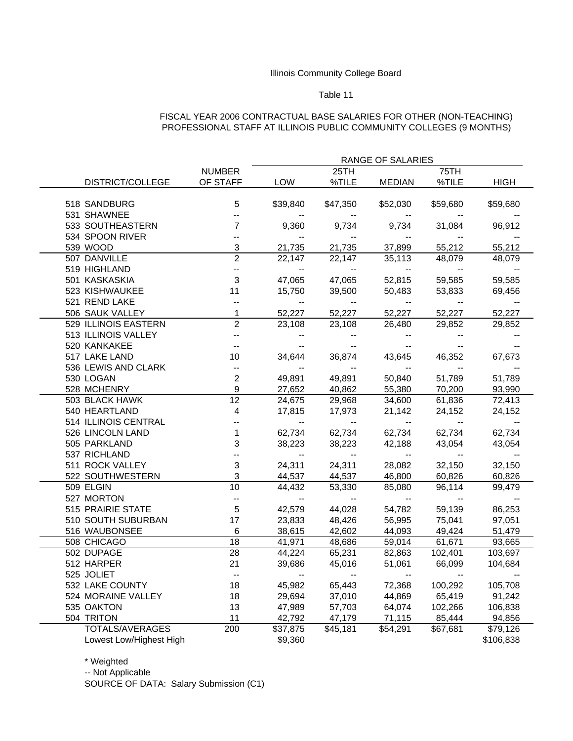#### Table 11

#### FISCAL YEAR 2006 CONTRACTUAL BASE SALARIES FOR OTHER (NON-TEACHING) PROFESSIONAL STAFF AT ILLINOIS PUBLIC COMMUNITY COLLEGES (9 MONTHS)

|                         |                          |                                               |                          | RANGE OF SALARIES                             |                                               |                                               |  |
|-------------------------|--------------------------|-----------------------------------------------|--------------------------|-----------------------------------------------|-----------------------------------------------|-----------------------------------------------|--|
|                         | <b>NUMBER</b>            |                                               | 25TH                     |                                               | 75TH                                          |                                               |  |
| DISTRICT/COLLEGE        | OF STAFF                 | LOW                                           | %TILE                    | <b>MEDIAN</b>                                 | %TILE                                         | <b>HIGH</b>                                   |  |
|                         |                          |                                               |                          |                                               |                                               |                                               |  |
| 518 SANDBURG            | 5                        | \$39,840                                      | \$47,350                 | \$52,030                                      | \$59,680                                      | \$59,680                                      |  |
| 531 SHAWNEE             | $\overline{\phantom{a}}$ |                                               | $- -$                    |                                               |                                               |                                               |  |
| 533 SOUTHEASTERN        | $\overline{7}$           | 9,360                                         | 9,734                    | 9,734                                         | 31,084                                        | 96,912                                        |  |
| 534 SPOON RIVER         | $\overline{\phantom{a}}$ | $\overline{\phantom{a}}$                      | $\overline{\phantom{a}}$ | $\overline{\phantom{a}}$                      |                                               |                                               |  |
| 539 WOOD                | 3                        | 21,735                                        | 21,735                   | 37,899                                        | 55,212                                        | 55,212                                        |  |
| 507 DANVILLE            | $\overline{2}$           | 22,147                                        | 22,147                   | 35,113                                        | 48,079                                        | 48,079                                        |  |
| 519 HIGHLAND            | ÷,                       | $\mathord{\hspace{1pt}\text{--}\hspace{1pt}}$ | $\sim$                   | $\sim$                                        | $\overline{\phantom{a}}$                      |                                               |  |
| 501 KASKASKIA           | $\mathbf{3}$             | 47,065                                        | 47,065                   | 52,815                                        | 59,585                                        | 59,585                                        |  |
| 523 KISHWAUKEE          | 11                       | 15,750                                        | 39,500                   | 50,483                                        | 53,833                                        | 69,456                                        |  |
| 521 REND LAKE           | $\overline{\phantom{a}}$ | $\mathcal{L}_{\mathcal{F}}$                   | <b>Contract Service</b>  | $\sim$                                        | $\overline{\phantom{a}}$                      | $\mathord{\hspace{1pt}\text{--}\hspace{1pt}}$ |  |
| 506 SAUK VALLEY         | $\mathbf{1}$             | 52,227                                        | 52,227                   | 52,227                                        | 52,227                                        | 52,227                                        |  |
| 529 ILLINOIS EASTERN    | $\overline{2}$           | 23,108                                        | 23,108                   | 26,480                                        | 29,852                                        | 29,852                                        |  |
| 513 ILLINOIS VALLEY     | $\overline{\phantom{a}}$ | $\overline{\phantom{a}}$                      | $\overline{\phantom{a}}$ |                                               |                                               |                                               |  |
| 520 KANKAKEE            | $\overline{\phantom{a}}$ | $\mathord{\hspace{1pt}\text{--}\hspace{1pt}}$ | $\overline{\phantom{a}}$ | $\overline{\phantom{a}}$                      | $\mathord{\hspace{1pt}\text{--}\hspace{1pt}}$ | $\overline{\phantom{a}}$                      |  |
| 517 LAKE LAND           | 10                       | 34,644                                        | 36,874                   | 43,645                                        | 46,352                                        | 67,673                                        |  |
| 536 LEWIS AND CLARK     | $\overline{\phantom{a}}$ | $\sim$ 100 $\pm$                              | <b>Service</b>           | $\sim$                                        | $\mathord{\hspace{1pt}\text{--}\hspace{1pt}}$ |                                               |  |
| 530 LOGAN               | $\overline{2}$           | 49,891                                        | 49,891                   | 50,840                                        | 51,789                                        | 51,789                                        |  |
| 528 MCHENRY             | $\boldsymbol{9}$         | 27,652                                        | 40,862                   | 55,380                                        | 70,200                                        | 93,990                                        |  |
| 503 BLACK HAWK          | 12                       | 24,675                                        | 29,968                   | 34,600                                        | 61,836                                        | 72,413                                        |  |
| 540 HEARTLAND           | 4                        | 17,815                                        | 17,973                   | 21,142                                        | 24,152                                        | 24,152                                        |  |
| 514 ILLINOIS CENTRAL    | $\ddot{\phantom{a}}$     | $\overline{\phantom{a}}$                      | $\overline{\phantom{a}}$ | $\mathord{\hspace{1pt}\text{--}\hspace{1pt}}$ | $\overline{\phantom{a}}$                      |                                               |  |
| 526 LINCOLN LAND        | $\mathbf{1}$             | 62,734                                        | 62,734                   | 62,734                                        | 62,734                                        | 62,734                                        |  |
| 505 PARKLAND            | $\sqrt{3}$               | 38,223                                        | 38,223                   | 42,188                                        | 43,054                                        | 43,054                                        |  |
| 537 RICHLAND            | $\ddot{\phantom{a}}$     | $\mathord{\hspace{1pt}\text{--}\hspace{1pt}}$ | $\overline{\phantom{a}}$ | $\overline{\phantom{a}}$                      | $\overline{\phantom{a}}$                      | $\mathord{\hspace{1pt}\text{--}\hspace{1pt}}$ |  |
| 511 ROCK VALLEY         | $\mathbf{3}$             | 24,311                                        | 24,311                   | 28,082                                        | 32,150                                        | 32,150                                        |  |
| 522 SOUTHWESTERN        | 3                        | 44,537                                        | 44,537                   | 46,800                                        | 60,826                                        | 60,826                                        |  |
| 509 ELGIN               | 10                       | 44,432                                        | 53,330                   | 85,080                                        | 96,114                                        | 99,479                                        |  |
| 527 MORTON              | ÷,                       | $\sim$                                        | $\sim$                   | $\sim$                                        | $\overline{\phantom{a}}$                      |                                               |  |
| 515 PRAIRIE STATE       | $\sqrt{5}$               | 42,579                                        | 44,028                   | 54,782                                        | 59,139                                        | 86,253                                        |  |
| 510 SOUTH SUBURBAN      | 17                       | 23,833                                        | 48,426                   | 56,995                                        | 75,041                                        | 97,051                                        |  |
| 516 WAUBONSEE           | 6                        | 38,615                                        | 42,602                   | 44,093                                        | 49,424                                        | 51,479                                        |  |
| 508 CHICAGO             | 18                       | 41,971                                        | 48,686                   | 59,014                                        | 61,671                                        | 93,665                                        |  |
| 502 DUPAGE              | 28                       | 44,224                                        | 65,231                   | 82,863                                        | 102,401                                       | 103,697                                       |  |
| 512 HARPER              | 21                       | 39,686                                        | 45,016                   | 51,061                                        | 66,099                                        | 104,684                                       |  |
| 525 JOLIET              | $\overline{\phantom{a}}$ | $\mathord{\hspace{1pt}\text{--}\hspace{1pt}}$ | $\sim$ $ -$              | $\mathbf{L}$                                  | $\sim$                                        | $\overline{a}$                                |  |
| 532 LAKE COUNTY         | 18                       | 45,982                                        | 65,443                   | 72,368                                        | 100,292                                       | 105,708                                       |  |
| 524 MORAINE VALLEY      | 18                       | 29,694                                        | 37,010                   | 44,869                                        | 65,419                                        | 91,242                                        |  |
| 535 OAKTON              | 13                       | 47,989                                        | 57,703                   | 64,074                                        | 102,266                                       | 106,838                                       |  |
| 504 TRITON              | 11                       | 42,792                                        | 47,179                   | 71,115                                        | 85,444                                        | 94,856                                        |  |
| TOTALS/AVERAGES         | 200                      | \$37,875                                      | \$45,181                 | \$54,291                                      | \$67,681                                      | \$79,126                                      |  |
| Lowest Low/Highest High |                          | \$9,360                                       |                          |                                               |                                               | \$106,838                                     |  |

\* Weighted

-- Not Applicable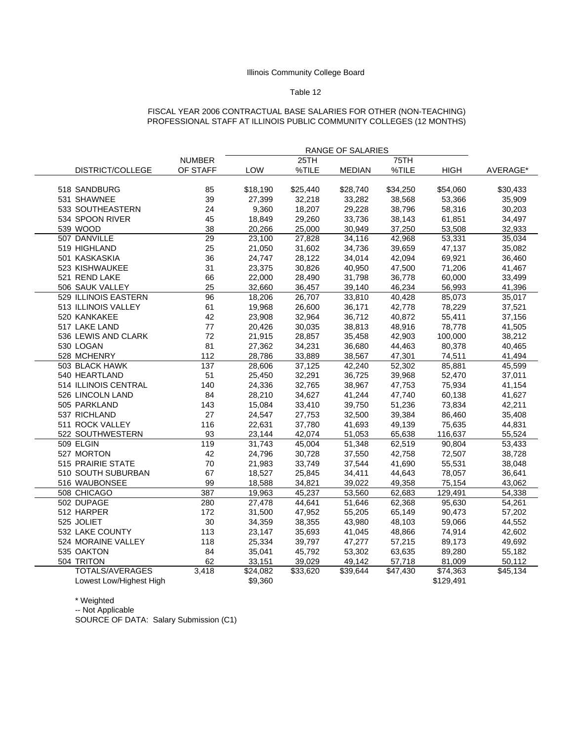#### Table 12

#### FISCAL YEAR 2006 CONTRACTUAL BASE SALARIES FOR OTHER (NON-TEACHING) PROFESSIONAL STAFF AT ILLINOIS PUBLIC COMMUNITY COLLEGES (12 MONTHS)

|                         |               |                     |          | RANGE OF SALARIES |          |                     |          |  |  |
|-------------------------|---------------|---------------------|----------|-------------------|----------|---------------------|----------|--|--|
|                         | <b>NUMBER</b> |                     | 25TH     |                   | 75TH     |                     |          |  |  |
| DISTRICT/COLLEGE        | OF STAFF      | LOW                 | %TILE    | <b>MEDIAN</b>     | %TILE    | <b>HIGH</b>         | AVERAGE* |  |  |
| 518 SANDBURG            | 85            | \$18,190            | \$25,440 | \$28,740          | \$34,250 | \$54,060            | \$30,433 |  |  |
| 531 SHAWNEE             | 39            | 27,399              | 32,218   | 33,282            | 38,568   | 53,366              | 35,909   |  |  |
| 533 SOUTHEASTERN        | 24            | 9,360               | 18,207   | 29,228            | 38,796   | 58,316              | 30,203   |  |  |
| 534 SPOON RIVER         | 45            | 18,849              | 29,260   | 33,736            | 38,143   | 61,851              | 34,497   |  |  |
| 539 WOOD                | 38            | 20,266              | 25,000   | 30,949            | 37,250   | 53,508              | 32,933   |  |  |
| 507 DANVILLE            | 29            | $\overline{2}3,100$ | 27,828   | 34,116            | 42,968   | $\overline{5}3,331$ | 35,034   |  |  |
| 519 HIGHLAND            | 25            | 21,050              | 31,602   | 34,736            | 39,659   | 47,137              | 35,082   |  |  |
| 501 KASKASKIA           | 36            | 24,747              | 28,122   | 34,014            | 42,094   | 69,921              | 36,460   |  |  |
| 523 KISHWAUKEE          | 31            | 23,375              | 30,826   | 40,950            | 47,500   | 71,206              | 41,467   |  |  |
| 521 REND LAKE           | 66            | 22,000              | 28,490   | 31,798            | 36,778   | 60,000              | 33,499   |  |  |
| 506 SAUK VALLEY         | 25            | 32,660              | 36,457   | 39,140            | 46,234   | 56,993              | 41,396   |  |  |
| 529 ILLINOIS EASTERN    | 96            | 18,206              | 26,707   | 33,810            | 40,428   | 85,073              | 35,017   |  |  |
| 513 ILLINOIS VALLEY     | 61            | 19,968              | 26,600   | 36,171            | 42,778   | 78,229              | 37,521   |  |  |
| 520 KANKAKEE            | 42            | 23,908              | 32,964   | 36,712            | 40,872   | 55,411              | 37,156   |  |  |
| 517 LAKE LAND           | 77            | 20,426              | 30,035   | 38,813            | 48,916   | 78,778              | 41,505   |  |  |
| 536 LEWIS AND CLARK     | 72            | 21,915              | 28,857   | 35,458            | 42,903   | 100,000             | 38,212   |  |  |
| 530 LOGAN               | 81            | 27,362              | 34,231   | 36,680            | 44,463   | 80,378              | 40,465   |  |  |
| 528 MCHENRY             | 112           | 28,786              | 33,889   | 38,567            | 47,301   | 74,511              | 41,494   |  |  |
| 503 BLACK HAWK          | 137           | 28,606              | 37,125   | 42,240            | 52,302   | 85,881              | 45,599   |  |  |
| 540 HEARTLAND           | 51            | 25,450              | 32,291   | 36,725            | 39,968   | 52,470              | 37,011   |  |  |
| 514 ILLINOIS CENTRAL    | 140           | 24,336              | 32,765   | 38,967            | 47,753   | 75,934              | 41,154   |  |  |
| 526 LINCOLN LAND        | 84            | 28,210              | 34,627   | 41,244            | 47,740   | 60,138              | 41,627   |  |  |
| 505 PARKLAND            | 143           | 15,084              | 33,410   | 39,750            | 51,236   | 73,834              | 42,211   |  |  |
| 537 RICHLAND            | 27            | 24,547              | 27,753   | 32,500            | 39,384   | 86,460              | 35,408   |  |  |
| 511 ROCK VALLEY         | 116           | 22,631              | 37,780   | 41,693            | 49,139   | 75,635              | 44,831   |  |  |
| 522 SOUTHWESTERN        | 93            | 23,144              | 42,074   | 51,053            | 65,638   | 116,637             | 55,524   |  |  |
| 509 ELGIN               | 119           | 31,743              | 45,004   | 51,348            | 62,519   | 90,804              | 53,433   |  |  |
| 527 MORTON              | 42            | 24,796              | 30,728   | 37,550            | 42,758   | 72,507              | 38,728   |  |  |
| 515 PRAIRIE STATE       | 70            | 21,983              | 33,749   | 37,544            | 41,690   | 55,531              | 38,048   |  |  |
| 510 SOUTH SUBURBAN      | 67            | 18,527              | 25,845   | 34,411            | 44,643   | 78,057              | 36,641   |  |  |
| 516 WAUBONSEE           | 99            | 18,588              | 34,821   | 39,022            | 49,358   | 75,154              | 43,062   |  |  |
| 508 CHICAGO             | 387           | 19,963              | 45,237   | 53,560            | 62,683   | 129,491             | 54,338   |  |  |
| 502 DUPAGE              | 280           | 27,478              | 44,641   | 51,646            | 62,368   | 95.630              | 54,261   |  |  |
| 512 HARPER              | 172           | 31,500              | 47,952   | 55,205            | 65,149   | 90,473              | 57,202   |  |  |
| 525 JOLIET              | 30            | 34,359              | 38,355   | 43,980            | 48,103   | 59,066              | 44,552   |  |  |
| 532 LAKE COUNTY         | 113           | 23,147              | 35,693   | 41,045            | 48,866   | 74,914              | 42,602   |  |  |
| 524 MORAINE VALLEY      | 118           | 25,334              | 39,797   | 47,277            | 57,215   | 89,173              | 49,692   |  |  |
| 535 OAKTON              | 84            | 35,041              | 45,792   | 53,302            | 63,635   | 89,280              | 55,182   |  |  |
| 504 TRITON              | 62            | 33,151              | 39,029   | 49,142            | 57,718   | 81,009              | 50,112   |  |  |
| <b>TOTALS/AVERAGES</b>  | 3,418         | \$24,082            | \$33,620 | \$39,644          | \$47,430 | \$74,363            | \$45,134 |  |  |
| Lowest Low/Highest High |               | \$9,360             |          |                   |          | \$129,491           |          |  |  |

\* Weighted

-- Not Applicable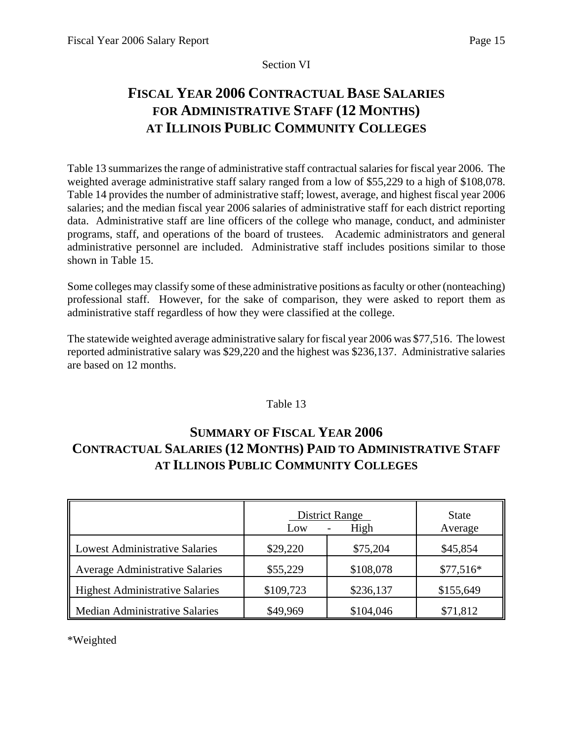## Section VI

# **FISCAL YEAR 2006 CONTRACTUAL BASE SALARIES FOR ADMINISTRATIVE STAFF (12 MONTHS) AT ILLINOIS PUBLIC COMMUNITY COLLEGES**

Table 13 summarizes the range of administrative staff contractual salaries for fiscal year 2006. The weighted average administrative staff salary ranged from a low of \$55,229 to a high of \$108,078. Table 14 provides the number of administrative staff; lowest, average, and highest fiscal year 2006 salaries; and the median fiscal year 2006 salaries of administrative staff for each district reporting data. Administrative staff are line officers of the college who manage, conduct, and administer programs, staff, and operations of the board of trustees. Academic administrators and general administrative personnel are included. Administrative staff includes positions similar to those shown in Table 15.

Some colleges may classify some of these administrative positions as faculty or other (nonteaching) professional staff. However, for the sake of comparison, they were asked to report them as administrative staff regardless of how they were classified at the college.

The statewide weighted average administrative salary for fiscal year 2006 was \$77,516. The lowest reported administrative salary was \$29,220 and the highest was \$236,137. Administrative salaries are based on 12 months.

## Table 13

# **SUMMARY OF FISCAL YEAR 2006 CONTRACTUAL SALARIES (12 MONTHS) PAID TO ADMINISTRATIVE STAFF AT ILLINOIS PUBLIC COMMUNITY COLLEGES**

|                                        | <b>District Range</b><br>Low | <b>State</b><br>Average |            |
|----------------------------------------|------------------------------|-------------------------|------------|
| <b>Lowest Administrative Salaries</b>  | \$29,220                     | \$75,204                | \$45,854   |
| <b>Average Administrative Salaries</b> | \$55,229                     | \$108,078               | $$77,516*$ |
| <b>Highest Administrative Salaries</b> | \$109,723                    | \$236,137               | \$155,649  |
| <b>Median Administrative Salaries</b>  | \$49,969                     | \$104,046               | \$71,812   |

\*Weighted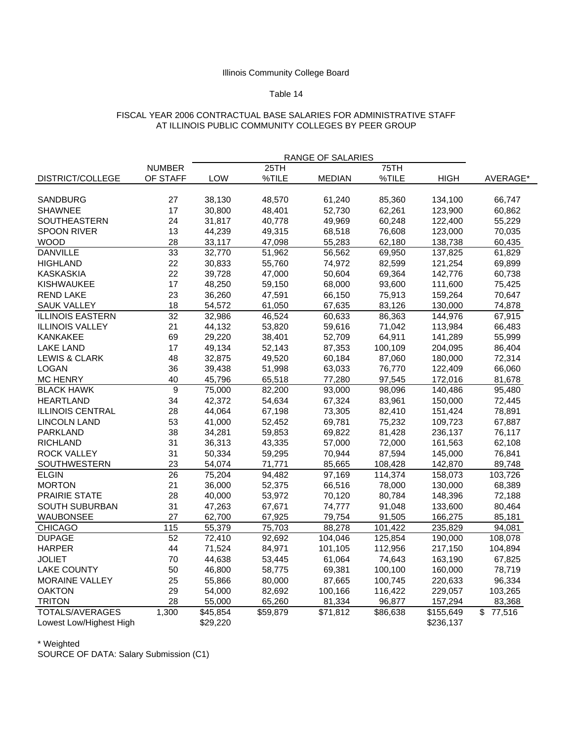#### Table 14

#### FISCAL YEAR 2006 CONTRACTUAL BASE SALARIES FOR ADMINISTRATIVE STAFF AT ILLINOIS PUBLIC COMMUNITY COLLEGES BY PEER GROUP

|                          |                  |                      |          | RANGE OF SALARIES    |          |                       |                                   |
|--------------------------|------------------|----------------------|----------|----------------------|----------|-----------------------|-----------------------------------|
|                          | <b>NUMBER</b>    |                      | 25TH     |                      | 75TH     |                       |                                   |
| DISTRICT/COLLEGE         | OF STAFF         | <b>LOW</b>           | %TILE    | <b>MEDIAN</b>        | %TILE    | <b>HIGH</b>           | AVERAGE*                          |
|                          |                  |                      |          |                      |          |                       |                                   |
| SANDBURG                 | 27               | 38,130               | 48,570   | 61,240               | 85,360   | 134,100               | 66,747                            |
| <b>SHAWNEE</b>           | 17               | 30,800               | 48,401   | 52,730               | 62,261   | 123,900               | 60,862                            |
| <b>SOUTHEASTERN</b>      | 24               | 31,817               | 40,778   | 49,969               | 60,248   | 122,400               | 55,229                            |
| <b>SPOON RIVER</b>       | 13               | 44,239               | 49,315   | 68,518               | 76,608   | 123,000               | 70,035                            |
| WOOD                     | 28               | 33,117               | 47,098   | 55,283               | 62,180   | 138,738               | 60,435                            |
| <b>DANVILLE</b>          | 33               | 32,770               | 51,962   | 56,562               | 69,950   | 137,825               | 61,829                            |
| HIGHLAND                 | 22               | 30,833               | 55,760   | 74,972               | 82,599   | 121,254               | 69,899                            |
| <b>KASKASKIA</b>         | 22               | 39,728               | 47,000   | 50,604               | 69,364   | 142,776               | 60,738                            |
| <b>KISHWAUKEE</b>        | 17               | 48,250               | 59,150   | 68,000               | 93,600   | 111,600               | 75,425                            |
| <b>REND LAKE</b>         | 23               | 36,260               | 47,591   | 66,150               | 75,913   | 159,264               | 70,647                            |
| <b>SAUK VALLEY</b>       | 18               | 54,572               | 61,050   | 67,635               | 83,126   | 130,000               | 74,878                            |
| <b>ILLINOIS EASTERN</b>  | 32               | 32,986               | 46,524   | 60,633               | 86,363   | 144,976               | 67,915                            |
| <b>ILLINOIS VALLEY</b>   | 21               | 44,132               | 53,820   | 59,616               | 71,042   | 113,984               | 66,483                            |
| <b>KANKAKEE</b>          | 69               | 29,220               | 38,401   | 52,709               | 64,911   | 141,289               | 55,999                            |
| <b>LAKE LAND</b>         | 17               | 49,134               | 52,143   | 87,353               | 100,109  | 204,095               | 86,404                            |
| <b>LEWIS &amp; CLARK</b> | 48               | 32,875               | 49,520   | 60,184               | 87,060   | 180,000               | 72,314                            |
| <b>LOGAN</b>             | 36               | 39,438               | 51,998   | 63,033               | 76,770   | 122,409               | 66,060                            |
| <b>MC HENRY</b>          | 40               | 45,796               | 65,518   | 77,280               | 97,545   | 172,016               | 81,678                            |
| <b>BLACK HAWK</b>        | $\boldsymbol{9}$ | 75,000               | 82,200   | 93,000               | 98,096   | 140,486               | 95,480                            |
| <b>HEARTLAND</b>         | 34               | 42,372               | 54,634   | 67,324               | 83,961   | 150,000               | 72,445                            |
| <b>ILLINOIS CENTRAL</b>  | 28               | 44,064               | 67,198   | 73,305               | 82,410   | 151,424               | 78,891                            |
| <b>LINCOLN LAND</b>      | 53               | 41,000               | 52,452   | 69,781               | 75,232   | 109,723               | 67,887                            |
| PARKLAND                 | 38               | 34,281               | 59,853   | 69,822               | 81,428   | 236,137               | 76,117                            |
| <b>RICHLAND</b>          | 31               | 36,313               | 43,335   | 57,000               | 72,000   | 161,563               | 62,108                            |
| <b>ROCK VALLEY</b>       | 31               | 50,334               | 59,295   | 70,944               | 87,594   | 145,000               | 76,841                            |
| SOUTHWESTERN             | 23               | 54,074               | 71,771   | 85,665               | 108,428  | 142,870               | 89,748                            |
| <b>ELGIN</b>             | 26               | 75,204               | 94,482   | 97,169               | 114,374  | 158,073               | 103,726                           |
| <b>MORTON</b>            | 21               | 36,000               | 52,375   | 66,516               | 78,000   | 130,000               | 68,389                            |
| PRAIRIE STATE            | 28               | 40,000               | 53,972   | 70,120               | 80,784   | 148,396               | 72,188                            |
| SOUTH SUBURBAN           | 31               | 47,263               | 67,671   | 74,777               | 91,048   | 133,600               | 80,464                            |
| WAUBONSEE                | 27               | 62,700               | 67,925   | 79,754               | 91,505   | 166,275               | 85,181                            |
| <b>CHICAGO</b>           | 115              | 55,379               | 75,703   | 88,278               | 101,422  | 235,829               | 94,081                            |
| <b>DUPAGE</b>            | 52               | 72,410               | 92,692   | 104,046              | 125,854  | 190,000               | 108,078                           |
| <b>HARPER</b>            | 44               | 71,524               | 84,971   | 101,105              | 112,956  | 217,150               | 104,894                           |
| <b>JOLIET</b>            | 70               | 44,638               | 53,445   | 61,064               | 74,643   | 163,190               | 67,825                            |
| <b>LAKE COUNTY</b>       | 50               | 46,800               | 58,775   | 69,381               | 100,100  | 160,000               | 78,719                            |
| <b>MORAINE VALLEY</b>    | 25               | 55,866               | 80,000   | 87,665               | 100,745  | 220,633               | 96,334                            |
| <b>OAKTON</b>            | 29               | 54,000               | 82,692   | 100,166              | 116,422  | 229,057               | 103,265                           |
| <b>TRITON</b>            | 28               | 55,000               | 65,260   | 81,334               | 96,877   | 157,294               | 83,368                            |
| <b>TOTALS/AVERAGES</b>   | 1,300            | $\overline{$45,854}$ | \$59,879 | $\overline{$}71,812$ | \$86,638 | $\overline{$}155,649$ | $\overline{\mathbb{S}}$<br>77,516 |
| Lowest Low/Highest High  |                  | \$29,220             |          |                      |          | \$236,137             |                                   |

\* Weighted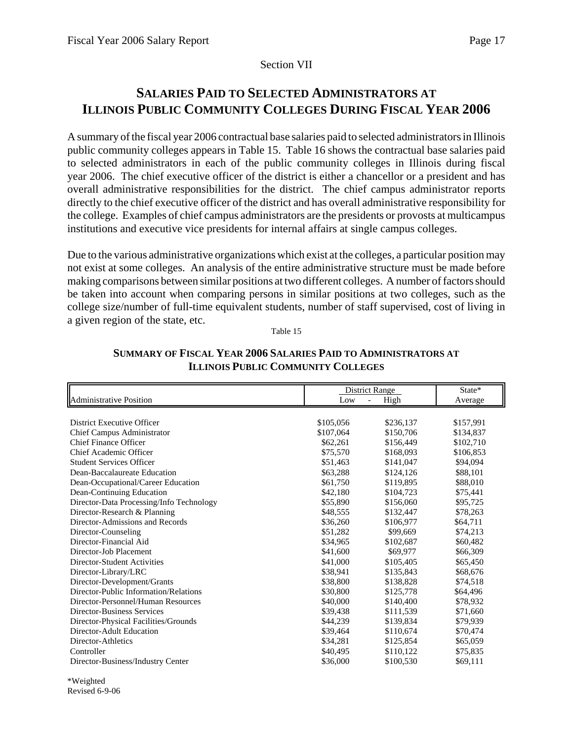## Section VII

# **SALARIES PAID TO SELECTED ADMINISTRATORS AT ILLINOIS PUBLIC COMMUNITY COLLEGES DURING FISCAL YEAR 2006**

A summary of the fiscal year 2006 contractual base salaries paid to selected administrators in Illinois public community colleges appears in Table 15. Table 16 shows the contractual base salaries paid to selected administrators in each of the public community colleges in Illinois during fiscal year 2006. The chief executive officer of the district is either a chancellor or a president and has overall administrative responsibilities for the district. The chief campus administrator reports directly to the chief executive officer of the district and has overall administrative responsibility for the college. Examples of chief campus administrators are the presidents or provosts at multicampus institutions and executive vice presidents for internal affairs at single campus colleges.

Due to the various administrative organizations which exist at the colleges, a particular position may not exist at some colleges. An analysis of the entire administrative structure must be made before making comparisons between similar positions at two different colleges. A number of factors should be taken into account when comparing persons in similar positions at two colleges, such as the college size/number of full-time equivalent students, number of staff supervised, cost of living in a given region of the state, etc.

Table 15

|                                          | District Range        | State*    |           |  |
|------------------------------------------|-----------------------|-----------|-----------|--|
| <b>Administrative Position</b>           | Low<br>$\blacksquare$ | High      | Average   |  |
|                                          |                       |           |           |  |
| District Executive Officer               | \$105,056             | \$236.137 | \$157,991 |  |
| <b>Chief Campus Administrator</b>        | \$107,064             | \$150,706 | \$134,837 |  |
| <b>Chief Finance Officer</b>             | \$62,261              | \$156,449 | \$102,710 |  |
| Chief Academic Officer                   | \$75,570              | \$168,093 | \$106,853 |  |
| <b>Student Services Officer</b>          | \$51,463              | \$141,047 | \$94,094  |  |
| Dean-Baccalaureate Education             | \$63,288              | \$124,126 | \$88,101  |  |
| Dean-Occupational/Career Education       | \$61,750              | \$119,895 | \$88,010  |  |
| Dean-Continuing Education                | \$42,180              | \$104,723 | \$75,441  |  |
| Director-Data Processing/Info Technology | \$55,890              | \$156,060 | \$95,725  |  |
| Director-Research & Planning             | \$48,555              | \$132,447 | \$78,263  |  |
| Director-Admissions and Records          | \$36,260              | \$106,977 | \$64,711  |  |
| Director-Counseling                      | \$51,282              | \$99,669  | \$74,213  |  |
| Director-Financial Aid                   | \$34,965              | \$102,687 | \$60,482  |  |
| Director-Job Placement                   | \$41,600              | \$69,977  | \$66,309  |  |
| Director-Student Activities              | \$41,000              | \$105,405 | \$65,450  |  |
| Director-Library/LRC                     | \$38,941              | \$135,843 | \$68,676  |  |
| Director-Development/Grants              | \$38,800              | \$138,828 | \$74,518  |  |
| Director-Public Information/Relations    | \$30,800              | \$125,778 | \$64,496  |  |
| Director-Personnel/Human Resources       | \$40,000              | \$140,400 | \$78.932  |  |
| Director-Business Services               | \$39,438              | \$111.539 | \$71,660  |  |
| Director-Physical Facilities/Grounds     | \$44,239              | \$139,834 | \$79,939  |  |
| Director-Adult Education                 | \$39,464              | \$110,674 | \$70,474  |  |
| Director-Athletics                       | \$34,281              | \$125,854 | \$65,059  |  |
| Controller                               | \$40,495              | \$110,122 | \$75,835  |  |
| Director-Business/Industry Center        | \$36,000              | \$100,530 | \$69,111  |  |

# **SUMMARY OF FISCAL YEAR 2006 SALARIES PAID TO ADMINISTRATORS AT ILLINOIS PUBLIC COMMUNITY COLLEGES**

\*Weighted Revised 6-9-06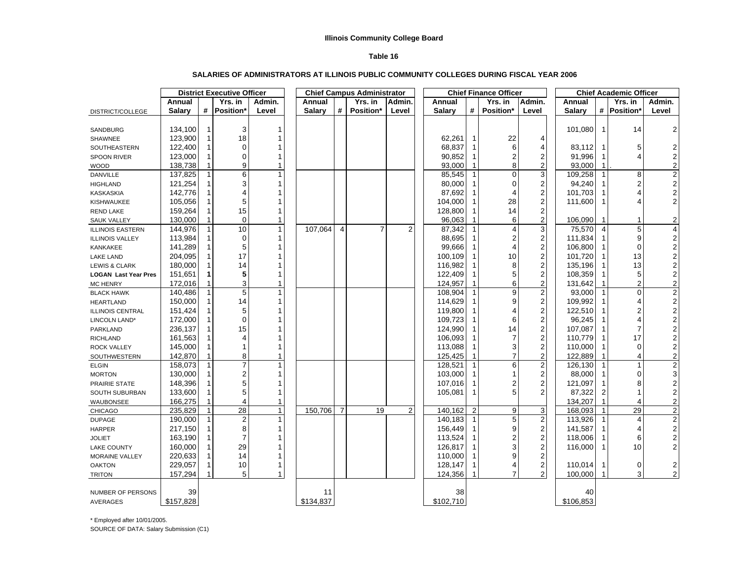#### **Table 16**

#### **SALARIES OF ADMINISTRATORS AT ILLINOIS PUBLIC COMMUNITY COLLEGES DURING FISCAL YEAR 2006**

|                             |           |              | <b>District Executive Officer</b> |              |               |                | <b>Chief Campus Administrator</b> |        |               | <b>Chief Finance Officer</b> |                | <b>Chief Academic Officer</b> |               |                |             |                           |
|-----------------------------|-----------|--------------|-----------------------------------|--------------|---------------|----------------|-----------------------------------|--------|---------------|------------------------------|----------------|-------------------------------|---------------|----------------|-------------|---------------------------|
|                             | Annual    |              | Yrs. in                           | Admin.       | Annual        |                | Yrs. in                           | Admin. | Annual        |                              | Yrs. in        | Admin.                        | Annual        |                | Yrs. in     | Admin.                    |
| DISTRICT/COLLEGE            | Salary    |              | # Position                        | Level        | <b>Salary</b> | #              | Position*                         | Level  | <b>Salary</b> | #                            | Position*      | Level                         | <b>Salary</b> |                | # Position* | Level                     |
|                             |           |              |                                   |              |               |                |                                   |        |               |                              |                |                               |               |                |             |                           |
| SANDBURG                    | 134,100   |              | 3                                 |              |               |                |                                   |        |               |                              |                |                               | 101,080       | $\mathbf{1}$   | 14          | $\mathbf{2}$              |
| SHAWNEE                     | 123,900   |              | 18                                |              |               |                |                                   |        | 62,261        |                              | 22             | 4                             |               |                |             |                           |
| SOUTHEASTERN                | 122,400   |              | $\Omega$                          |              |               |                |                                   |        | 68,837        |                              | 6              | 4                             | 83,112        | $\mathbf 1$    | 5           | $\overline{\mathbf{c}}$   |
| <b>SPOON RIVER</b>          | 123,000   |              | $\Omega$                          |              |               |                |                                   |        | 90,852        |                              | 2              | $\mathbf 2$                   | 91,996        | $\mathbf 1$    |             | $\boldsymbol{2}$          |
| <b>WOOD</b>                 | 138,738   |              | 9                                 | 1            |               |                |                                   |        | 93,000        |                              | 8              | $\overline{2}$                | 93,000        | $\mathbf 1$    |             | $\mathbf 2$               |
| <b>DANVILLE</b>             | 137,825   |              | 6                                 |              |               |                |                                   |        | 85,545        |                              | $\Omega$       | 3                             | 109,258       | $\mathbf{1}$   | 8           | $\overline{c}$            |
| <b>HIGHLAND</b>             | 121,254   |              | 3                                 |              |               |                |                                   |        | 80,000        |                              | 0              | $\overline{\mathbf{c}}$       | 94,240        | $\mathbf{1}$   |             | $\overline{c}$            |
| <b>KASKASKIA</b>            | 142,776   |              |                                   |              |               |                |                                   |        | 87,692        |                              | 4              | $\mathbf 2$                   | 101,703       | -1             |             | $\mathbf 2$               |
| <b>KISHWAUKEE</b>           | 105,056   |              | 5                                 |              |               |                |                                   |        | 104,000       |                              | 28             | $\mathbf 2$                   | 111.600       | 1              |             | $\sqrt{2}$                |
| <b>REND LAKE</b>            | 159,264   |              | 15                                |              |               |                |                                   |        | 128,800       |                              | 14             | $\overline{2}$                |               |                |             |                           |
| <b>SAUK VALLEY</b>          | 130,000   |              | $\Omega$                          | $\mathbf{1}$ |               |                |                                   |        | 96,063        |                              | 6              | $\overline{\mathbf{c}}$       | 106,090       | 1              | 1           | 2                         |
| <b>ILLINOIS EASTERN</b>     | 144,976   |              | 10                                | $\mathbf{1}$ | 107,064       | $\overline{4}$ | $\overline{7}$                    | 2      | 87,342        |                              | 4              | $\overline{3}$                | 75,570        | $\overline{4}$ | 5           | 4                         |
| <b>ILLINOIS VALLEY</b>      | 113,984   |              | 0                                 | $\mathbf 1$  |               |                |                                   |        | 88,695        |                              | 2              | $\boldsymbol{2}$              | 111,834       | -1             | 9           | $\sqrt{2}$                |
| KANKAKEE                    | 141,289   |              | 5                                 |              |               |                |                                   |        | 99,666        |                              | 4              | $\mathbf 2$                   | 106,800       | $\mathbf{1}$   | $\Omega$    | $\sqrt{2}$                |
| <b>LAKE LAND</b>            | 204,095   |              | 17                                |              |               |                |                                   |        | 100,109       |                              | 10             | $\boldsymbol{2}$              | 101,720       | $\mathbf 1$    | 13          | $\boldsymbol{2}$          |
| <b>LEWIS &amp; CLARK</b>    | 180,000   |              | 14                                |              |               |                |                                   |        | 116,982       |                              | 8              | 2                             | 135,196       | $\mathbf 1$    | 13          | $\overline{c}$            |
| <b>LOGAN Last Year Pres</b> | 151,651   | 1            | 5                                 |              |               |                |                                   |        | 122,409       | 1                            | 5              | $\boldsymbol{2}$              | 108,359       | 1              | 5           | $\boldsymbol{2}$          |
| <b>MC HENRY</b>             | 172,016   |              | 3                                 |              |               |                |                                   |        | 124,957       |                              | 6              | $\overline{c}$                | 131,642       |                | 2           | $\boldsymbol{2}$          |
| <b>BLACK HAWK</b>           | 140,486   | $\mathbf 1$  | 5                                 | 1            |               |                |                                   |        | 108,904       |                              | 9              | $\overline{\mathbf{c}}$       | 93,000        | $\overline{1}$ | $\Omega$    | $\overline{2}$            |
| <b>HEARTLAND</b>            | 150,000   |              | 14                                |              |               |                |                                   |        | 114,629       |                              | 9              | $\mathbf 2$                   | 109,992       | 1              |             | $\boldsymbol{2}$          |
| <b>ILLINOIS CENTRAL</b>     | 151,424   |              | 5                                 |              |               |                |                                   |        | 119,800       | 1                            | 4              | $\overline{\mathbf{c}}$       | 122,510       | -1             |             | $\boldsymbol{2}$          |
| LINCOLN LAND*               | 172,000   |              | $\Omega$                          |              |               |                |                                   |        | 109,723       |                              | 6              | $\overline{c}$                | 96,245        | -1             |             | $\overline{\mathbf{c}}$   |
| PARKLAND                    | 236,137   |              | 15                                |              |               |                |                                   |        | 124,990       |                              | 14             | $\overline{\mathbf{c}}$       | 107,087       | -1             |             | $\boldsymbol{2}$          |
| <b>RICHLAND</b>             | 161,563   |              |                                   |              |               |                |                                   |        | 106,093       |                              | 7              | $\boldsymbol{2}$              | 110,779       | -1             | 17          | $\boldsymbol{2}$          |
| <b>ROCK VALLEY</b>          | 145,000   |              |                                   |              |               |                |                                   |        | 113,088       |                              | 3              | $\mathbf 2$                   | 110,000       | 1              | $\Omega$    | $\boldsymbol{2}$          |
| SOUTHWESTERN                | 142,870   |              | 8                                 | 1            |               |                |                                   |        | 125,425       |                              | $\overline{7}$ | $\overline{2}$                | 122,889       | 1              | 4           | $\boldsymbol{2}$          |
| <b>ELGIN</b>                | 158,073   |              |                                   |              |               |                |                                   |        | 128,521       |                              | 6              | $\mathbf 2$                   | 126,130       | $\overline{1}$ | 1           | $\boldsymbol{2}$          |
| <b>MORTON</b>               | 130,000   |              | 2                                 |              |               |                |                                   |        | 103,000       |                              | 1              | $\overline{\mathbf{c}}$       | 88,000        | $\mathbf{1}$   | ∩           | $\ensuremath{\mathsf{3}}$ |
| PRAIRIE STATE               | 148,396   |              | 5                                 |              |               |                |                                   |        | 107,016       | 1                            | 2              | $\mathbf 2$                   | 121,097       | -1             | 8           | $\overline{c}$            |
| SOUTH SUBURBAN              | 133,600   |              |                                   |              |               |                |                                   |        | 105,081       | 1                            | 5              | 2                             | 87,322        | $\overline{2}$ |             | $\boldsymbol{2}$          |
| WAUBONSEE                   | 166,275   |              |                                   | 1            |               |                |                                   |        |               |                              |                |                               | 134,207       | $\mathbf{1}$   |             | $\boldsymbol{2}$          |
| <b>CHICAGO</b>              | 235,829   | $\mathbf{1}$ | 28                                | $\mathbf{1}$ | 150,706       | $\overline{7}$ | 19                                | 2      | 140,162       | $\overline{c}$               | 9              | 3                             | 168,093       | $\overline{1}$ | 29          | $\overline{c}$            |
| <b>DUPAGE</b>               | 190,000   | $\mathbf{1}$ | $\overline{2}$                    | 1            |               |                |                                   |        | 140,183       | 1                            | 5              | $\overline{2}$                | 113,926       | $\mathbf{1}$   | 4           | $\overline{2}$            |
| <b>HARPER</b>               | 217,150   |              | 8                                 | 1            |               |                |                                   |        | 156,449       |                              | 9              | $\overline{\mathbf{c}}$       | 141,587       | -1             |             | $2^{1}$                   |
| <b>JOLIET</b>               | 163,190   |              |                                   |              |               |                |                                   |        | 113,524       |                              | 2              | $\overline{\mathbf{c}}$       | 118,006       | $\mathbf{1}$   | 6           | $\sqrt{2}$                |
| <b>LAKE COUNTY</b>          | 160,000   |              | 29                                |              |               |                |                                   |        | 126,817       |                              | 3              | 2                             | 116,000       | -1             | 10          | $\overline{c}$            |
| MORAINE VALLEY              | 220,633   |              | 14                                |              |               |                |                                   |        | 110,000       |                              | 9              | 2                             |               |                |             |                           |
| <b>OAKTON</b>               | 229,057   |              | 10                                | $\mathbf{1}$ |               |                |                                   |        | 128,147       |                              | 4              | $\overline{\mathbf{c}}$       | 110,014       | 1              | 0           | $\overline{\mathbf{c}}$   |
| <b>TRITON</b>               | 157,294   |              | 5                                 | $\mathbf{1}$ |               |                |                                   |        | 124,356       |                              | 7              | $\overline{2}$                | 100,000       |                | 3           | 2                         |
|                             |           |              |                                   |              |               |                |                                   |        |               |                              |                |                               |               |                |             |                           |
| NUMBER OF PERSONS           | 39        |              |                                   |              | 11            |                |                                   |        | 38            |                              |                |                               | 40            |                |             |                           |
| <b>AVERAGES</b>             | \$157,828 |              |                                   |              | \$134,837     |                |                                   |        | \$102,710     |                              |                |                               | \$106,853     |                |             |                           |

\* Employed after 10/01/2005.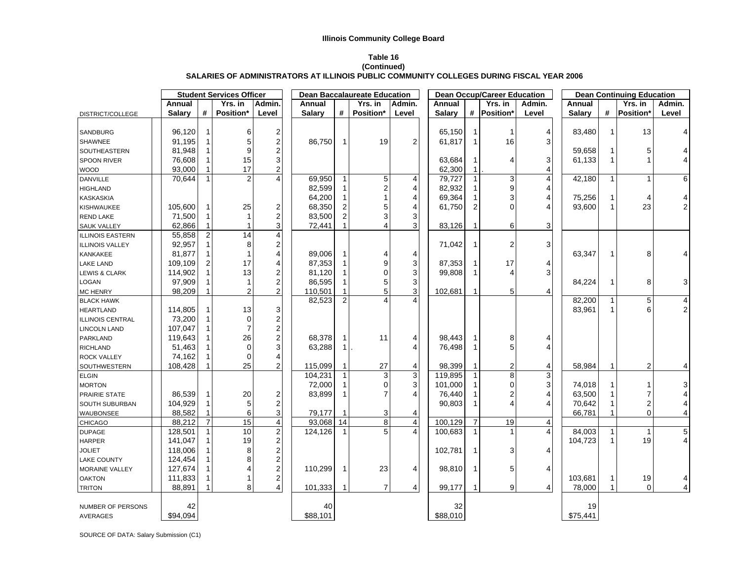#### **Table 16**

#### **(Continued) SALARIES OF ADMINISTRATORS AT ILLINOIS PUBLIC COMMUNITY COLLEGES DURING FISCAL YEAR 2006**

|                          |               |                | <b>Student Services Officer</b> |                                              |           |                | <b>Dean Baccalaureate Education</b> |                | <b>Dean Occup/Career Education</b> |                |             |        | <b>Dean Continuing Education</b> |              |                |                         |  |
|--------------------------|---------------|----------------|---------------------------------|----------------------------------------------|-----------|----------------|-------------------------------------|----------------|------------------------------------|----------------|-------------|--------|----------------------------------|--------------|----------------|-------------------------|--|
|                          | Annual        |                | Yrs. in                         | Admin.                                       | Annual    |                | Yrs. in                             | Admin.         | Annual                             |                | Yrs. in     | Admin. | Annual                           |              | Yrs. in        | Admin.                  |  |
| DISTRICT/COLLEGE         | <b>Salary</b> | #              | Position*                       | Level                                        | Salary    | #              | Position*                           | Level          | <b>Salary</b>                      |                | # Position* | Level  | <b>Salary</b>                    |              | # Position*    | Level                   |  |
|                          |               |                |                                 |                                              |           |                |                                     |                |                                    |                |             |        |                                  |              |                |                         |  |
| SANDBURG                 | 96,120        | $\mathbf{1}$   | 6                               | $\overline{\mathbf{c}}$                      |           |                |                                     |                | 65,150                             | $\mathbf{1}$   | 1           | 4      | 83,480                           | $\mathbf{1}$ | 13             | $\overline{4}$          |  |
| SHAWNEE                  | 91,195        | 1              | 5                               | $\overline{\mathbf{c}}$                      | 86,750    | 1              | 19                                  | $\overline{2}$ | 61,817                             | -1             | 16          | 3      |                                  |              |                |                         |  |
| SOUTHEASTERN             | 81,948        |                | 9                               | $\overline{\mathbf{c}}$                      |           |                |                                     |                |                                    |                |             |        | 59,658                           | 1            | 5              | 4                       |  |
| <b>SPOON RIVER</b>       | 76,608        | $\mathbf 1$    | 15                              | 3                                            |           |                |                                     |                | 63,684                             |                |             | 3      | 61,133                           |              |                | 4                       |  |
| <b>WOOD</b>              | 93,000        |                | 17                              | $\overline{c}$                               |           |                |                                     |                | 62,300                             |                |             | 4      |                                  |              |                |                         |  |
| <b>DANVILLE</b>          | 70,644        | 1              | $\overline{2}$                  | 4                                            | 69,950    |                | 5                                   | 4              | 79,727                             |                | 3           | 4      | 42,180                           | $\mathbf{1}$ | $\mathbf{1}$   | 6                       |  |
| <b>HIGHLAND</b>          |               |                |                                 |                                              | 82,599    |                | $\overline{2}$                      | 4              | 82,932                             |                | 9           | 4      |                                  |              |                |                         |  |
| KASKASKIA                |               |                |                                 |                                              | 64,200    |                |                                     | 4              | 69,364                             |                | 3           | 4      | 75,256                           |              | 4              | 4                       |  |
| KISHWAUKEE               | 105,600       | 1              | 25                              | $\overline{\mathbf{c}}$                      | 68,350    |                | 5                                   | $\overline{4}$ | 61,750                             |                | $\Omega$    |        | 93,600                           | $\mathbf{1}$ | 23             | $\overline{2}$          |  |
| <b>REND LAKE</b>         | 71,500        | $\mathbf{1}$   | $\mathbf{1}$                    | $\overline{c}$                               | 83,500    |                | 3                                   | 3              |                                    |                |             |        |                                  |              |                |                         |  |
| <b>SAUK VALLEY</b>       | 62,866        | $\mathbf{1}$   | 1                               | 3                                            | 72,441    |                | $\overline{4}$                      | 3              | 83,126                             |                | 6           | 3      |                                  |              |                |                         |  |
| ILLINOIS EASTERN         | 55,858        | $\overline{2}$ | 14                              | $\overline{\mathbf{4}}$                      |           |                |                                     |                |                                    |                |             |        |                                  |              |                |                         |  |
| <b>ILLINOIS VALLEY</b>   | 92,957        | $\mathbf{1}$   | 8                               | $\overline{\mathbf{c}}$                      |           |                |                                     |                | 71,042                             | $\mathbf 1$    | 2           | 3      |                                  |              |                |                         |  |
| KANKAKEE                 | 81,877        | $\mathbf{1}$   | $\mathbf{1}$                    | 4                                            | 89,006    |                | 4                                   | 4              |                                    |                |             |        | 63,347                           | $\mathbf{1}$ | 8              | 4                       |  |
| <b>LAKE LAND</b>         | 109,109       | 2              | 17                              | 4                                            | 87,353    |                | 9                                   | 3              | 87,353                             |                | 17          | 4      |                                  |              |                |                         |  |
| <b>LEWIS &amp; CLARK</b> | 114,902       | $\mathbf{1}$   | 13                              | $\overline{\mathbf{c}}$                      | 81,120    |                | $\Omega$                            | 3              | 99,808                             | $\mathbf 1$    | 4           | 3      |                                  |              |                |                         |  |
| LOGAN                    | 97,909        | $\mathbf 1$    | $\mathbf{1}$                    | $\overline{\mathbf{c}}$                      | 86,595    |                | 5                                   | 3              |                                    |                |             |        | 84,224                           | 1            | 8              | 3                       |  |
| <b>MC HENRY</b>          | 98,209        | 1              | $\overline{2}$                  | $\overline{c}$                               | 110,501   |                | 5                                   | 3              | 102,681                            |                | 5           | 4      |                                  |              |                |                         |  |
| <b>BLACK HAWK</b>        |               |                |                                 |                                              | 82,523    | $\overline{2}$ |                                     |                |                                    |                |             |        | 82,200                           | 1            | 5              | $\overline{a}$          |  |
| <b>HEARTLAND</b>         | 114,805       | $\mathbf 1$    | 13                              | 3                                            |           |                |                                     |                |                                    |                |             |        | 83,961                           | 1            | 6              | $2\vert$                |  |
| ILLINOIS CENTRAL         | 73,200        | $\mathbf{1}$   | 0                               |                                              |           |                |                                     |                |                                    |                |             |        |                                  |              |                |                         |  |
| <b>LINCOLN LAND</b>      | 107,047       | $\mathbf 1$    | $\overline{7}$                  |                                              |           |                |                                     |                |                                    |                |             |        |                                  |              |                |                         |  |
| PARKLAND                 | 119,643       | 1              | 26                              | $\begin{array}{c} 2 \\ 2 \\ 2 \end{array}$   | 68,378    |                | 11                                  | 4              | 98,443                             |                | 8           | 4      |                                  |              |                |                         |  |
| <b>RICHLAND</b>          | 51,463        | 1              | 0                               | 3                                            | 63,288    | 1              |                                     |                | 76,498                             |                | 5           |        |                                  |              |                |                         |  |
| <b>ROCK VALLEY</b>       | 74,162        |                | 0                               | 4                                            |           |                |                                     |                |                                    |                |             |        |                                  |              |                |                         |  |
| SOUTHWESTERN             | 108,428       |                | 25                              | 2                                            | 115,099   |                | 27                                  | 4              | 98,399                             |                | 2           | 4      | 58,984                           |              | $\overline{2}$ | 4                       |  |
| <b>ELGIN</b>             |               |                |                                 |                                              | 104,231   |                | 3                                   | $\mathbf{3}$   | 119,895                            |                | 8           | 3      |                                  |              |                |                         |  |
| <b>MORTON</b>            |               |                |                                 |                                              | 72,000    |                | $\Omega$                            | 3              | 101,000                            |                | 0           | 3      | 74,018                           |              | 1              | $\mathbf{3}$            |  |
| PRAIRIE STATE            | 86,539        | 1              | 20                              | 2                                            | 83,899    |                | $\overline{7}$                      | 4              | 76,440                             |                | 2           | 4      | 63,500                           |              | 7              | $\overline{\mathbf{4}}$ |  |
| SOUTH SUBURBAN           | 104,929       | $\mathbf 1$    | 5                               | $\overline{\mathbf{c}}$                      |           |                |                                     |                | 90,803                             |                | 4           | 4      | 70,642                           |              | $\overline{2}$ | 4                       |  |
| WAUBONSEE                | 88,582        |                | 6                               | 3                                            | 79,177    |                | 3                                   | $\overline{4}$ |                                    |                |             |        | 66,781                           |              | 0              | 4                       |  |
| <b>CHICAGO</b>           | 88,212        | $\overline{7}$ | 15                              | $\overline{4}$                               | 93,068 14 |                | $\bf 8$                             | $\overline{4}$ | 100,129                            | $\overline{7}$ | 19          | 4      |                                  |              |                |                         |  |
| <b>DUPAGE</b>            | 128,501       | $\mathbf{1}$   | 10                              | $\overline{2}$                               | 124,126   |                | 5                                   | 4              | 100,683                            | $\mathbf{1}$   |             |        | 84,003                           | 1            | $\mathbf{1}$   | $\overline{5}$          |  |
| <b>HARPER</b>            | 141,047       | 1              | 19                              |                                              |           |                |                                     |                |                                    |                |             |        | 104,723                          | 1            | 19             | 4 <sup>1</sup>          |  |
| <b>JOLIET</b>            | 118,006       | 1              | 8                               | $\begin{array}{c}\n2 \\ 2 \\ 2\n\end{array}$ |           |                |                                     |                | 102,781                            | $\mathbf{1}$   | 3           | 4      |                                  |              |                |                         |  |
| <b>LAKE COUNTY</b>       | 124,454       | 1              | 8                               |                                              |           |                |                                     |                |                                    |                |             |        |                                  |              |                |                         |  |
| MORAINE VALLEY           | 127,674       | 1 <sup>1</sup> | 4                               |                                              | 110,299   | 1              | 23                                  | 4              | 98,810                             | $\overline{1}$ | 5           | 4      |                                  |              |                |                         |  |
| <b>OAKTON</b>            | 111,833       | 1 <sup>1</sup> | 1                               |                                              |           |                |                                     |                |                                    |                |             |        | 103,681                          | 1            | $19$           | 4                       |  |
| <b>TRITON</b>            | 88,891        |                | 8                               | $\frac{2}{4}$                                | 101,333   |                | $\overline{7}$                      | 4              | 99,177                             |                | 9           | 4      | 78,000                           |              | 0              | 4                       |  |
|                          |               |                |                                 |                                              |           |                |                                     |                |                                    |                |             |        |                                  |              |                |                         |  |
| NUMBER OF PERSONS        | 42            |                |                                 |                                              | 40        |                |                                     |                | 32                                 |                |             |        | 19                               |              |                |                         |  |
| <b>AVERAGES</b>          | \$94,094      |                |                                 |                                              | \$88,101  |                |                                     |                | \$88,010                           |                |             |        | \$75,441                         |              |                |                         |  |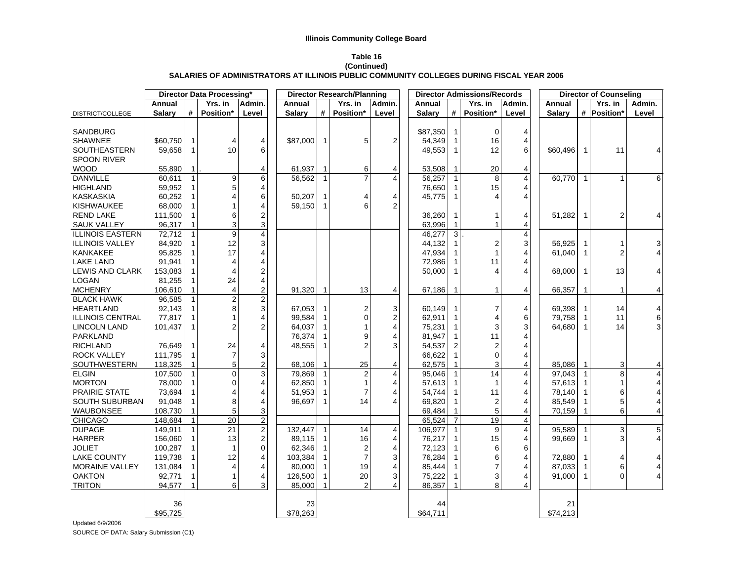#### **Table 16 (Continued) SALARIES OF ADMINISTRATORS AT ILLINOIS PUBLIC COMMUNITY COLLEGES DURING FISCAL YEAR 2006**

|                         |               |                | <b>Director Data Processing®</b> |                         |               |              | <b>Director Research/Planning</b> |                |               |                | <b>Director Admissions/Records</b> |                |               |              | <b>Director of Counseling</b> |                         |
|-------------------------|---------------|----------------|----------------------------------|-------------------------|---------------|--------------|-----------------------------------|----------------|---------------|----------------|------------------------------------|----------------|---------------|--------------|-------------------------------|-------------------------|
|                         | Annual        |                | Yrs. in                          | Admin.                  | Annual        |              | Yrs. in                           | Admin.         | Annual        |                | Yrs. in                            | Admin.         | Annual        |              | Yrs. in                       | Admin.                  |
| DISTRICT/COLLEGE        | <b>Salary</b> | #              | Position*                        | Level                   | <b>Salary</b> | #            | Position*                         | Level          | <b>Salary</b> | #              | Position*                          | Level          | <b>Salary</b> |              | # Position*                   | Level                   |
| SANDBURG                |               |                |                                  |                         |               |              |                                   |                | \$87,350      |                | $\Omega$                           | 4              |               |              |                               |                         |
| <b>SHAWNEE</b>          | \$60,750      | -1             | $\overline{4}$                   | 4                       | \$87,000      | $\mathbf{1}$ | 5                                 | $\overline{2}$ | 54,349        |                | 16                                 | 4              |               |              |                               |                         |
| <b>SOUTHEASTERN</b>     | 59,658        | $\mathbf 1$    | 10                               | 6                       |               |              |                                   |                | 49,553        | -1             | 12                                 | 6              | \$60,496      | 1            | 11                            |                         |
| <b>SPOON RIVER</b>      |               |                |                                  |                         |               |              |                                   |                |               |                |                                    |                |               |              |                               |                         |
| <b>WOOD</b>             | 55,890        | $\mathbf{1}$   |                                  | 4                       | 61,937        | 1            | 6                                 | 4              | 53,508        | -1             | 20                                 | 4              |               |              |                               |                         |
| <b>DANVILLE</b>         | 60.611        | $\overline{1}$ | 9                                | 6                       | 56,562        | $\mathbf{1}$ |                                   | 4              | 56,257        | $\overline{1}$ | 8                                  | 4              | 60,770        | $\mathbf{1}$ | $\mathbf{1}$                  | 6                       |
| <b>HIGHLAND</b>         | 59,952        |                | 5                                | 4                       |               |              |                                   |                | 76,650        | $\mathbf 1$    | 15                                 |                |               |              |                               |                         |
| <b>KASKASKIA</b>        | 60,252        |                | $\overline{4}$                   | 6                       | 50,207        | $\mathbf{1}$ |                                   | 4              | 45,775        | -1             |                                    |                |               |              |                               |                         |
| <b>KISHWAUKEE</b>       | 68,000        |                | 1                                | 4                       | 59,150        | $\mathbf{1}$ | հ                                 | $\overline{2}$ |               |                |                                    |                |               |              |                               |                         |
| <b>REND LAKE</b>        | 111,500       |                | 6                                | $\overline{2}$          |               |              |                                   |                | 36,260        |                |                                    | 4              | 51,282        |              | 2                             | 4                       |
| <b>SAUK VALLEY</b>      | 96,317        | $\mathbf{1}$   | 3                                | 3                       |               |              |                                   |                | 63,996        | $\overline{1}$ |                                    | 4              |               |              |                               |                         |
| <b>ILLINOIS EASTERN</b> | 72,712        | $\overline{1}$ | $\overline{9}$                   | $\overline{4}$          |               |              |                                   |                | 46,277        | 3              |                                    | $\overline{4}$ |               |              |                               |                         |
| <b>ILLINOIS VALLEY</b>  | 84,920        |                | 12                               | 3                       |               |              |                                   |                | 44,132        |                | $\overline{2}$                     | 3              | 56,925        |              | 1                             | 3                       |
| <b>KANKAKEE</b>         | 95,825        |                | 17                               | 4                       |               |              |                                   |                | 47,934        |                |                                    |                | 61.040        |              | 2                             | $\overline{4}$          |
| <b>LAKE LAND</b>        | 91,941        |                | $\overline{4}$                   | 4                       |               |              |                                   |                | 72,986        |                | 11                                 |                |               |              |                               |                         |
| <b>LEWIS AND CLARK</b>  | 153,083       |                | $\overline{4}$                   | 2                       |               |              |                                   |                | 50,000        |                |                                    | 4              | 68,000        | $\mathbf{1}$ | 13                            | 4                       |
| <b>LOGAN</b>            | 81.255        |                | 24                               | 4                       |               |              |                                   |                |               |                |                                    |                |               |              |                               |                         |
| <b>MCHENRY</b>          | 106,610       |                | $\overline{\mathcal{L}}$         | $\overline{\mathbf{c}}$ | 91,320        | $\mathbf 1$  | 13                                | 4              | 67,186        | 1              |                                    | 4              | 66,357        | $\mathbf{1}$ | $\mathbf{1}$                  | 4                       |
| <b>BLACK HAWK</b>       | 96,585        |                | $\overline{c}$                   | $\overline{2}$          |               |              |                                   |                |               |                |                                    |                |               |              |                               |                         |
| <b>HEARTLAND</b>        | 92,143        |                | 8                                | 3                       | 67,053        | 1            | $\overline{2}$                    | 3              | 60,149        |                | 7                                  | 4              | 69,398        |              | 14                            | 4                       |
| <b>ILLINOIS CENTRAL</b> | 77,817        |                | $\mathbf{1}$                     | 4                       | 99,584        | 1            | $\Omega$                          | $\overline{2}$ | 62,911        |                | 4                                  | 6              | 79,758        | 1            | 11                            | $6\vert$                |
| <b>LINCOLN LAND</b>     | 101,437       |                | $\overline{2}$                   | 2                       | 64,037        | $\mathbf{1}$ |                                   | 4              | 75,231        |                | 3                                  | 3              | 64,680        | 1            | 14                            | $\overline{3}$          |
| PARKLAND                |               |                |                                  |                         | 76,374        | 1            | o                                 | 4              | 81,947        |                | 11                                 |                |               |              |                               |                         |
| <b>RICHLAND</b>         | 76,649        | -1             | 24                               | 4                       | 48,555        | 1            | 2                                 | 3              | 54,537        | $\overline{2}$ |                                    |                |               |              |                               |                         |
| <b>ROCK VALLEY</b>      | 111,795       |                | $\overline{7}$                   | 3                       |               |              |                                   |                | 66,622        |                | $\Omega$                           |                |               |              |                               |                         |
| SOUTHWESTERN            | 118,325       |                | 5                                | $\overline{c}$          | 68,106        | 1            | 25                                | 4              | 62,575        |                | 3                                  |                | 85,086        |              | 3                             | 4                       |
| <b>ELGIN</b>            | 107,500       | $\overline{1}$ | $\overline{0}$                   | 3                       | 79,869        | $\mathbf{1}$ | $\overline{2}$                    | $\overline{4}$ | 95,046        | $\overline{1}$ | 14                                 |                | 97,043        |              | 8                             | $\overline{\mathbf{4}}$ |
| <b>MORTON</b>           | 78,000        |                | $\Omega$                         | 4                       | 62,850        | 1            |                                   | 4              | 57,613        |                |                                    |                | 57,613        |              |                               | 4                       |
| <b>PRAIRIE STATE</b>    | 73,694        |                | $\overline{4}$                   | 4                       | 51,953        | 1            |                                   | $\overline{4}$ | 54,744        |                | 11                                 |                | 78,140        |              | 6                             | 4                       |
| <b>SOUTH SUBURBAN</b>   | 91,048        |                | 8                                | 4                       | 96,697        | $\mathbf{1}$ | 14                                | $\overline{4}$ | 69,820        | -1             | $\overline{2}$                     |                | 85,549        |              | 5                             | 4                       |
| <b>WAUBONSEE</b>        | 108,730       |                | 5                                | 3                       |               |              |                                   |                | 69,484        |                | 5                                  |                | 70,159        |              | 6                             | 4                       |
| <b>CHICAGO</b>          | 148,684       | $\overline{1}$ | 20                               | $\overline{2}$          |               |              |                                   |                | 65,524        | $\overline{7}$ | 19                                 | 4              |               |              |                               |                         |
| <b>DUPAGE</b>           | 149.911       | $\overline{1}$ | 21                               | $\overline{2}$          | 132,447       | $\mathbf{1}$ | 14                                | 4              | 106,977       | $\overline{1}$ | 9                                  | 4              | 95,589        |              | 3                             | $\overline{5}$          |
| <b>HARPER</b>           | 156,060       |                | 13                               | $\overline{2}$          | 89,115        | 1            | 16                                | 4              | 76,217        |                | 15                                 | 4              | 99,669        |              | 3                             | $\overline{4}$          |
| <b>JOLIET</b>           | 100,287       |                | $\mathbf{1}$                     | $\Omega$                | 62,346        | $\mathbf{1}$ | $\overline{2}$                    | 4              | 72,123        |                | 6                                  | 6              |               |              |                               |                         |
| <b>LAKE COUNTY</b>      | 119,738       |                | 12                               | 4                       | 103,384       | 1            | $\overline{7}$                    | 3              | 76,284        |                | 6                                  |                | 72,880        |              | 4                             | 4                       |
| <b>MORAINE VALLEY</b>   | 131,084       |                | $\overline{4}$                   | 4                       | 80,000        | 1            | 19                                | 4              | 85,444        |                |                                    |                | 87,033        | -1           | 6                             | 4                       |
| <b>OAKTON</b>           | 92,771        |                | 1                                | 4                       | 126,500       | $\mathbf{1}$ | 20                                | 3              | 75,222        | 1              | 3                                  | 4              | 91,000        | 1            | 0                             | $\vert 4 \vert$         |
| <b>TRITON</b>           | 94,577        |                | 6                                | 3                       | 85,000        |              | $\mathfrak{p}$                    | 4              | 86,357        |                | 8                                  | 4              |               |              |                               |                         |
|                         |               |                |                                  |                         |               |              |                                   |                |               |                |                                    |                |               |              |                               |                         |
|                         | 36            |                |                                  |                         | 23            |              |                                   |                | 44            |                |                                    |                | 21            |              |                               |                         |
|                         | \$95,725      |                |                                  |                         | \$78,263      |              |                                   |                | \$64,711      |                |                                    |                | \$74,213      |              |                               |                         |

Updated 6/9/2006 SOURCE OF DATA: Salary Submission (C1)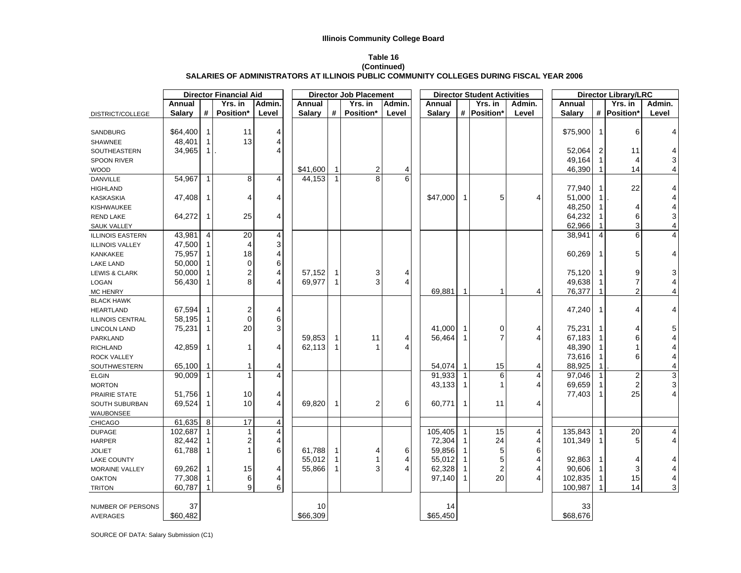#### **Table 16**

#### **(Continued) SALARIES OF ADMINISTRATORS AT ILLINOIS PUBLIC COMMUNITY COLLEGES DURING FISCAL YEAR 2006**

|                          |                  |                             | <b>Director Financial Aid</b> |                         |                  |                              | <b>Director Job Placement</b> |        | <b>Director Student Activities</b> |              |                | <b>Director Library/LRC</b> |               |                |                |                                            |
|--------------------------|------------------|-----------------------------|-------------------------------|-------------------------|------------------|------------------------------|-------------------------------|--------|------------------------------------|--------------|----------------|-----------------------------|---------------|----------------|----------------|--------------------------------------------|
|                          | Annual           |                             | Yrs. in                       | Admin.                  | Annual           |                              | Yrs. in                       | Admin. | Annual                             |              | Yrs. in        | Admin.                      | Annual        |                | Yrs. in        | Admin.                                     |
| DISTRICT/COLLEGE         | <b>Salary</b>    | #                           | Position*                     | Level                   | <b>Salary</b>    | #                            | Position*                     | Level  | <b>Salary</b>                      |              | # Position*    | Level                       | <b>Salary</b> |                | # Position*    | Level                                      |
|                          |                  |                             |                               |                         |                  |                              |                               |        |                                    |              |                |                             |               |                |                |                                            |
| SANDBURG                 | \$64,400         | $\mathbf{1}$                | 11                            | 4                       |                  |                              |                               |        |                                    |              |                |                             | \$75,900      | -1             | 6              | 4                                          |
| <b>SHAWNEE</b>           | 48,401           | $\mathbf{1}$                | 13                            | 4                       |                  |                              |                               |        |                                    |              |                |                             |               |                |                |                                            |
| SOUTHEASTERN             | 34,965           | 1                           |                               | 4                       |                  |                              |                               |        |                                    |              |                |                             | 52,064        | $\overline{2}$ | 11             | 4                                          |
| SPOON RIVER              |                  |                             |                               |                         |                  |                              |                               |        |                                    |              |                |                             | 49,164        | 1              | 4              | 3                                          |
| <b>WOOD</b>              |                  |                             |                               |                         | \$41,600         | $\overline{1}$               | $\overline{2}$                | 4      |                                    |              |                |                             | 46,390        | -1             | 14             | $\overline{\mathbf{4}}$                    |
| <b>DANVILLE</b>          | 54,967           | $\mathbf{1}$                | 8                             | 4                       | 44,153           | $\mathbf{1}$                 | 8                             | 6      |                                    |              |                |                             |               |                |                |                                            |
| <b>HIGHLAND</b>          |                  |                             |                               |                         |                  |                              |                               |        |                                    |              |                |                             | 77,940        | -1             | 22             | 4                                          |
| <b>KASKASKIA</b>         | 47,408           | $\mathbf 1$                 | 4                             | 4                       |                  |                              |                               |        | \$47,000                           | $\mathbf{1}$ | 5              | 4                           | 51,000        | $\mathbf{1}$   |                | 4                                          |
| <b>KISHWAUKEE</b>        |                  |                             |                               |                         |                  |                              |                               |        |                                    |              |                |                             | 48,250        |                | 4              |                                            |
| <b>REND LAKE</b>         | 64,272           | 1                           | 25                            | 4                       |                  |                              |                               |        |                                    |              |                |                             | 64,232        |                | 6              | $\frac{4}{3}$                              |
| <b>SAUK VALLEY</b>       |                  |                             |                               |                         |                  |                              |                               |        |                                    |              |                |                             | 62,966        |                | 3              | $\overline{\mathbf{4}}$                    |
| <b>ILLINOIS EASTERN</b>  | 43,981           | $\overline{4}$              | 20                            | 4                       |                  |                              |                               |        |                                    |              |                |                             | 38,941        | 4              | 6              | 4                                          |
| <b>ILLINOIS VALLEY</b>   | 47,500           | -1                          | 4                             | 3                       |                  |                              |                               |        |                                    |              |                |                             |               |                |                |                                            |
| KANKAKEE                 | 75,957           | 1                           | 18                            | 4                       |                  |                              |                               |        |                                    |              |                |                             | 60,269        |                | 5              | 4                                          |
|                          | 50,000           | $\mathbf 1$                 | $\mathbf 0$                   | 6                       |                  |                              |                               |        |                                    |              |                |                             |               |                |                |                                            |
| <b>LAKE LAND</b>         |                  |                             |                               |                         |                  |                              |                               |        |                                    |              |                |                             | 75,120        |                | 9              |                                            |
| <b>LEWIS &amp; CLARK</b> | 50,000<br>56,430 | $\mathbf{1}$<br>$\mathbf 1$ | 2<br>8                        | 4<br>$\overline{4}$     | 57,152<br>69,977 | $\mathbf{1}$<br>$\mathbf{1}$ | 3<br>3                        | 4<br>4 |                                    |              |                |                             | 49,638        |                | $\overline{7}$ | 3                                          |
| LOGAN                    |                  |                             |                               |                         |                  |                              |                               |        |                                    |              |                |                             |               |                |                | $\overline{\mathcal{L}}$                   |
| <b>MC HENRY</b>          |                  |                             |                               |                         |                  |                              |                               |        | 69,881                             |              | 1              | 4                           | 76,377        |                | 2              | 4                                          |
| <b>BLACK HAWK</b>        |                  |                             |                               |                         |                  |                              |                               |        |                                    |              |                |                             |               |                |                |                                            |
| <b>HEARTLAND</b>         | 67,594           | $\mathbf{1}$                | 2                             | 4                       |                  |                              |                               |        |                                    |              |                |                             | 47,240        | $\mathbf 1$    | 4              | 4                                          |
| <b>ILLINOIS CENTRAL</b>  | 58,195           | $\mathbf 1$                 | $\mathbf 0$                   | 6                       |                  |                              |                               |        |                                    |              |                |                             |               |                |                |                                            |
| <b>LINCOLN LAND</b>      | 75,231           | $\mathbf 1$                 | 20                            | 3                       |                  |                              |                               |        | 41,000                             | $\mathbf 1$  | 0              | 4                           | 75,231        |                | 4              | 5                                          |
| PARKLAND                 |                  |                             |                               |                         | 59,853           | $\mathbf{1}$                 | 11                            | 4      | 56,464                             | -1           | $\overline{7}$ | 4                           | 67,183        |                | 6              | 4                                          |
| <b>RICHLAND</b>          | 42,859           | $\mathbf{1}$                | 1                             | 4                       | 62,113           | 1                            | $\mathbf{1}$                  | 4      |                                    |              |                |                             | 48,390        |                |                | 4                                          |
| <b>ROCK VALLEY</b>       |                  |                             |                               |                         |                  |                              |                               |        |                                    |              |                |                             | 73,616        | 1              | 6              | $\overline{\mathcal{L}}$                   |
| SOUTHWESTERN             | 65,100           | -1                          | $\mathbf 1$                   | 4                       |                  |                              |                               |        | 54,074                             | 1            | 15             | 4                           | 88,925        |                |                | $\overline{\mathbf{4}}$                    |
| <b>ELGIN</b>             | 90,009           | $\mathbf{1}$                | $\mathbf{1}$                  | $\overline{4}$          |                  |                              |                               |        | 91,933                             | $\mathbf 1$  | 6              | 4                           | 97,046        |                | $\overline{2}$ | $\begin{array}{c} 3 \\ 3 \\ 4 \end{array}$ |
| <b>MORTON</b>            |                  |                             |                               |                         |                  |                              |                               |        | 43,133                             | $\mathbf 1$  | 1              | 4                           | 69,659        |                | 2              |                                            |
| PRAIRIE STATE            | 51,756           | $\mathbf{1}$                | 10                            | 4                       |                  |                              |                               |        |                                    |              |                |                             | 77,403        | -1             | 25             |                                            |
| SOUTH SUBURBAN           | 69,524           | 1                           | 10                            | 4                       | 69,820           | $\mathbf{1}$                 | $\overline{2}$                | 6      | 60,771                             | $\mathbf{1}$ | 11             | 4                           |               |                |                |                                            |
| WAUBONSEE                |                  |                             |                               |                         |                  |                              |                               |        |                                    |              |                |                             |               |                |                |                                            |
| CHICAGO                  | 61,635           | 8                           | 17                            | $\overline{\mathbf{4}}$ |                  |                              |                               |        |                                    |              |                |                             |               |                |                |                                            |
| <b>DUPAGE</b>            | 102,687          | $\mathbf{1}$                | 1                             | $\overline{4}$          |                  |                              |                               |        | 105,405                            | $\mathbf{1}$ | 15             | 4                           | 135,843       | 1              | 20             | 4                                          |
| <b>HARPER</b>            | 82,442           | $\mathbf 1$                 | 2                             | 4                       |                  |                              |                               |        | 72,304                             | -1           | 24             | 4                           | 101,349       | -1             | 5              | 4                                          |
| <b>JOLIET</b>            | 61,788           | 1                           | 1                             | 6                       | 61,788           | $\mathbf{1}$                 | 4                             | 6      | 59,856                             | -1           | 5              | 6                           |               |                |                |                                            |
| <b>LAKE COUNTY</b>       |                  |                             |                               |                         | 55,012           | $\mathbf{1}$                 | 1                             | 4      | 55,012                             | 1            | 5              | 4                           | 92,863        |                | 4              | 4                                          |
| MORAINE VALLEY           | 69,262           | $\mathbf{1}$                | 15                            | 4                       | 55,866           | 1                            | 3                             | 4      | 62,328                             | $\mathbf 1$  | $\overline{2}$ | 4                           | 90,606        | -1             | 3              | 4                                          |
| <b>OAKTON</b>            | 77,308           | $\mathbf 1$                 | 6                             | 4                       |                  |                              |                               |        | 97,140                             | $\mathbf{1}$ | 20             | 4                           | 102,835       | 1              | 15             |                                            |
| <b>TRITON</b>            | 60,787           |                             | 9                             | 6                       |                  |                              |                               |        |                                    |              |                |                             | 100,987       |                | 14             | $\frac{4}{3}$                              |
|                          |                  |                             |                               |                         |                  |                              |                               |        |                                    |              |                |                             |               |                |                |                                            |
| NUMBER OF PERSONS        | 37               |                             |                               |                         | 10               |                              |                               |        | 14                                 |              |                |                             | 33            |                |                |                                            |
| <b>AVERAGES</b>          | \$60,482         |                             |                               |                         | \$66,309         |                              |                               |        | \$65,450                           |              |                |                             | \$68,676      |                |                |                                            |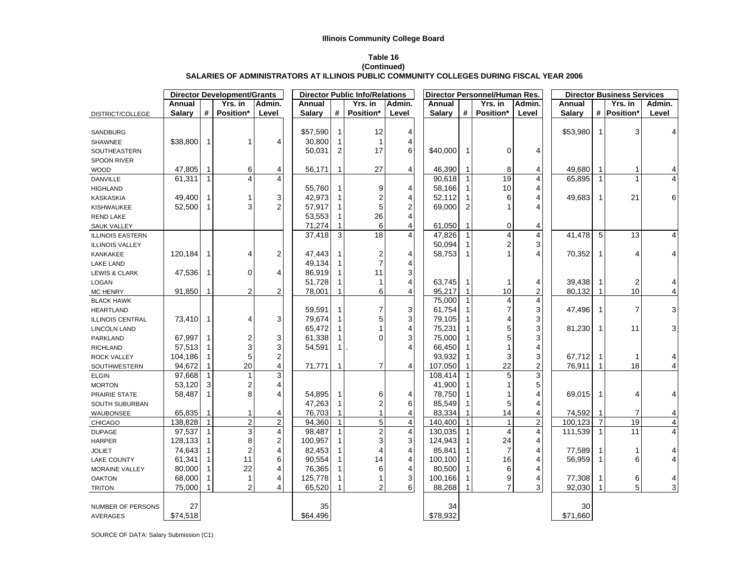#### **Table 16**

#### **(Continued) SALARIES OF ADMINISTRATORS AT ILLINOIS PUBLIC COMMUNITY COLLEGES DURING FISCAL YEAR 2006**

|                              |               |              | <b>Director Development/Grants</b> |                         |               |              | <b>Director Public Info/Relations</b> |                         |               |              | Director Personnel/Human Res. |                |               |                | <b>Director Business Services</b> |                |
|------------------------------|---------------|--------------|------------------------------------|-------------------------|---------------|--------------|---------------------------------------|-------------------------|---------------|--------------|-------------------------------|----------------|---------------|----------------|-----------------------------------|----------------|
|                              | Annual        |              | Yrs. in                            | Admin.                  | Annual        |              | Yrs. in                               | Admin.                  | Annual        |              | Yrs. in                       | Admin.         | Annual        |                | Yrs. in                           | Admin.         |
| DISTRICT/COLLEGE             | <b>Salary</b> | #            | Position*                          | Level                   | <b>Salary</b> | #            | Position*                             | Level                   | <b>Salary</b> | #            | <b>Position*</b>              | Level          | <b>Salary</b> |                | # Position*                       | Level          |
|                              |               |              |                                    |                         |               |              |                                       |                         |               |              |                               |                |               |                |                                   |                |
| SANDBURG                     |               |              |                                    |                         | \$57,590      |              | 12                                    | $\overline{4}$          |               |              |                               |                | \$53,980      | -1             | 3                                 | $\overline{4}$ |
| <b>SHAWNEE</b>               | \$38,800      | $\mathbf 1$  | $\mathbf{1}$                       | 4                       | 30,800        |              | $\mathbf{1}$                          | 4                       |               |              |                               |                |               |                |                                   |                |
| SOUTHEASTERN                 |               |              |                                    |                         | 50,031        | 2            | 17                                    | 6                       | \$40,000      | 1            | $\Omega$                      | 4              |               |                |                                   |                |
| <b>SPOON RIVER</b>           |               |              |                                    |                         |               |              |                                       |                         |               |              |                               |                |               |                |                                   |                |
| <b>WOOD</b>                  | 47,805        | $\mathbf 1$  | 6                                  | 4                       | 56,171        |              | 27                                    | $\overline{4}$          | 46,390        |              | 8                             | 4              | 49,680        |                |                                   | 4              |
| DANVILLE                     | 61,311        | $\mathbf{1}$ | $\overline{\mathbf{4}}$            | $\overline{4}$          |               |              |                                       |                         | 90,618        | $\mathbf{1}$ | 19                            | 4              | 65,895        |                |                                   | 4              |
| <b>HIGHLAND</b>              |               |              |                                    |                         | 55,760        |              | 9                                     | 4                       | 58,166        | 1            | 10                            | 4              |               |                |                                   |                |
| <b>KASKASKIA</b>             | 49,400        | $\mathbf 1$  | 1                                  | 3                       | 42,973        |              | 2                                     | $\overline{4}$          | 52,112        |              | 6                             |                | 49,683        | -1             | 21                                | 6              |
| KISHWAUKEE                   | 52,500        | $\mathbf{1}$ | 3                                  | $\overline{c}$          | 57,917        |              | 5                                     | $\boldsymbol{2}$        | 69,000        | 2            |                               |                |               |                |                                   |                |
| REND LAKE                    |               |              |                                    |                         | 53,553        |              | 26                                    | $\overline{4}$          |               |              |                               |                |               |                |                                   |                |
| <b>SAUK VALLEY</b>           |               |              |                                    |                         | 71,274        |              | 6                                     | $\overline{4}$          | 61,050        | 1            | $\mathbf 0$                   | 4              |               |                |                                   |                |
| <b>ILLINOIS EASTERN</b>      |               |              |                                    |                         | 37,418        | 3            | 18                                    | $\overline{4}$          | 47,826        |              | $\overline{\mathbf{4}}$       | 4              | 41,478        | 5              | 13                                | 4              |
| <b>ILLINOIS VALLEY</b>       |               |              |                                    |                         |               |              |                                       |                         | 50,094        |              | 2                             | 3              |               |                |                                   |                |
| KANKAKEE                     | 120,184       | $\mathbf{1}$ | 4                                  | $\overline{c}$          | 47,443        |              | 2                                     | $\overline{4}$          | 58,753        | $\mathbf{1}$ |                               | 4              | 70,352        |                | 4                                 | 4              |
| <b>LAKE LAND</b>             |               |              |                                    |                         | 49,134        |              | $\overline{\mathcal{I}}$              | 4                       |               |              |                               |                |               |                |                                   |                |
| <b>LEWIS &amp; CLARK</b>     | 47,536        | $\mathbf 1$  | $\mathbf 0$                        | 4                       | 86,919        |              | 11                                    | 3                       |               |              |                               |                |               |                |                                   |                |
| LOGAN                        |               |              |                                    |                         | 51,728        |              | $\mathbf{1}$                          | $\overline{4}$          | 63,745        | 1            |                               | 4              | 39,438        |                | 2                                 | 4              |
| <b>MC HENRY</b>              | 91,850        | 1            | 2                                  | $\overline{c}$          | 78,001        |              | 6                                     | $\overline{4}$          | 95,217        | $\mathbf{1}$ | 10                            | 2              | 80,132        |                | 10                                | 4              |
| <b>BLACK HAWK</b>            |               |              |                                    |                         |               |              |                                       |                         | 75,000        | $\mathbf{1}$ | 4                             | 4              |               |                |                                   |                |
| <b>HEARTLAND</b>             |               |              |                                    |                         | 59,591        |              | 7                                     | 3                       | 61,754        |              | 7                             | 3              | 47,496        |                | 7                                 | 3              |
| <b>ILLINOIS CENTRAL</b>      | 73,410        | $\mathbf{1}$ | 4                                  | 3                       | 79,674        |              | 5                                     | 3                       | 79,105        |              | 4                             | 3              |               |                |                                   |                |
| <b>LINCOLN LAND</b>          |               |              |                                    |                         | 65,472        |              | 1                                     | $\overline{4}$          | 75,231        |              | 5                             | 3              | 81,230        | -1             | 11                                | 3              |
| PARKLAND                     | 67,997        | 1            | 2                                  | 3                       | 61,338        |              | 0                                     | 3                       | 75,000        |              | 5                             | 3              |               |                |                                   |                |
| <b>RICHLAND</b>              | 57,513        | 1            | 3                                  | 3                       | 54,591        | 1            |                                       | $\overline{4}$          | 66,450        |              |                               | 4              |               |                |                                   |                |
| ROCK VALLEY                  | 104,186       | 1            | 5                                  | $\overline{\mathbf{c}}$ |               |              |                                       |                         | 93,932        |              | 3                             | 3              | 67,712        |                |                                   | 4              |
|                              | 94,672        |              | 20                                 | 4                       | 71,771        |              | $\overline{7}$                        | $\overline{4}$          | 107,050       |              | 22                            | 2              | 76,911        |                | 18                                | 4              |
| SOUTHWESTERN<br><b>ELGIN</b> | 97.668        | $\mathbf{1}$ | $\mathbf{1}$                       | $\overline{3}$          |               |              |                                       |                         | 108,414       |              | 5                             | 3              |               |                |                                   |                |
| <b>MORTON</b>                | 53,120        | 3            | 2                                  | 4                       |               |              |                                       |                         | 41,900        |              |                               | 5              |               |                |                                   |                |
| PRAIRIE STATE                | 58,487        | $\mathbf{1}$ | 8                                  | 4                       | 54,895        |              | 6                                     | 4                       | 78,750        |              |                               | 4              | 69,015        | -1             | 4                                 | 4              |
|                              |               |              |                                    |                         | 47,263        |              | $\overline{\mathbf{c}}$               | 6                       | 85,549        |              | 5                             | 4              |               |                |                                   |                |
| SOUTH SUBURBAN               | 65,835        | $\mathbf 1$  | 1                                  | 4                       | 76,703        |              | $\mathbf{1}$                          | $\overline{4}$          | 83,334        |              | 14                            | 4              | 74,592        | -1             | 7                                 |                |
| <b>WAUBONSEE</b>             | 138,828       | $\mathbf{1}$ | $\overline{2}$                     | $\overline{2}$          | 94,360        | $\mathbf{1}$ | $\overline{5}$                        | $\overline{\mathbf{4}}$ | 140.400       | $\mathbf{1}$ | $\mathbf{1}$                  | $\overline{2}$ | 100,123       | $\overline{7}$ | 19                                | 4              |
| <b>CHICAGO</b>               | 97,537        |              | 3                                  | $\overline{4}$          |               |              | $\overline{c}$                        | $\overline{4}$          |               |              | 4                             |                |               |                | 11                                | 4<br>4         |
| <b>DUPAGE</b>                |               | 1<br>1       |                                    | $\mathbf 2$             | 98,487        |              | 3                                     | 3                       | 130,035       |              |                               | 4              | 111,539       | -1             |                                   |                |
| <b>HARPER</b>                | 128,133       |              | 8                                  |                         | 100,957       |              |                                       |                         | 124,943       |              | 24                            | 4              |               |                |                                   |                |
| <b>JOLIET</b>                | 74,643        | 1            | $\boldsymbol{2}$                   | 4                       | 82,453        |              | 4                                     | $\overline{4}$          | 85,841        |              | $\overline{7}$                | 4              | 77,589        |                |                                   | 4              |
| <b>LAKE COUNTY</b>           | 61,341        |              | 11                                 | 6                       | 90,554        |              | 14                                    | $\overline{4}$          | 100,100       |              | 16                            | 4              | 56,959        |                | 6                                 | 4              |
| <b>MORAINE VALLEY</b>        | 80,000        | 1            | 22                                 | 4                       | 76,365        |              | 6                                     | 4                       | 80,500        |              | 6                             | 4              |               |                |                                   |                |
| <b>OAKTON</b>                | 68,000        |              | 1                                  | 4                       | 125,778       |              | 1                                     | 3                       | 100,166       | 1            | 9                             | 4              | 77,308        |                | 6                                 | 4              |
| <b>TRITON</b>                | 75,000        |              | $\overline{2}$                     | 4                       | 65,520        |              | $\overline{2}$                        | 6                       | 88,268        |              | $\overline{7}$                | 3              | 92,030        |                | 5                                 | 3              |
|                              |               |              |                                    |                         |               |              |                                       |                         |               |              |                               |                |               |                |                                   |                |
| NUMBER OF PERSONS            | 27            |              |                                    |                         | 35            |              |                                       |                         | 34            |              |                               |                | 30            |                |                                   |                |
| <b>AVERAGES</b>              | \$74,518      |              |                                    |                         | \$64,496      |              |                                       |                         | \$78,932      |              |                               |                | \$71,660      |                |                                   |                |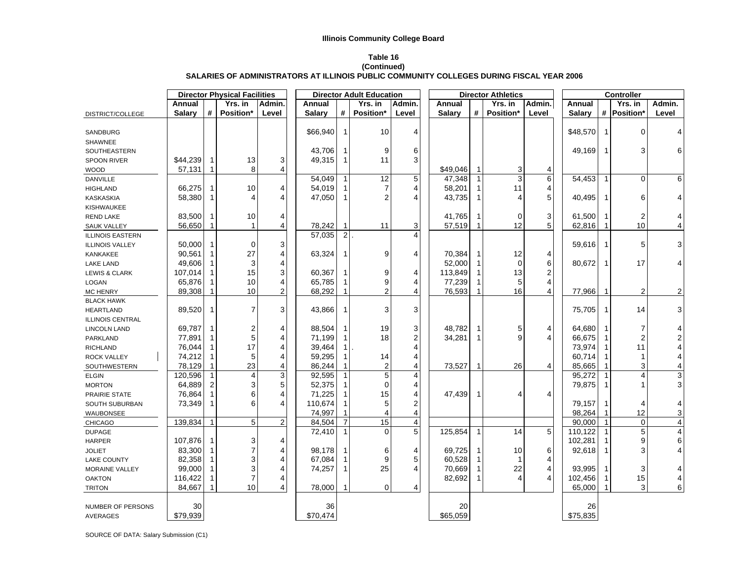## **Table 16**

#### **(Continued) SALARIES OF ADMINISTRATORS AT ILLINOIS PUBLIC COMMUNITY COLLEGES DURING FISCAL YEAR 2006**

|                         |               |                | <b>Director Physical Facilities</b> |        | <b>Director Adult Education</b> |                | <b>Director Athletics</b> |                         |               |      | Controller     |        |               |              |                |                |
|-------------------------|---------------|----------------|-------------------------------------|--------|---------------------------------|----------------|---------------------------|-------------------------|---------------|------|----------------|--------|---------------|--------------|----------------|----------------|
|                         | Annual        |                | Yrs. in                             | Admin. | Annual                          |                | Yrs. in                   | Admin.                  | Annual        |      | Yrs. in        | Admin. | Annual        |              | Yrs. in        | Admin.         |
| DISTRICT/COLLEGE        | <b>Salary</b> | #              | <b>Position*</b>                    | Level  | <b>Salary</b>                   | #              | Position*                 | Level                   | <b>Salary</b> | $\#$ | Position*      | Level  | <b>Salary</b> |              | # Position*    | Level          |
|                         |               |                |                                     |        |                                 |                |                           |                         |               |      |                |        |               |              |                |                |
| SANDBURG                |               |                |                                     |        | \$66,940                        | $\overline{1}$ | 10                        | 4                       |               |      |                |        | \$48,570      | -1           | 0              | 4              |
| SHAWNEE                 |               |                |                                     |        |                                 |                |                           |                         |               |      |                |        |               |              |                |                |
| SOUTHEASTERN            |               |                |                                     |        | 43,706                          | -1             | 9                         | 6                       |               |      |                |        | 49,169        |              | 3              | 6              |
| <b>SPOON RIVER</b>      | \$44,239      | -1             | 13                                  | 3      | 49,315                          | -1             | 11                        | 3                       |               |      |                |        |               |              |                |                |
| <b>WOOD</b>             | 57,131        | 1              | 8                                   | 4      |                                 |                |                           |                         | \$49,046      |      | 3              | 4      |               |              |                |                |
| <b>DANVILLE</b>         |               |                |                                     |        | 54,049                          | $\overline{1}$ | 12                        | 5                       | 47,348        |      | $\overline{3}$ | 6      | 54,453        |              | $\mathbf 0$    | 6              |
| <b>HIGHLAND</b>         | 66,275        | -1             | 10                                  | 4      | 54,019                          |                | 7                         | 4                       | 58,201        | 1    | 11             | 4      |               |              |                |                |
| <b>KASKASKIA</b>        | 58,380        | 1              | $\overline{4}$                      | 4      | 47,050                          | $\overline{1}$ | $\overline{2}$            | 4                       | 43,735        | 1    | $\overline{4}$ | 5      | 40,495        |              | 6              | 4              |
| <b>KISHWAUKEE</b>       |               |                |                                     |        |                                 |                |                           |                         |               |      |                |        |               |              |                |                |
| <b>REND LAKE</b>        | 83,500        | 1              | 10                                  | 4      |                                 |                |                           |                         | 41,765        |      | $\mathbf 0$    | 3      | 61,500        |              | 2              | 4              |
| <b>SAUK VALLEY</b>      | 56,650        | $\mathbf{1}$   | $\mathbf{1}$                        | 4      | 78,242                          | $\mathbf{1}$   | 11                        | 3                       | 57,519        | 1    | 12             | 5      | 62,816        |              | 10             | 4              |
| <b>ILLINOIS EASTERN</b> |               |                |                                     |        | 57,035                          | $\overline{2}$ |                           | $\overline{\Lambda}$    |               |      |                |        |               |              |                |                |
| <b>ILLINOIS VALLEY</b>  | 50,000        | $\mathbf 1$    | $\Omega$                            | 3      |                                 |                |                           |                         |               |      |                |        | 59,616        |              | 5              | 3              |
| KANKAKEE                | 90,561        | $\mathbf{1}$   | 27                                  | 4      | 63,324                          | $\mathbf{1}$   | 9                         | 4                       | 70,384        | 1    | 12             | 4      |               |              |                |                |
| <b>LAKE LAND</b>        | 49,606        | 1              | 3                                   | 4      |                                 |                |                           |                         | 52,000        |      | $\Omega$       | 6      | 80,672        |              | 17             | 4              |
| LEWIS & CLARK           | 107,014       | $\mathbf{1}$   | 15                                  | 3      | 60,367                          | $\mathbf{1}$   | 9                         | 4                       | 113,849       | 1    | 13             | 2      |               |              |                |                |
| LOGAN                   | 65,876        | 1              | 10                                  | 4      | 65,785                          |                | 9                         | 4                       | 77,239        |      | 5              | 4      |               |              |                |                |
| <b>MC HENRY</b>         | 89,308        |                | 10                                  | 2      | 68,292                          |                | 2                         | Δ                       | 76,593        |      | 16             | 4      | 77,966        |              | $\overline{2}$ | 2              |
| <b>BLACK HAWK</b>       |               |                |                                     |        |                                 |                |                           |                         |               |      |                |        |               |              |                |                |
| <b>HEARTLAND</b>        | 89,520        | 1              | 7                                   | 3      | 43,866                          | -1             | 3                         | 3                       |               |      |                |        | 75,705        |              | 14             | 3              |
| <b>ILLINOIS CENTRAL</b> |               |                |                                     |        |                                 |                |                           |                         |               |      |                |        |               |              |                |                |
| LINCOLN LAND            | 69,787        | 1              | $\overline{\mathbf{c}}$             | 4      | 88,504                          | $\mathbf{1}$   | 19                        | 3                       | 48,782        | 1    | 5              | 4      | 64,680        |              | 7              | 4              |
| PARKLAND                | 77,891        | 1              | $\mathbf 5$                         | 4      | 71,199                          |                | 18                        | 2                       | 34,281        | 1    | 9              | 4      | 66,675        |              | 2              | 2              |
| <b>RICHLAND</b>         | 76,044        | $\mathbf{1}$   | 17                                  | 4      | 39,464                          | -1             |                           | Δ                       |               |      |                |        | 73,974        |              | 11             | 4              |
| <b>ROCK VALLEY</b>      | 74,212        | 1              | 5                                   | 4      | 59,295                          |                | 14                        | 4                       |               |      |                |        | 60,714        |              | 1              | 4              |
| SOUTHWESTERN            | 78,129        | 1              | 23                                  | 4      | 86,244                          |                | $\overline{2}$            | 4                       | 73,527        |      | 26             | 4      | 85,665        |              | 3              | 4              |
| <b>ELGIN</b>            | 120,596       | $\mathbf{1}$   | $\overline{4}$                      | 3      | 92,595                          | $\overline{1}$ | 5                         | $\overline{\mathbf{4}}$ |               |      |                |        | 95,272        |              | 4              | 3              |
| <b>MORTON</b>           | 64,889        | $\overline{c}$ | 3                                   | 5      | 52,375                          |                | $\mathbf 0$               | 4                       |               |      |                |        | 79,875        |              |                | 3              |
| PRAIRIE STATE           | 76,864        | $\mathbf{1}$   | 6                                   | 4      | 71,225                          |                | 15                        |                         | 47,439        |      | 4              | 4      |               |              |                |                |
| SOUTH SUBURBAN          | 73,349        | $\mathbf{1}$   | 6                                   | 4      | 110,674                         |                | 5                         | 2                       |               |      |                |        | 79,157        |              | 4              | 4              |
| WAUBONSEE               |               |                |                                     |        | 74,997                          |                | 4                         | 4                       |               |      |                |        | 98,264        |              | 12             | 3              |
| CHICAGO                 | 139,834       | 1              | 5                                   | 2      | 84,504                          | $\overline{7}$ | 15                        | $\overline{\mathbf{4}}$ |               |      |                |        | 90,000        | $\mathbf{1}$ | 0              | 4              |
| <b>DUPAGE</b>           |               |                |                                     |        | 72,410                          | 1              | $\Omega$                  | 5                       | 125,854       | 1    | 14             | 5      | 110,122       |              | 5              | $\overline{4}$ |
| <b>HARPER</b>           | 107,876       | 1              | 3                                   | 4      |                                 |                |                           |                         |               |      |                |        | 102,281       |              | 9              | 6              |
| <b>JOLIET</b>           | 83,300        | 1              | 7                                   | 4      | 98,178                          | -1             | 6                         | 4                       | 69,725        | 1    | 10             | 6      | 92,618        |              | 3              | 4              |
| <b>LAKE COUNTY</b>      | 82,358        | 1              | 3                                   | 4      | 67,084                          |                | 9                         | 5                       | 60,528        | 1    | $\mathbf{1}$   | 4      |               |              |                |                |
| <b>MORAINE VALLEY</b>   | 99,000        | $\mathbf{1}$   | 3                                   | 4      | 74,257                          | -1             | 25                        |                         | 70,669        | 1    | 22             | 4      | 93,995        |              | 3              | 4              |
| <b>OAKTON</b>           | 116,422       | 1              | $\overline{7}$                      | 4      |                                 |                |                           |                         | 82,692        | 1    | $\overline{4}$ | 4      | 102,456       |              | 15             | 4              |
| <b>TRITON</b>           | 84,667        |                | 10                                  | 4      | 78,000                          |                | $\mathbf 0$               | 4                       |               |      |                |        | 65,000        |              | 3              | 6              |
|                         |               |                |                                     |        |                                 |                |                           |                         |               |      |                |        |               |              |                |                |
| NUMBER OF PERSONS       | 30            |                |                                     |        | 36                              |                |                           |                         | 20            |      |                |        | 26            |              |                |                |
| AVERAGES                | \$79,939      |                |                                     |        | \$70,474                        |                |                           |                         | \$65,059      |      |                |        | \$75,835      |              |                |                |
|                         |               |                |                                     |        |                                 |                |                           |                         |               |      |                |        |               |              |                |                |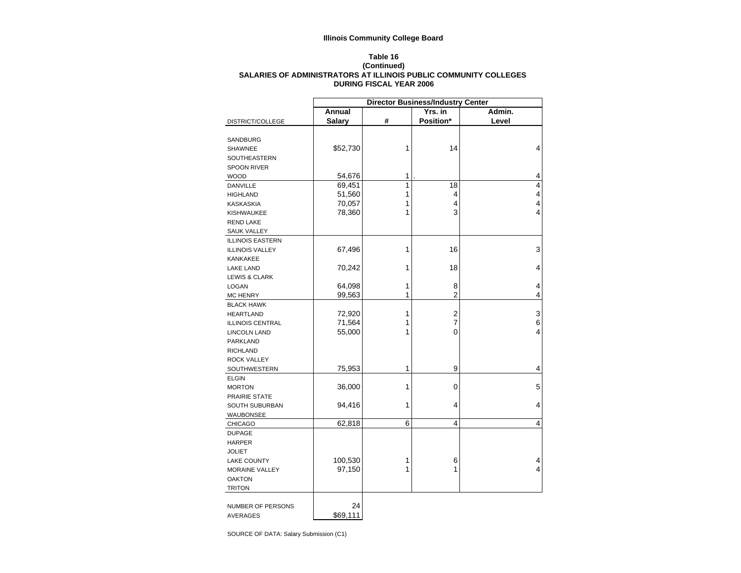#### **Table 16 (Continued) SALARIES OF ADMINISTRATORS AT ILLINOIS PUBLIC COMMUNITY COLLEGES DURING FISCAL YEAR 2006**

| Annual<br>Yrs. in<br>Admin.<br>#<br>Position*<br><b>Salary</b><br>Level<br>DISTRICT/COLLEGE<br>SANDBURG<br>1<br>14<br>4<br>\$52,730<br><b>SHAWNEE</b><br>SOUTHEASTERN<br><b>SPOON RIVER</b><br>54,676<br>4<br>1<br><b>WOOD</b><br>1<br>69,451<br>18<br>4<br><b>DANVILLE</b><br>4<br>51,560<br>1<br>4<br><b>HIGHLAND</b><br>70,057<br>4<br>1<br>4<br><b>KASKASKIA</b><br>3<br>4<br>78,360<br>1<br><b>KISHWAUKEE</b><br><b>REND LAKE</b><br><b>SAUK VALLEY</b><br><b>ILLINOIS EASTERN</b><br>67,496<br>1<br>16<br>3<br><b>ILLINOIS VALLEY</b><br>KANKAKEE<br>70,242<br>4<br>1<br>18<br>LAKE LAND<br><b>LEWIS &amp; CLARK</b><br>64,098<br>1<br>8<br>4<br><b>LOGAN</b><br>99,563<br>1<br>$\overline{2}$<br>4<br><b>MC HENRY</b><br><b>BLACK HAWK</b><br>72,920<br>1<br>2<br>3<br><b>HEARTLAND</b><br>7<br>6<br>71,564<br>1<br><b>ILLINOIS CENTRAL</b><br>55,000<br>1<br>0<br>4<br>LINCOLN LAND<br>PARKLAND<br><b>RICHLAND</b><br><b>ROCK VALLEY</b><br>75,953<br>9<br>1<br>4<br>SOUTHWESTERN<br><b>ELGIN</b><br>36,000<br>5<br>1<br>0<br><b>MORTON</b><br>PRAIRIE STATE<br>4<br>94,416<br>1<br>4<br><b>SOUTH SUBURBAN</b><br>WAUBONSEE<br>62,818<br>6<br>4<br>4<br><b>CHICAGO</b><br><b>DUPAGE</b><br><b>HARPER</b><br><b>JOLIET</b><br>100,530<br>1<br>4<br>6<br><b>LAKE COUNTY</b><br>1<br>1<br>4<br>97,150<br>MORAINE VALLEY<br><b>OAKTON</b><br><b>TRITON</b><br>24<br><b>NUMBER OF PERSONS</b><br>\$69,111<br><b>AVERAGES</b> |  | <b>Director Business/Industry Center</b> |  |
|---------------------------------------------------------------------------------------------------------------------------------------------------------------------------------------------------------------------------------------------------------------------------------------------------------------------------------------------------------------------------------------------------------------------------------------------------------------------------------------------------------------------------------------------------------------------------------------------------------------------------------------------------------------------------------------------------------------------------------------------------------------------------------------------------------------------------------------------------------------------------------------------------------------------------------------------------------------------------------------------------------------------------------------------------------------------------------------------------------------------------------------------------------------------------------------------------------------------------------------------------------------------------------------------------------------------------------------------------------------------------------------------------------------------------------|--|------------------------------------------|--|
|                                                                                                                                                                                                                                                                                                                                                                                                                                                                                                                                                                                                                                                                                                                                                                                                                                                                                                                                                                                                                                                                                                                                                                                                                                                                                                                                                                                                                                 |  |                                          |  |
|                                                                                                                                                                                                                                                                                                                                                                                                                                                                                                                                                                                                                                                                                                                                                                                                                                                                                                                                                                                                                                                                                                                                                                                                                                                                                                                                                                                                                                 |  |                                          |  |
|                                                                                                                                                                                                                                                                                                                                                                                                                                                                                                                                                                                                                                                                                                                                                                                                                                                                                                                                                                                                                                                                                                                                                                                                                                                                                                                                                                                                                                 |  |                                          |  |
|                                                                                                                                                                                                                                                                                                                                                                                                                                                                                                                                                                                                                                                                                                                                                                                                                                                                                                                                                                                                                                                                                                                                                                                                                                                                                                                                                                                                                                 |  |                                          |  |
|                                                                                                                                                                                                                                                                                                                                                                                                                                                                                                                                                                                                                                                                                                                                                                                                                                                                                                                                                                                                                                                                                                                                                                                                                                                                                                                                                                                                                                 |  |                                          |  |
|                                                                                                                                                                                                                                                                                                                                                                                                                                                                                                                                                                                                                                                                                                                                                                                                                                                                                                                                                                                                                                                                                                                                                                                                                                                                                                                                                                                                                                 |  |                                          |  |
|                                                                                                                                                                                                                                                                                                                                                                                                                                                                                                                                                                                                                                                                                                                                                                                                                                                                                                                                                                                                                                                                                                                                                                                                                                                                                                                                                                                                                                 |  |                                          |  |
|                                                                                                                                                                                                                                                                                                                                                                                                                                                                                                                                                                                                                                                                                                                                                                                                                                                                                                                                                                                                                                                                                                                                                                                                                                                                                                                                                                                                                                 |  |                                          |  |
|                                                                                                                                                                                                                                                                                                                                                                                                                                                                                                                                                                                                                                                                                                                                                                                                                                                                                                                                                                                                                                                                                                                                                                                                                                                                                                                                                                                                                                 |  |                                          |  |
|                                                                                                                                                                                                                                                                                                                                                                                                                                                                                                                                                                                                                                                                                                                                                                                                                                                                                                                                                                                                                                                                                                                                                                                                                                                                                                                                                                                                                                 |  |                                          |  |
|                                                                                                                                                                                                                                                                                                                                                                                                                                                                                                                                                                                                                                                                                                                                                                                                                                                                                                                                                                                                                                                                                                                                                                                                                                                                                                                                                                                                                                 |  |                                          |  |
|                                                                                                                                                                                                                                                                                                                                                                                                                                                                                                                                                                                                                                                                                                                                                                                                                                                                                                                                                                                                                                                                                                                                                                                                                                                                                                                                                                                                                                 |  |                                          |  |
|                                                                                                                                                                                                                                                                                                                                                                                                                                                                                                                                                                                                                                                                                                                                                                                                                                                                                                                                                                                                                                                                                                                                                                                                                                                                                                                                                                                                                                 |  |                                          |  |
|                                                                                                                                                                                                                                                                                                                                                                                                                                                                                                                                                                                                                                                                                                                                                                                                                                                                                                                                                                                                                                                                                                                                                                                                                                                                                                                                                                                                                                 |  |                                          |  |
|                                                                                                                                                                                                                                                                                                                                                                                                                                                                                                                                                                                                                                                                                                                                                                                                                                                                                                                                                                                                                                                                                                                                                                                                                                                                                                                                                                                                                                 |  |                                          |  |
|                                                                                                                                                                                                                                                                                                                                                                                                                                                                                                                                                                                                                                                                                                                                                                                                                                                                                                                                                                                                                                                                                                                                                                                                                                                                                                                                                                                                                                 |  |                                          |  |
|                                                                                                                                                                                                                                                                                                                                                                                                                                                                                                                                                                                                                                                                                                                                                                                                                                                                                                                                                                                                                                                                                                                                                                                                                                                                                                                                                                                                                                 |  |                                          |  |
|                                                                                                                                                                                                                                                                                                                                                                                                                                                                                                                                                                                                                                                                                                                                                                                                                                                                                                                                                                                                                                                                                                                                                                                                                                                                                                                                                                                                                                 |  |                                          |  |
|                                                                                                                                                                                                                                                                                                                                                                                                                                                                                                                                                                                                                                                                                                                                                                                                                                                                                                                                                                                                                                                                                                                                                                                                                                                                                                                                                                                                                                 |  |                                          |  |
|                                                                                                                                                                                                                                                                                                                                                                                                                                                                                                                                                                                                                                                                                                                                                                                                                                                                                                                                                                                                                                                                                                                                                                                                                                                                                                                                                                                                                                 |  |                                          |  |
|                                                                                                                                                                                                                                                                                                                                                                                                                                                                                                                                                                                                                                                                                                                                                                                                                                                                                                                                                                                                                                                                                                                                                                                                                                                                                                                                                                                                                                 |  |                                          |  |
|                                                                                                                                                                                                                                                                                                                                                                                                                                                                                                                                                                                                                                                                                                                                                                                                                                                                                                                                                                                                                                                                                                                                                                                                                                                                                                                                                                                                                                 |  |                                          |  |
|                                                                                                                                                                                                                                                                                                                                                                                                                                                                                                                                                                                                                                                                                                                                                                                                                                                                                                                                                                                                                                                                                                                                                                                                                                                                                                                                                                                                                                 |  |                                          |  |
|                                                                                                                                                                                                                                                                                                                                                                                                                                                                                                                                                                                                                                                                                                                                                                                                                                                                                                                                                                                                                                                                                                                                                                                                                                                                                                                                                                                                                                 |  |                                          |  |
|                                                                                                                                                                                                                                                                                                                                                                                                                                                                                                                                                                                                                                                                                                                                                                                                                                                                                                                                                                                                                                                                                                                                                                                                                                                                                                                                                                                                                                 |  |                                          |  |
|                                                                                                                                                                                                                                                                                                                                                                                                                                                                                                                                                                                                                                                                                                                                                                                                                                                                                                                                                                                                                                                                                                                                                                                                                                                                                                                                                                                                                                 |  |                                          |  |
|                                                                                                                                                                                                                                                                                                                                                                                                                                                                                                                                                                                                                                                                                                                                                                                                                                                                                                                                                                                                                                                                                                                                                                                                                                                                                                                                                                                                                                 |  |                                          |  |
|                                                                                                                                                                                                                                                                                                                                                                                                                                                                                                                                                                                                                                                                                                                                                                                                                                                                                                                                                                                                                                                                                                                                                                                                                                                                                                                                                                                                                                 |  |                                          |  |
|                                                                                                                                                                                                                                                                                                                                                                                                                                                                                                                                                                                                                                                                                                                                                                                                                                                                                                                                                                                                                                                                                                                                                                                                                                                                                                                                                                                                                                 |  |                                          |  |
|                                                                                                                                                                                                                                                                                                                                                                                                                                                                                                                                                                                                                                                                                                                                                                                                                                                                                                                                                                                                                                                                                                                                                                                                                                                                                                                                                                                                                                 |  |                                          |  |
|                                                                                                                                                                                                                                                                                                                                                                                                                                                                                                                                                                                                                                                                                                                                                                                                                                                                                                                                                                                                                                                                                                                                                                                                                                                                                                                                                                                                                                 |  |                                          |  |
|                                                                                                                                                                                                                                                                                                                                                                                                                                                                                                                                                                                                                                                                                                                                                                                                                                                                                                                                                                                                                                                                                                                                                                                                                                                                                                                                                                                                                                 |  |                                          |  |
|                                                                                                                                                                                                                                                                                                                                                                                                                                                                                                                                                                                                                                                                                                                                                                                                                                                                                                                                                                                                                                                                                                                                                                                                                                                                                                                                                                                                                                 |  |                                          |  |
|                                                                                                                                                                                                                                                                                                                                                                                                                                                                                                                                                                                                                                                                                                                                                                                                                                                                                                                                                                                                                                                                                                                                                                                                                                                                                                                                                                                                                                 |  |                                          |  |
|                                                                                                                                                                                                                                                                                                                                                                                                                                                                                                                                                                                                                                                                                                                                                                                                                                                                                                                                                                                                                                                                                                                                                                                                                                                                                                                                                                                                                                 |  |                                          |  |
|                                                                                                                                                                                                                                                                                                                                                                                                                                                                                                                                                                                                                                                                                                                                                                                                                                                                                                                                                                                                                                                                                                                                                                                                                                                                                                                                                                                                                                 |  |                                          |  |
|                                                                                                                                                                                                                                                                                                                                                                                                                                                                                                                                                                                                                                                                                                                                                                                                                                                                                                                                                                                                                                                                                                                                                                                                                                                                                                                                                                                                                                 |  |                                          |  |
|                                                                                                                                                                                                                                                                                                                                                                                                                                                                                                                                                                                                                                                                                                                                                                                                                                                                                                                                                                                                                                                                                                                                                                                                                                                                                                                                                                                                                                 |  |                                          |  |
|                                                                                                                                                                                                                                                                                                                                                                                                                                                                                                                                                                                                                                                                                                                                                                                                                                                                                                                                                                                                                                                                                                                                                                                                                                                                                                                                                                                                                                 |  |                                          |  |
|                                                                                                                                                                                                                                                                                                                                                                                                                                                                                                                                                                                                                                                                                                                                                                                                                                                                                                                                                                                                                                                                                                                                                                                                                                                                                                                                                                                                                                 |  |                                          |  |
|                                                                                                                                                                                                                                                                                                                                                                                                                                                                                                                                                                                                                                                                                                                                                                                                                                                                                                                                                                                                                                                                                                                                                                                                                                                                                                                                                                                                                                 |  |                                          |  |
|                                                                                                                                                                                                                                                                                                                                                                                                                                                                                                                                                                                                                                                                                                                                                                                                                                                                                                                                                                                                                                                                                                                                                                                                                                                                                                                                                                                                                                 |  |                                          |  |
|                                                                                                                                                                                                                                                                                                                                                                                                                                                                                                                                                                                                                                                                                                                                                                                                                                                                                                                                                                                                                                                                                                                                                                                                                                                                                                                                                                                                                                 |  |                                          |  |
|                                                                                                                                                                                                                                                                                                                                                                                                                                                                                                                                                                                                                                                                                                                                                                                                                                                                                                                                                                                                                                                                                                                                                                                                                                                                                                                                                                                                                                 |  |                                          |  |
|                                                                                                                                                                                                                                                                                                                                                                                                                                                                                                                                                                                                                                                                                                                                                                                                                                                                                                                                                                                                                                                                                                                                                                                                                                                                                                                                                                                                                                 |  |                                          |  |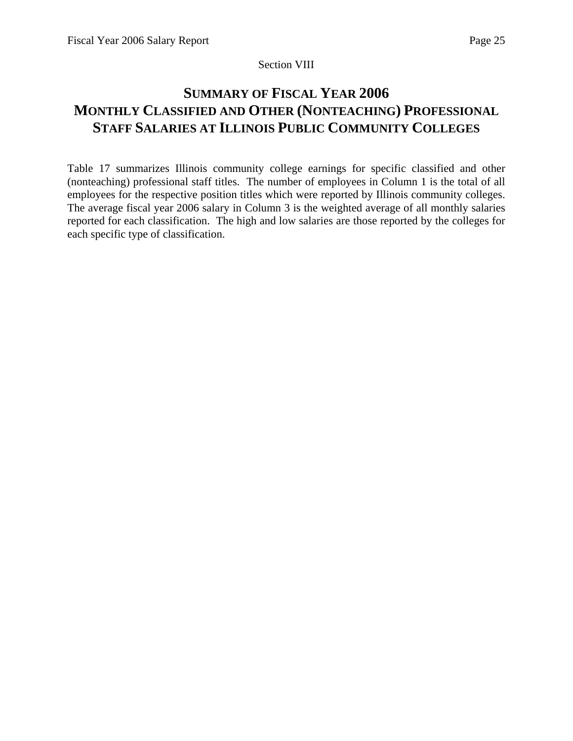## Section VIII

# **SUMMARY OF FISCAL YEAR 2006 MONTHLY CLASSIFIED AND OTHER (NONTEACHING) PROFESSIONAL STAFF SALARIES AT ILLINOIS PUBLIC COMMUNITY COLLEGES**

Table 17 summarizes Illinois community college earnings for specific classified and other (nonteaching) professional staff titles. The number of employees in Column 1 is the total of all employees for the respective position titles which were reported by Illinois community colleges. The average fiscal year 2006 salary in Column 3 is the weighted average of all monthly salaries reported for each classification. The high and low salaries are those reported by the colleges for each specific type of classification.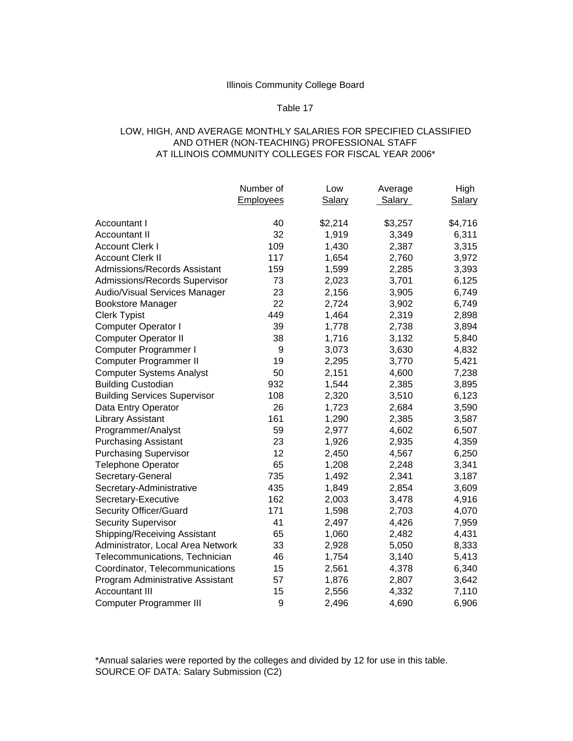## Table 17

#### LOW, HIGH, AND AVERAGE MONTHLY SALARIES FOR SPECIFIED CLASSIFIED AND OTHER (NON-TEACHING) PROFESSIONAL STAFF AT ILLINOIS COMMUNITY COLLEGES FOR FISCAL YEAR 2006\*

|                                     | Number of | Low           | Average | High          |
|-------------------------------------|-----------|---------------|---------|---------------|
|                                     | Employees | <b>Salary</b> | Salary  | <b>Salary</b> |
|                                     |           |               |         |               |
| Accountant I                        | 40        | \$2,214       | \$3,257 | \$4,716       |
| <b>Accountant II</b>                | 32        | 1,919         | 3,349   | 6,311         |
| <b>Account Clerk I</b>              | 109       | 1,430         | 2,387   | 3,315         |
| <b>Account Clerk II</b>             | 117       | 1,654         | 2,760   | 3,972         |
| Admissions/Records Assistant        | 159       | 1,599         | 2,285   | 3,393         |
| Admissions/Records Supervisor       | 73        | 2,023         | 3,701   | 6,125         |
| Audio/Visual Services Manager       | 23        | 2,156         | 3,905   | 6,749         |
| <b>Bookstore Manager</b>            | 22        | 2,724         | 3,902   | 6,749         |
| <b>Clerk Typist</b>                 | 449       | 1,464         | 2,319   | 2,898         |
| <b>Computer Operator I</b>          | 39        | 1,778         | 2,738   | 3,894         |
| <b>Computer Operator II</b>         | 38        | 1,716         | 3,132   | 5,840         |
| Computer Programmer I               | 9         | 3,073         | 3,630   | 4,832         |
| Computer Programmer II              | 19        | 2,295         | 3,770   | 5,421         |
| <b>Computer Systems Analyst</b>     | 50        | 2,151         | 4,600   | 7,238         |
| <b>Building Custodian</b>           | 932       | 1,544         | 2,385   | 3,895         |
| <b>Building Services Supervisor</b> | 108       | 2,320         | 3,510   | 6,123         |
| Data Entry Operator                 | 26        | 1,723         | 2,684   | 3,590         |
| Library Assistant                   | 161       | 1,290         | 2,385   | 3,587         |
| Programmer/Analyst                  | 59        | 2,977         | 4,602   | 6,507         |
| <b>Purchasing Assistant</b>         | 23        | 1,926         | 2,935   | 4,359         |
| <b>Purchasing Supervisor</b>        | 12        | 2,450         | 4,567   | 6,250         |
| <b>Telephone Operator</b>           | 65        | 1,208         | 2,248   | 3,341         |
| Secretary-General                   | 735       | 1,492         | 2,341   | 3,187         |
| Secretary-Administrative            | 435       | 1,849         | 2,854   | 3,609         |
| Secretary-Executive                 | 162       | 2,003         | 3,478   | 4,916         |
| Security Officer/Guard              | 171       | 1,598         | 2,703   | 4,070         |
| <b>Security Supervisor</b>          | 41        | 2,497         | 4,426   | 7,959         |
| Shipping/Receiving Assistant        | 65        | 1,060         | 2,482   | 4,431         |
| Administrator, Local Area Network   | 33        | 2,928         | 5,050   | 8,333         |
| Telecommunications, Technician      | 46        | 1,754         | 3,140   | 5,413         |
| Coordinator, Telecommunications     | 15        | 2,561         | 4,378   | 6,340         |
| Program Administrative Assistant    | 57        | 1,876         | 2,807   | 3,642         |
| <b>Accountant III</b>               | 15        | 2,556         | 4,332   | 7,110         |
| <b>Computer Programmer III</b>      | 9         | 2,496         | 4,690   | 6,906         |

\*Annual salaries were reported by the colleges and divided by 12 for use in this table. SOURCE OF DATA: Salary Submission (C2)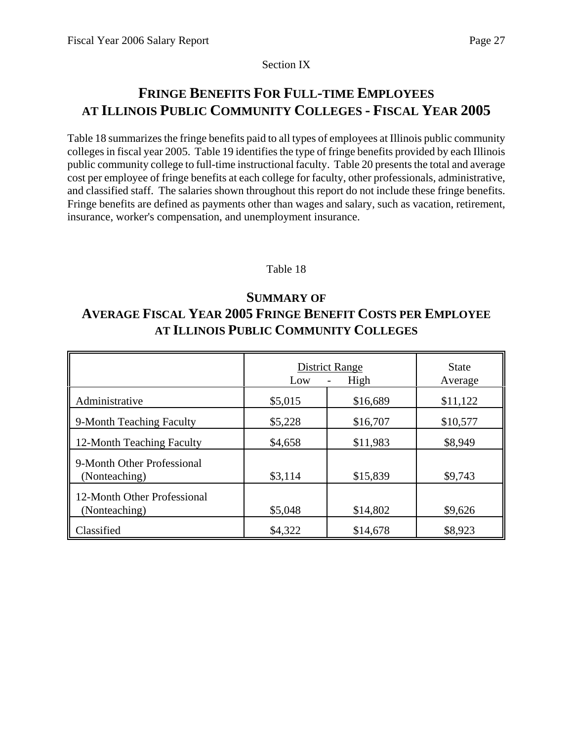Section IX

# **FRINGE BENEFITS FOR FULL-TIME EMPLOYEES AT ILLINOIS PUBLIC COMMUNITY COLLEGES - FISCAL YEAR 2005**

Table 18 summarizes the fringe benefits paid to all types of employees at Illinois public community colleges in fiscal year 2005. Table 19 identifies the type of fringe benefits provided by each Illinois public community college to full-time instructional faculty. Table 20 presents the total and average cost per employee of fringe benefits at each college for faculty, other professionals, administrative, and classified staff. The salaries shown throughout this report do not include these fringe benefits. Fringe benefits are defined as payments other than wages and salary, such as vacation, retirement, insurance, worker's compensation, and unemployment insurance.

# Table 18

# **SUMMARY OF AVERAGE FISCAL YEAR 2005 FRINGE BENEFIT COSTS PER EMPLOYEE AT ILLINOIS PUBLIC COMMUNITY COLLEGES**

|                                              | <b>District Range</b><br>Low | <b>State</b><br>Average |          |
|----------------------------------------------|------------------------------|-------------------------|----------|
| Administrative                               | \$5,015                      | \$16,689                | \$11,122 |
| 9-Month Teaching Faculty                     | \$5,228                      | \$16,707                | \$10,577 |
| 12-Month Teaching Faculty                    | \$4,658                      | \$11,983                | \$8,949  |
| 9-Month Other Professional<br>(Nonteaching)  | \$3,114                      | \$15,839                | \$9,743  |
| 12-Month Other Professional<br>(Nonteaching) | \$5,048                      | \$14,802                | \$9,626  |
| Classified                                   | \$4,322                      | \$14,678                | \$8,923  |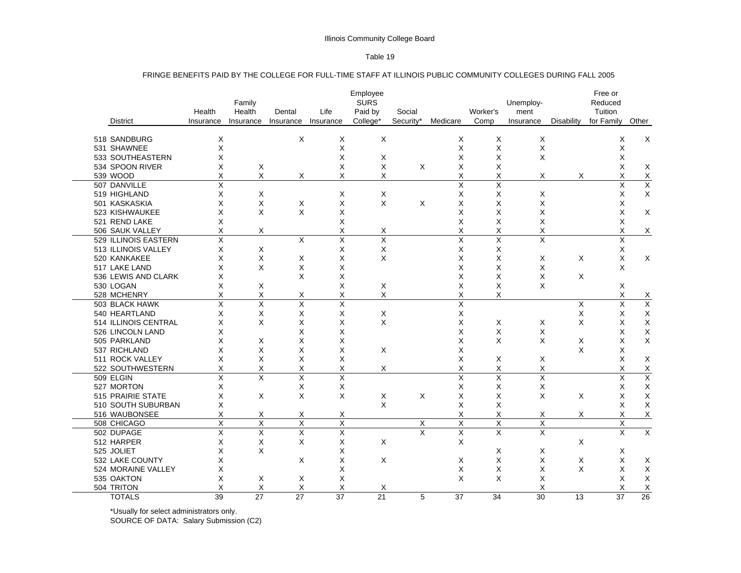#### Table 19

#### FRINGE BENEFITS PAID BY THE COLLEGE FOR FULL-TIME STAFF AT ILLINOIS PUBLIC COMMUNITY COLLEGES DURING FALL 2005

|            | <b>District</b>      | Health<br>Insurance | Family<br>Health<br>Insurance | Dental<br>Insurance     | Life<br>Insurance | Employee<br><b>SURS</b><br>Paid by<br>College* | Social<br>Security* | Medicare                | Worker's<br>Comp        | Unemploy-<br>ment<br>Insurance | Disability | Free or<br>Reduced<br>Tuition<br>for Family | Other                   |
|------------|----------------------|---------------------|-------------------------------|-------------------------|-------------------|------------------------------------------------|---------------------|-------------------------|-------------------------|--------------------------------|------------|---------------------------------------------|-------------------------|
|            |                      |                     |                               |                         |                   |                                                |                     |                         |                         |                                |            |                                             |                         |
|            | 518 SANDBURG         | X                   |                               | X                       | X                 | X                                              |                     | X                       | X                       | X                              |            | Х                                           | X                       |
|            | 531 SHAWNEE          | X                   |                               |                         | X                 |                                                |                     | X                       | X                       | X                              |            | X                                           |                         |
|            | 533 SOUTHEASTERN     | Χ                   |                               |                         | X                 | X                                              |                     | Χ                       | X                       | X                              |            | X                                           |                         |
|            | 534 SPOON RIVER      | X                   | Χ                             |                         | X                 | X                                              | Χ                   | Χ                       | X                       |                                |            | X                                           | х                       |
| 539 WOOD   |                      | X                   | X                             | Х                       | X                 | X                                              |                     | X                       | X                       | х                              | X          | X                                           | X                       |
|            | 507 DANVILLE         | X                   |                               |                         |                   |                                                |                     | $\overline{\mathsf{x}}$ | $\overline{\mathsf{x}}$ |                                |            | X                                           | $\overline{\mathsf{x}}$ |
|            | 519 HIGHLAND         | X                   | X                             |                         | Х                 | X                                              |                     | Χ                       | X                       | Х                              |            | X                                           | X                       |
|            | 501 KASKASKIA        | X                   | X                             | X                       | X                 | X                                              | X                   | X                       | X                       | X                              |            | X                                           |                         |
|            | 523 KISHWAUKEE       | X                   | X                             | X                       | X                 |                                                |                     | X                       | X                       | Χ                              |            | X                                           | X                       |
|            | 521 REND LAKE        | X                   |                               |                         | X                 |                                                |                     | X                       | X                       | X                              |            | X                                           |                         |
|            | 506 SAUK VALLEY      | Χ                   | X                             |                         | Χ                 | Χ                                              |                     | Χ                       | Χ                       | Χ                              |            | X                                           | X                       |
|            | 529 ILLINOIS EASTERN | X                   |                               | X                       | X                 | X                                              |                     | X                       | X                       | X                              |            | X                                           |                         |
|            | 513 ILLINOIS VALLEY  | X                   | X                             |                         | Χ                 | Χ                                              |                     | Χ                       | X                       |                                |            | $\mathsf X$                                 |                         |
|            | 520 KANKAKEE         | X                   | X                             | X                       | X                 | X                                              |                     | X                       | X                       | X                              | X          | X                                           | X                       |
|            | 517 LAKE LAND        | X                   | X                             | X                       | X                 |                                                |                     | Χ                       | X                       | X                              |            | X                                           |                         |
|            | 536 LEWIS AND CLARK  | Χ                   |                               | X                       | X                 |                                                |                     | X                       | X                       | X                              | X          |                                             |                         |
| 530 LOGAN  |                      | X                   | X                             |                         | X                 | X                                              |                     | X                       | X                       | X                              |            | X                                           |                         |
|            | 528 MCHENRY          | X                   | Χ                             | х                       | Χ                 | X                                              |                     | X                       | X                       |                                |            | X                                           | $\overline{X}$          |
|            | 503 BLACK HAWK       | X                   | $\times$                      | X                       | X                 |                                                |                     | Χ                       |                         |                                | X          | X                                           | $\overline{\mathsf{X}}$ |
|            | 540 HEARTLAND        | X                   | X                             | Χ                       | X                 | X                                              |                     | Χ                       |                         |                                | X          | X                                           | X                       |
|            | 514 ILLINOIS CENTRAL | X                   | X                             | X                       | X                 | X                                              |                     | X                       | X                       | X                              | X          | X                                           | X                       |
|            | 526 LINCOLN LAND     | Χ                   |                               | X                       | X                 |                                                |                     | X                       | X                       | X                              |            | X                                           | Χ                       |
|            | 505 PARKLAND         | X                   | X                             | X                       | X                 |                                                |                     | X                       | X                       | X                              | X          | X                                           | X                       |
|            | 537 RICHLAND         | X                   | X                             | X                       | X                 | X                                              |                     | X                       |                         |                                | X          | $\times$                                    |                         |
|            | 511 ROCK VALLEY      | X                   | X                             | X                       | X                 |                                                |                     | Χ                       | X                       | X                              |            | X                                           | X                       |
|            | 522 SOUTHWESTERN     | X                   | X                             | X                       | X                 | Χ                                              |                     | Χ                       | X                       | Χ                              |            | X                                           | X                       |
| 509 ELGIN  |                      | X                   | X                             | X                       | Χ                 |                                                |                     | $\overline{\mathsf{x}}$ | Χ                       | Χ                              |            | X                                           | $\overline{\mathsf{x}}$ |
|            | 527 MORTON           | X                   |                               | X                       | X                 |                                                |                     | Χ                       | Χ                       | X                              |            | X                                           | X                       |
|            | 515 PRAIRIE STATE    | X                   | X                             | X                       | X                 | X                                              | X                   | Χ                       | $\times$                | $\times$                       | X          | X                                           | X                       |
|            | 510 SOUTH SUBURBAN   | X                   |                               |                         |                   | X                                              |                     | X                       | X                       |                                |            | X                                           | Χ                       |
|            | 516 WAUBONSEE        | х                   | Х                             | Х                       | Х                 |                                                |                     | Χ                       | X                       | Х                              | Х          | Х                                           | X                       |
|            | 508 CHICAGO          | X                   | $\overline{\mathsf{x}}$       | $\overline{\mathsf{x}}$ | $\overline{X}$    |                                                | X                   | Χ                       | $\overline{X}$          | $\overline{\mathsf{x}}$        |            | X                                           |                         |
|            | 502 DUPAGE           | X                   | X                             | Χ                       | X                 |                                                | X                   | X                       | $\overline{\mathsf{x}}$ | X                              |            | X                                           | $\overline{\mathsf{x}}$ |
|            | 512 HARPER           | X                   | X                             | X                       | X                 | X                                              |                     | X                       |                         |                                | X          |                                             |                         |
| 525 JOLIET |                      | X                   | X                             |                         | X                 |                                                |                     |                         | X                       | X                              |            | Х                                           |                         |
|            | 532 LAKE COUNTY      | Χ                   |                               | X                       | X                 | X                                              |                     | X                       | X                       | X                              | X          | X                                           | Χ                       |
|            | 524 MORAINE VALLEY   | X                   |                               |                         | X                 |                                                |                     | X                       | X                       | X                              | X          | X                                           | Χ                       |
|            | 535 OAKTON           | X                   | X                             | Х                       | X                 |                                                |                     | X                       | X                       | X                              |            | X                                           | X                       |
| 504 TRITON |                      | Χ                   | X                             | X                       | X                 | Χ                                              |                     |                         |                         | Χ                              |            | X                                           | Χ                       |
|            | <b>TOTALS</b>        | 39                  | 27                            | 27                      | 37                | 21                                             | 5                   | 37                      | 34                      | 30                             | 13         | 37                                          | 26                      |

\*Usually for select administrators only.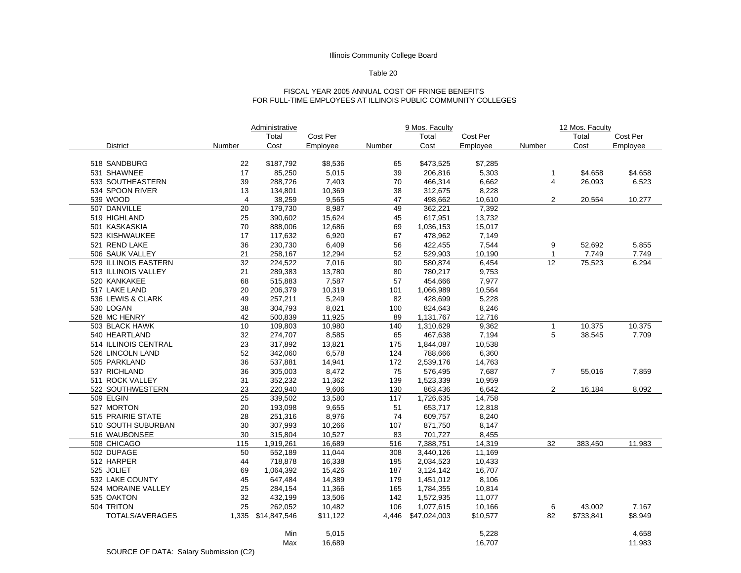#### Table 20

#### FISCAL YEAR 2005 ANNUAL COST OF FRINGE BENEFITSFOR FULL-TIME EMPLOYEES AT ILLINOIS PUBLIC COMMUNITY COLLEGES

|                          |                | Administrative |          | 9 Mos. Faculty |              |          | 12 Mos. Faculty |           |          |  |
|--------------------------|----------------|----------------|----------|----------------|--------------|----------|-----------------|-----------|----------|--|
|                          |                | Total          | Cost Per |                | Total        | Cost Per |                 | Total     | Cost Per |  |
| <b>District</b>          | Number         | Cost           | Employee | Number         | Cost         | Employee | Number          | Cost      | Employee |  |
|                          |                |                |          |                |              |          |                 |           |          |  |
| 518 SANDBURG             | 22             | \$187,792      | \$8,536  | 65             | \$473,525    | \$7,285  |                 |           |          |  |
| 531 SHAWNEE              | 17             | 85,250         | 5,015    | 39             | 206,816      | 5,303    | $\mathbf{1}$    | \$4,658   | \$4,658  |  |
| 533 SOUTHEASTERN         | 39             | 288,726        | 7,403    | 70             | 466,314      | 6,662    | 4               | 26,093    | 6,523    |  |
| 534 SPOON RIVER          | 13             | 134,801        | 10,369   | 38             | 312,675      | 8,228    |                 |           |          |  |
| 539 WOOD                 | $\overline{4}$ | 38,259         | 9,565    | 47             | 498,662      | 10,610   | $\overline{2}$  | 20,554    | 10,277   |  |
| 507 DANVILLE             | 20             | 179,730        | 8,987    | 49             | 362,221      | 7,392    |                 |           |          |  |
| 519 HIGHLAND             | 25             | 390,602        | 15,624   | 45             | 617,951      | 13,732   |                 |           |          |  |
| 501 KASKASKIA            | 70             | 888,006        | 12,686   | 69             | 1,036,153    | 15,017   |                 |           |          |  |
| 523 KISHWAUKEE           | 17             | 117,632        | 6,920    | 67             | 478,962      | 7,149    |                 |           |          |  |
| 521 REND LAKE            | 36             | 230,730        | 6,409    | 56             | 422,455      | 7,544    | 9               | 52,692    | 5,855    |  |
| 506 SAUK VALLEY          | 21             | 258,167        | 12,294   | 52             | 529,903      | 10,190   | 1               | 7,749     | 7,749    |  |
| 529 ILLINOIS EASTERN     | 32             | 224,522        | 7,016    | 90             | 580,874      | 6,454    | 12              | 75,523    | 6,294    |  |
| 513 ILLINOIS VALLEY      | 21             | 289,383        | 13,780   | 80             | 780,217      | 9,753    |                 |           |          |  |
| 520 KANKAKEE             | 68             | 515,883        | 7,587    | 57             | 454,666      | 7,977    |                 |           |          |  |
| 517 LAKE LAND            | 20             | 206,379        | 10,319   | 101            | 1,066,989    | 10,564   |                 |           |          |  |
| 536 LEWIS & CLARK        | 49             | 257,211        | 5,249    | 82             | 428,699      | 5,228    |                 |           |          |  |
| 530 LOGAN                | 38             | 304,793        | 8,021    | 100            | 824,643      | 8,246    |                 |           |          |  |
| 528 MC HENRY             | 42             | 500,839        | 11,925   | 89             | 1,131,767    | 12,716   |                 |           |          |  |
| 503 BLACK HAWK           | 10             | 109,803        | 10,980   | 140            | 1,310,629    | 9,362    | $\mathbf{1}$    | 10,375    | 10,375   |  |
| 540 HEARTLAND            | 32             | 274,707        | 8,585    | 65             | 467,638      | 7,194    | 5               | 38,545    | 7,709    |  |
| 514 ILLINOIS CENTRAL     | 23             | 317,892        | 13,821   | 175            | 1,844,087    | 10,538   |                 |           |          |  |
| 526 LINCOLN LAND         | 52             | 342,060        | 6,578    | 124            | 788,666      | 6,360    |                 |           |          |  |
| 505 PARKLAND             | 36             | 537,881        | 14,941   | 172            | 2,539,176    | 14,763   |                 |           |          |  |
| 537 RICHLAND             | 36             | 305,003        | 8,472    | 75             | 576,495      | 7,687    | $\overline{7}$  | 55,016    | 7,859    |  |
| 511 ROCK VALLEY          | 31             | 352,232        | 11,362   | 139            | 1,523,339    | 10,959   |                 |           |          |  |
| 522 SOUTHWESTERN         | 23             | 220,940        | 9,606    | 130            | 863,436      | 6,642    | $\overline{2}$  | 16,184    | 8,092    |  |
| 509 ELGIN                | 25             | 339,502        | 13,580   | 117            | 1,726,635    | 14,758   |                 |           |          |  |
| 527 MORTON               | 20             | 193,098        | 9,655    | 51             | 653,717      | 12,818   |                 |           |          |  |
| <b>515 PRAIRIE STATE</b> | 28             | 251,316        | 8,976    | 74             | 609,757      | 8,240    |                 |           |          |  |
| 510 SOUTH SUBURBAN       | 30             | 307,993        | 10,266   | 107            | 871,750      | 8,147    |                 |           |          |  |
| 516 WAUBONSEE            | 30             | 315,804        | 10,527   | 83             | 701,727      | 8,455    |                 |           |          |  |
| 508 CHICAGO              | 115            | 1,919,261      | 16,689   | 516            | 7,388,751    | 14,319   | 32              | 383,450   | 11,983   |  |
| 502 DUPAGE               | 50             | 552,189        | 11,044   | 308            | 3,440,126    | 11,169   |                 |           |          |  |
| 512 HARPER               | 44             | 718,878        | 16,338   | 195            | 2,034,523    | 10,433   |                 |           |          |  |
| 525 JOLIET               | 69             | 1,064,392      | 15,426   | 187            | 3,124,142    | 16,707   |                 |           |          |  |
| 532 LAKE COUNTY          | 45             | 647,484        | 14,389   | 179            | 1,451,012    | 8,106    |                 |           |          |  |
| 524 MORAINE VALLEY       | 25             | 284,154        | 11,366   | 165            | 1,784,355    | 10,814   |                 |           |          |  |
| 535 OAKTON               | 32             | 432,199        | 13,506   | 142            | 1,572,935    | 11,077   |                 |           |          |  |
| 504 TRITON               | 25             | 262,052        | 10,482   | 106            | 1,077,615    | 10,166   | 6               | 43,002    | 7,167    |  |
| TOTALS/AVERAGES          | 1,335          | \$14,847,546   | \$11,122 | 4,446          | \$47,024,003 | \$10,577 | 82              | \$733,841 | \$8,949  |  |
|                          |                |                |          |                |              |          |                 |           |          |  |
|                          |                | Min            | 5,015    |                |              | 5,228    |                 |           | 4,658    |  |
|                          |                | Max            | 16,689   |                |              | 16,707   |                 |           | 11,983   |  |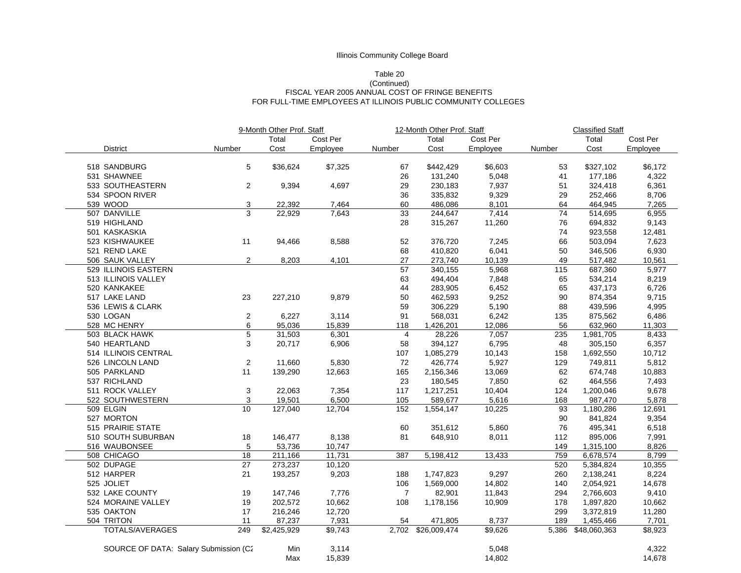## Table 20

#### (Continued) FISCAL YEAR 2005 ANNUAL COST OF FRINGE BENEFITS FOR FULL-TIME EMPLOYEES AT ILLINOIS PUBLIC COMMUNITY COLLEGES

|                                       |                  | 9-Month Other Prof. Staff |          | 12-Month Other Prof. Staff |              |          | <b>Classified Staff</b> |              |          |  |  |
|---------------------------------------|------------------|---------------------------|----------|----------------------------|--------------|----------|-------------------------|--------------|----------|--|--|
|                                       |                  | Total                     | Cost Per |                            | Total        | Cost Per |                         | Total        | Cost Per |  |  |
| <b>District</b>                       | Number           | Cost                      | Employee | Number                     | Cost         | Employee | Number                  | Cost         | Employee |  |  |
|                                       |                  |                           |          |                            |              |          |                         |              |          |  |  |
| 518 SANDBURG                          | 5                | \$36,624                  | \$7,325  | 67                         | \$442,429    | \$6,603  | 53                      | \$327,102    | \$6,172  |  |  |
| 531 SHAWNEE                           |                  |                           |          | 26                         | 131,240      | 5,048    | 41                      | 177,186      | 4,322    |  |  |
| 533 SOUTHEASTERN                      | $\overline{2}$   | 9,394                     | 4,697    | 29                         | 230,183      | 7,937    | 51                      | 324,418      | 6,361    |  |  |
| 534 SPOON RIVER                       |                  |                           |          | 36                         | 335,832      | 9,329    | 29                      | 252,466      | 8,706    |  |  |
| 539 WOOD                              | 3                | 22,392                    | 7,464    | 60                         | 486,086      | 8,101    | 64                      | 464,945      | 7,265    |  |  |
| 507 DANVILLE                          | 3                | 22,929                    | 7,643    | 33                         | 244,647      | 7,414    | 74                      | 514,695      | 6,955    |  |  |
| 519 HIGHLAND                          |                  |                           |          | 28                         | 315,267      | 11,260   | 76                      | 694,832      | 9,143    |  |  |
| 501 KASKASKIA                         |                  |                           |          |                            |              |          | 74                      | 923,558      | 12,481   |  |  |
| 523 KISHWAUKEE                        | 11               | 94,466                    | 8,588    | 52                         | 376,720      | 7,245    | 66                      | 503,094      | 7,623    |  |  |
| 521 REND LAKE                         |                  |                           |          | 68                         | 410,820      | 6,041    | 50                      | 346,506      | 6,930    |  |  |
| 506 SAUK VALLEY                       | 2                | 8,203                     | 4,101    | 27                         | 273,740      | 10,139   | 49                      | 517,482      | 10,561   |  |  |
| 529 ILLINOIS EASTERN                  |                  |                           |          | 57                         | 340,155      | 5,968    | 115                     | 687,360      | 5,977    |  |  |
| 513 ILLINOIS VALLEY                   |                  |                           |          | 63                         | 494,404      | 7,848    | 65                      | 534,214      | 8,219    |  |  |
| 520 KANKAKEE                          |                  |                           |          | 44                         | 283,905      | 6,452    | 65                      | 437,173      | 6,726    |  |  |
| 517 LAKE LAND                         | 23               | 227,210                   | 9,879    | 50                         | 462,593      | 9,252    | 90                      | 874,354      | 9,715    |  |  |
| 536 LEWIS & CLARK                     |                  |                           |          | 59                         | 306,229      | 5,190    | 88                      | 439,596      | 4,995    |  |  |
| 530 LOGAN                             | $\boldsymbol{2}$ | 6,227                     | 3,114    | 91                         | 568,031      | 6,242    | 135                     | 875,562      | 6,486    |  |  |
| 528 MC HENRY                          | 6                | 95,036                    | 15,839   | 118                        | 1,426,201    | 12,086   | 56                      | 632,960      | 11,303   |  |  |
| 503 BLACK HAWK                        | $\overline{5}$   | 31,503                    | 6,301    | $\overline{4}$             | 28,226       | 7,057    | 235                     | 1,981,705    | 8,433    |  |  |
| 540 HEARTLAND                         | 3                | 20,717                    | 6,906    | 58                         | 394,127      | 6,795    | 48                      | 305,150      | 6,357    |  |  |
| 514 ILLINOIS CENTRAL                  |                  |                           |          | 107                        | 1,085,279    | 10,143   | 158                     | 1,692,550    | 10,712   |  |  |
| 526 LINCOLN LAND                      | $\boldsymbol{2}$ | 11,660                    | 5,830    | 72                         | 426,774      | 5,927    | 129                     | 749,811      | 5,812    |  |  |
| 505 PARKLAND                          | 11               | 139,290                   | 12,663   | 165                        | 2,156,346    | 13,069   | 62                      | 674,748      | 10,883   |  |  |
| 537 RICHLAND                          |                  |                           |          | 23                         | 180,545      | 7,850    | 62                      | 464,556      | 7,493    |  |  |
| 511 ROCK VALLEY                       | 3                | 22,063                    | 7,354    | 117                        | 1,217,251    | 10,404   | 124                     | 1,200,046    | 9,678    |  |  |
| 522 SOUTHWESTERN                      | 3                | 19,501                    | 6,500    | 105                        | 589,677      | 5.616    | 168                     | 987,470      | 5,878    |  |  |
| 509 ELGIN                             | 10               | 127.040                   | 12,704   | 152                        | 1,554,147    | 10,225   | 93                      | 1,180,286    | 12,691   |  |  |
| 527 MORTON                            |                  |                           |          |                            |              |          | 90                      | 841,824      | 9,354    |  |  |
| 515 PRAIRIE STATE                     |                  |                           |          | 60                         | 351,612      | 5,860    | 76                      | 495,341      | 6,518    |  |  |
| 510 SOUTH SUBURBAN                    | 18               | 146,477                   | 8,138    | 81                         | 648,910      | 8,011    | 112                     | 895,006      | 7,991    |  |  |
| 516 WAUBONSEE                         | 5                | 53,736                    | 10,747   |                            |              |          | 149                     | 1,315,100    | 8,826    |  |  |
| 508 CHICAGO                           | $\overline{18}$  | 211,166                   | 11,731   | 387                        | 5,198,412    | 13,433   | 759                     | 6,678,574    | 8,799    |  |  |
| 502 DUPAGE                            | 27               | 273,237                   | 10,120   |                            |              |          | 520                     | 5,384,824    | 10,355   |  |  |
| 512 HARPER                            | 21               | 193,257                   | 9,203    | 188                        | 1,747,823    | 9,297    | 260                     | 2,138,241    | 8,224    |  |  |
| 525 JOLIET                            |                  |                           |          | 106                        | 1,569,000    | 14,802   | 140                     | 2,054,921    | 14,678   |  |  |
| 532 LAKE COUNTY                       | 19               | 147,746                   | 7,776    | $\overline{7}$             | 82,901       | 11,843   | 294                     | 2,766,603    | 9,410    |  |  |
| 524 MORAINE VALLEY                    | 19               | 202,572                   | 10,662   | 108                        | 1,178,156    | 10,909   | 178                     | 1,897,820    | 10,662   |  |  |
| 535 OAKTON                            | 17               | 216,246                   | 12,720   |                            |              |          | 299                     | 3,372,819    | 11,280   |  |  |
| 504 TRITON                            | 11               | 87,237                    | 7,931    | 54                         | 471,805      | 8,737    | 189                     | 1,455,466    | 7,701    |  |  |
| TOTALS/AVERAGES                       | 249              | \$2,425,929               | \$9,743  | 2,702                      | \$26,009,474 | \$9,626  | 5,386                   | \$48,060,363 | \$8,923  |  |  |
|                                       |                  |                           |          |                            |              |          |                         |              |          |  |  |
| SOURCE OF DATA: Salary Submission (C2 |                  | Min                       | 3,114    |                            |              | 5,048    |                         |              | 4,322    |  |  |
|                                       |                  | Max                       | 15,839   |                            |              | 14,802   |                         |              | 14,678   |  |  |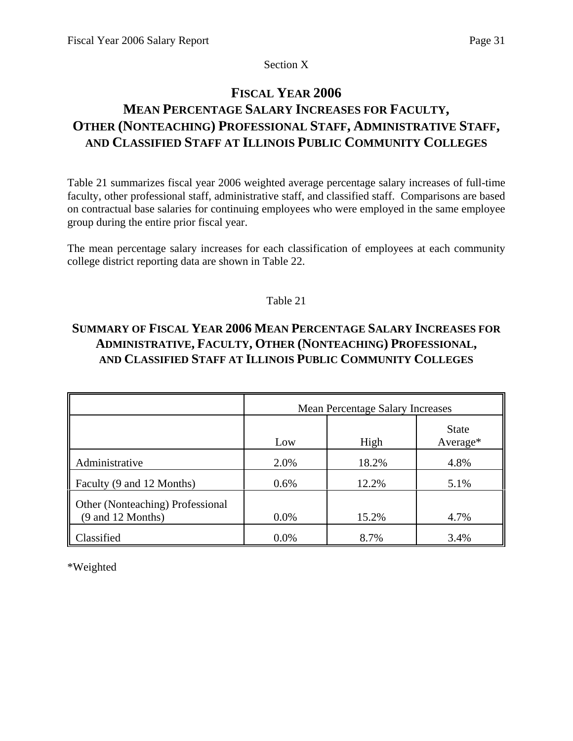Section X

# **FISCAL YEAR 2006**

# **MEAN PERCENTAGE SALARY INCREASES FOR FACULTY, OTHER (NONTEACHING) PROFESSIONAL STAFF, ADMINISTRATIVE STAFF, AND CLASSIFIED STAFF AT ILLINOIS PUBLIC COMMUNITY COLLEGES**

Table 21 summarizes fiscal year 2006 weighted average percentage salary increases of full-time faculty, other professional staff, administrative staff, and classified staff. Comparisons are based on contractual base salaries for continuing employees who were employed in the same employee group during the entire prior fiscal year.

The mean percentage salary increases for each classification of employees at each community college district reporting data are shown in Table 22.

# Table 21

# **SUMMARY OF FISCAL YEAR 2006 MEAN PERCENTAGE SALARY INCREASES FOR ADMINISTRATIVE, FACULTY, OTHER (NONTEACHING) PROFESSIONAL, AND CLASSIFIED STAFF AT ILLINOIS PUBLIC COMMUNITY COLLEGES**

|                                                       | <b>Mean Percentage Salary Increases</b> |       |                          |  |  |  |  |  |
|-------------------------------------------------------|-----------------------------------------|-------|--------------------------|--|--|--|--|--|
|                                                       | Low                                     | High  | <b>State</b><br>Average* |  |  |  |  |  |
| Administrative                                        | 2.0%                                    | 18.2% | 4.8%                     |  |  |  |  |  |
| Faculty (9 and 12 Months)                             | 0.6%                                    | 12.2% | 5.1%                     |  |  |  |  |  |
| Other (Nonteaching) Professional<br>(9 and 12 Months) | 0.0%                                    | 15.2% | 4.7%                     |  |  |  |  |  |
| Classified                                            | 0.0%                                    | 8.7%  | 3.4%                     |  |  |  |  |  |

\*Weighted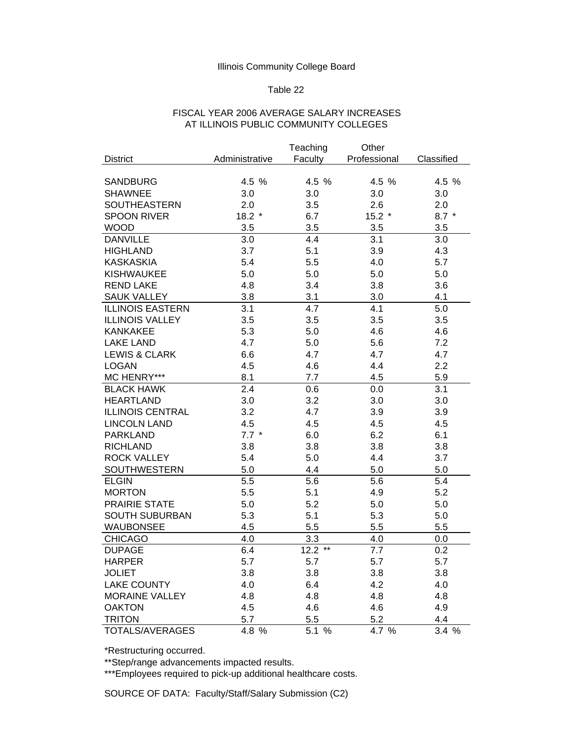#### Table 22

## FISCAL YEAR 2006 AVERAGE SALARY INCREASES AT ILLINOIS PUBLIC COMMUNITY COLLEGES

|                          |                | Teaching             | Other        |            |
|--------------------------|----------------|----------------------|--------------|------------|
| <b>District</b>          | Administrative | Faculty              | Professional | Classified |
|                          |                |                      |              |            |
| <b>SANDBURG</b>          | 4.5 %          | 4.5 %                | 4.5 %        | 4.5 %      |
| <b>SHAWNEE</b>           | 3.0            | 3.0                  | 3.0          | 3.0        |
| SOUTHEASTERN             | 2.0            | 3.5                  | 2.6          | 2.0        |
| <b>SPOON RIVER</b>       | $18.2*$        | 6.7                  | $15.2*$      | $8.7*$     |
| <b>WOOD</b>              | 3.5            | 3.5                  | 3.5          | 3.5        |
| <b>DANVILLE</b>          | 3.0            | 4.4                  | 3.1          | 3.0        |
| <b>HIGHLAND</b>          | 3.7            | 5.1                  | 3.9          | 4.3        |
| <b>KASKASKIA</b>         | 5.4            | 5.5                  | 4.0          | 5.7        |
| <b>KISHWAUKEE</b>        | 5.0            | 5.0                  | 5.0          | 5.0        |
| <b>REND LAKE</b>         | 4.8            | 3.4                  | 3.8          | 3.6        |
| <b>SAUK VALLEY</b>       | 3.8            | 3.1                  | 3.0          | 4.1        |
| <b>ILLINOIS EASTERN</b>  | 3.1            | 4.7                  | 4.1          | 5.0        |
| <b>ILLINOIS VALLEY</b>   | 3.5            | 3.5                  | 3.5          | 3.5        |
| <b>KANKAKEE</b>          | 5.3            | 5.0                  | 4.6          | 4.6        |
| <b>LAKE LAND</b>         | 4.7            | 5.0                  | 5.6          | 7.2        |
| <b>LEWIS &amp; CLARK</b> | 6.6            | 4.7                  | 4.7          | 4.7        |
| <b>LOGAN</b>             | 4.5            | 4.6                  | 4.4          | 2.2        |
| MC HENRY***              | 8.1            | 7.7                  | 4.5          | 5.9        |
| <b>BLACK HAWK</b>        | 2.4            | 0.6                  | 0.0          | 3.1        |
| <b>HEARTLAND</b>         | 3.0            | 3.2                  | 3.0          | 3.0        |
| <b>ILLINOIS CENTRAL</b>  | 3.2            | 4.7                  | 3.9          | 3.9        |
| <b>LINCOLN LAND</b>      | 4.5            | 4.5                  | 4.5          | 4.5        |
| <b>PARKLAND</b>          | $7.7*$         | 6.0                  | 6.2          | 6.1        |
| <b>RICHLAND</b>          | 3.8            | 3.8                  | 3.8          | 3.8        |
| <b>ROCK VALLEY</b>       | 5.4            | 5.0                  | 4.4          | 3.7        |
| SOUTHWESTERN             | 5.0            | 4.4                  | 5.0          | 5.0        |
| <b>ELGIN</b>             | 5.5            | 5.6                  | 5.6          | 5.4        |
| <b>MORTON</b>            | 5.5            | 5.1                  | 4.9          | 5.2        |
| <b>PRAIRIE STATE</b>     | 5.0            | 5.2                  | 5.0          | 5.0        |
| <b>SOUTH SUBURBAN</b>    | 5.3            | 5.1                  | 5.3          | 5.0        |
| <b>WAUBONSEE</b>         | 4.5            | 5.5                  | 5.5          | 5.5        |
| <b>CHICAGO</b>           | 4.0            | 3.3                  | 4.0          | 0.0        |
| <b>DUPAGE</b>            | 6.4            | $12.2$ <sup>**</sup> | 7.7          | 0.2        |
| <b>HARPER</b>            | 5.7            | 5.7                  | 5.7          | 5.7        |
| <b>JOLIET</b>            | 3.8            | 3.8                  | 3.8          | 3.8        |
| <b>LAKE COUNTY</b>       | 4.0            | 6.4                  | 4.2          | 4.0        |
| <b>MORAINE VALLEY</b>    | 4.8            | 4.8                  | 4.8          | 4.8        |
| <b>OAKTON</b>            | 4.5            | 4.6                  | 4.6          | 4.9        |
| <b>TRITON</b>            | 5.7            | 5.5                  | 5.2          | 4.4        |
| TOTALS/AVERAGES          | 4.8 %          | 5.1 %                | 4.7 %        | 3.4 %      |

\*Restructuring occurred.

\*\*Step/range advancements impacted results.

\*\*\*Employees required to pick-up additional healthcare costs.

SOURCE OF DATA: Faculty/Staff/Salary Submission (C2)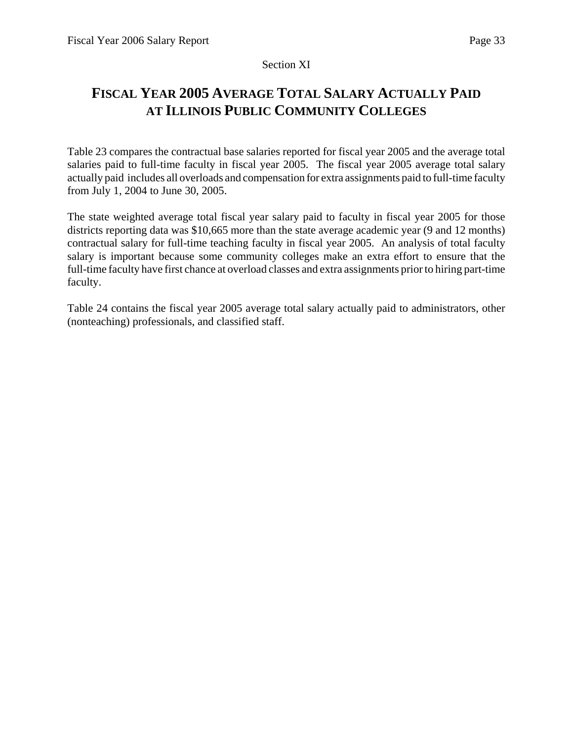## Section XI

# **FISCAL YEAR 2005 AVERAGE TOTAL SALARY ACTUALLY PAID AT ILLINOIS PUBLIC COMMUNITY COLLEGES**

Table 23 compares the contractual base salaries reported for fiscal year 2005 and the average total salaries paid to full-time faculty in fiscal year 2005. The fiscal year 2005 average total salary actually paid includes all overloads and compensation for extra assignments paid to full-time faculty from July 1, 2004 to June 30, 2005.

The state weighted average total fiscal year salary paid to faculty in fiscal year 2005 for those districts reporting data was \$10,665 more than the state average academic year (9 and 12 months) contractual salary for full-time teaching faculty in fiscal year 2005. An analysis of total faculty salary is important because some community colleges make an extra effort to ensure that the full-time faculty have first chance at overload classes and extra assignments prior to hiring part-time faculty.

Table 24 contains the fiscal year 2005 average total salary actually paid to administrators, other (nonteaching) professionals, and classified staff.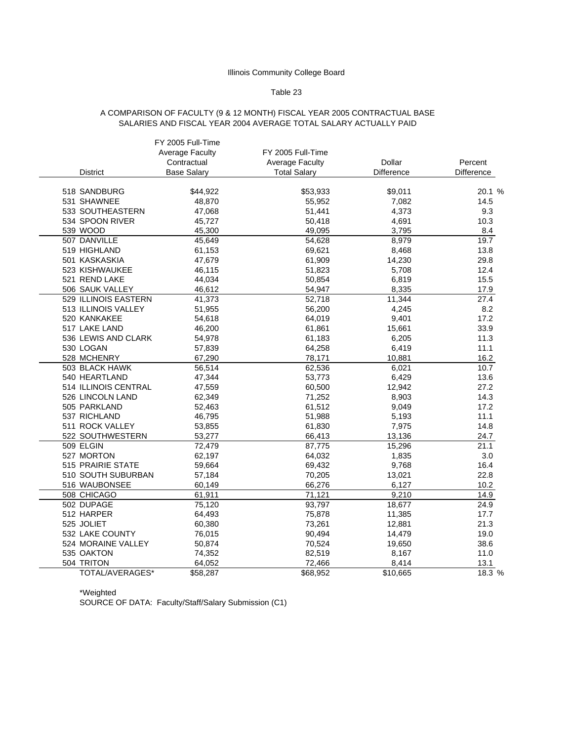#### Table 23

#### A COMPARISON OF FACULTY (9 & 12 MONTH) FISCAL YEAR 2005 CONTRACTUAL BASE SALARIES AND FISCAL YEAR 2004 AVERAGE TOTAL SALARY ACTUALLY PAID

|                      | FY 2005 Full-Time    |                     |                      |            |
|----------------------|----------------------|---------------------|----------------------|------------|
|                      | Average Faculty      | FY 2005 Full-Time   |                      |            |
|                      | Contractual          | Average Faculty     | <b>Dollar</b>        | Percent    |
| District             | <b>Base Salary</b>   | <b>Total Salary</b> | Difference           | Difference |
|                      |                      |                     |                      |            |
| 518 SANDBURG         | \$44,922             | \$53,933            | \$9,011              | 20.1 %     |
| 531 SHAWNEE          | 48,870               | 55,952              | 7,082                | 14.5       |
| 533 SOUTHEASTERN     | 47,068               | 51,441              | 4,373                | 9.3        |
| 534 SPOON RIVER      | 45,727               | 50,418              | 4,691                | 10.3       |
| 539 WOOD             | 45,300               | 49,095              | 3,795                | 8.4        |
| 507 DANVILLE         | 45,649               | 54,628              | 8,979                | 19.7       |
| 519 HIGHLAND         | 61,153               | 69,621              | 8,468                | 13.8       |
| 501 KASKASKIA        | 47,679               | 61,909              | 14,230               | 29.8       |
| 523 KISHWAUKEE       | 46,115               | 51,823              | 5,708                | 12.4       |
| 521 REND LAKE        | 44,034               | 50,854              | 6,819                | 15.5       |
| 506 SAUK VALLEY      | 46,612               | 54,947              | 8,335                | 17.9       |
| 529 ILLINOIS EASTERN | 41,373               | 52,718              | 11,344               | 27.4       |
| 513 ILLINOIS VALLEY  | 51,955               | 56,200              | 4.245                | 8.2        |
| 520 KANKAKEE         | 54,618               | 64,019              | 9,401                | 17.2       |
| 517 LAKE LAND        | 46,200               | 61,861              | 15,661               | 33.9       |
| 536 LEWIS AND CLARK  | 54,978               | 61,183              | 6,205                | 11.3       |
| 530 LOGAN            | 57,839               | 64,258              | 6,419                | 11.1       |
| 528 MCHENRY          | 67,290               | 78,171              | 10,881               | 16.2       |
| 503 BLACK HAWK       | 56,514               | 62,536              | 6,021                | 10.7       |
| 540 HEARTLAND        | 47,344               | 53,773              | 6,429                | 13.6       |
| 514 ILLINOIS CENTRAL | 47,559               | 60,500              | 12,942               | 27.2       |
| 526 LINCOLN LAND     | 62,349               | 71,252              | 8,903                | 14.3       |
| 505 PARKLAND         | 52,463               | 61,512              | 9,049                | 17.2       |
| 537 RICHLAND         | 46,795               | 51,988              | 5,193                | 11.1       |
| 511 ROCK VALLEY      | 53,855               | 61,830              | 7,975                | 14.8       |
| 522 SOUTHWESTERN     | 53,277               | 66,413              | 13,136               | 24.7       |
| 509 ELGIN            | 72,479               | 87,775              | 15,296               | 21.1       |
| 527 MORTON           | 62,197               | 64,032              | 1,835                | 3.0        |
| 515 PRAIRIE STATE    | 59,664               | 69,432              | 9,768                | 16.4       |
| 510 SOUTH SUBURBAN   | 57,184               | 70,205              | 13,021               | 22.8       |
| 516 WAUBONSEE        | 60,149               | 66,276              | 6,127                | 10.2       |
| 508 CHICAGO          | 61,911               | 71,121              | 9,210                | 14.9       |
| 502 DUPAGE           | 75,120               | 93,797              | 18,677               | 24.9       |
| 512 HARPER           | 64,493               | 75,878              | 11,385               | 17.7       |
| 525 JOLIET           | 60,380               | 73,261              | 12,881               | 21.3       |
| 532 LAKE COUNTY      | 76,015               | 90,494              | 14,479               | 19.0       |
| 524 MORAINE VALLEY   | 50,874               | 70,524              | 19,650               | 38.6       |
| 535 OAKTON           | 74,352               | 82,519              | 8,167                | 11.0       |
| 504 TRITON           | 64,052               | 72,466              | 8,414                | 13.1       |
| TOTAL/AVERAGES*      | $\overline{$}58,287$ | $\frac{1}{668,952}$ | $\overline{$}10,665$ | 18.3 %     |

\*Weighted

SOURCE OF DATA: Faculty/Staff/Salary Submission (C1)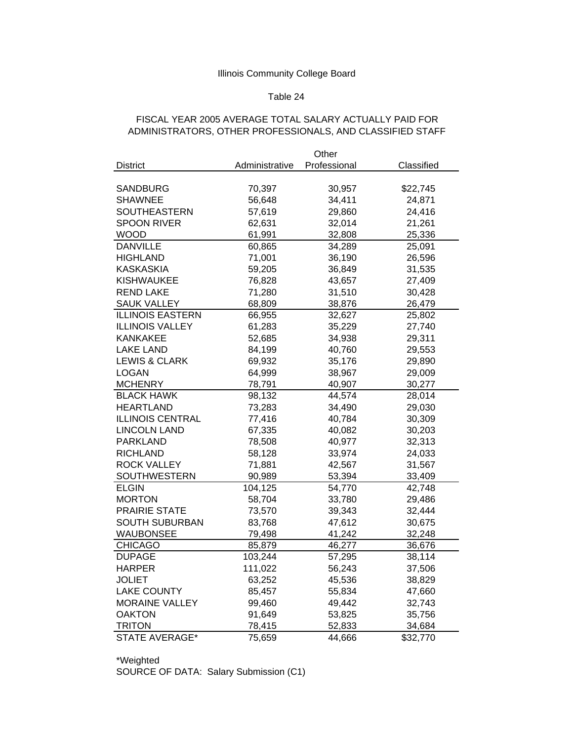## Table 24

## FISCAL YEAR 2005 AVERAGE TOTAL SALARY ACTUALLY PAID FOR ADMINISTRATORS, OTHER PROFESSIONALS, AND CLASSIFIED STAFF

|                          | Other            |              |            |  |  |
|--------------------------|------------------|--------------|------------|--|--|
| <b>District</b>          | Administrative   | Professional | Classified |  |  |
|                          |                  |              |            |  |  |
| <b>SANDBURG</b>          | 70,397           | 30,957       | \$22,745   |  |  |
| <b>SHAWNEE</b>           | 56,648           | 34,411       | 24,871     |  |  |
| <b>SOUTHEASTERN</b>      | 57,619           | 29,860       | 24,416     |  |  |
| <b>SPOON RIVER</b>       | 62,631           | 32,014       | 21,261     |  |  |
| <b>WOOD</b>              | 61,991           | 32,808       | 25,336     |  |  |
| <b>DANVILLE</b>          | 60,865           | 34,289       | 25,091     |  |  |
| <b>HIGHLAND</b>          | 71,001           | 36,190       | 26,596     |  |  |
| <b>KASKASKIA</b>         | 59,205           | 36,849       | 31,535     |  |  |
| <b>KISHWAUKEE</b>        | 76,828           | 43,657       | 27,409     |  |  |
| <b>REND LAKE</b>         | 71,280<br>31,510 |              | 30,428     |  |  |
| <b>SAUK VALLEY</b>       | 68,809           | 38,876       | 26,479     |  |  |
| <b>ILLINOIS EASTERN</b>  | 66,955           | 32,627       | 25,802     |  |  |
| <b>ILLINOIS VALLEY</b>   | 61,283           | 35,229       | 27,740     |  |  |
| <b>KANKAKEE</b>          | 52,685           | 34,938       | 29,311     |  |  |
| <b>LAKE LAND</b>         | 84,199           | 40,760       | 29,553     |  |  |
| <b>LEWIS &amp; CLARK</b> | 69,932           | 35,176       | 29,890     |  |  |
| <b>LOGAN</b>             | 64,999           | 38,967       | 29,009     |  |  |
| <b>MCHENRY</b>           | 78,791           | 40,907       | 30,277     |  |  |
| <b>BLACK HAWK</b>        | 98,132           | 44,574       | 28,014     |  |  |
| <b>HEARTLAND</b>         | 73,283           | 34,490       | 29,030     |  |  |
| <b>ILLINOIS CENTRAL</b>  | 77,416           | 40,784       | 30,309     |  |  |
| <b>LINCOLN LAND</b>      | 67,335           | 40,082       | 30,203     |  |  |
| <b>PARKLAND</b>          | 78,508           | 40,977       | 32,313     |  |  |
| <b>RICHLAND</b>          | 58,128           | 33,974       | 24,033     |  |  |
| <b>ROCK VALLEY</b>       | 71,881           | 42,567       | 31,567     |  |  |
| <b>SOUTHWESTERN</b>      | 90,989           | 53,394       | 33,409     |  |  |
| <b>ELGIN</b>             | 104,125          | 54,770       | 42,748     |  |  |
| <b>MORTON</b>            | 58,704           | 33,780       | 29,486     |  |  |
| <b>PRAIRIE STATE</b>     | 73,570           | 39,343       | 32,444     |  |  |
| <b>SOUTH SUBURBAN</b>    | 83,768           | 47,612       | 30,675     |  |  |
| <b>WAUBONSEE</b>         | 79,498           | 41,242       | 32,248     |  |  |
| <b>CHICAGO</b>           | 85,879           | 46,277       | 36,676     |  |  |
| <b>DUPAGE</b>            | 103,244          | 57,295       | 38,114     |  |  |
| <b>HARPER</b>            | 111,022          | 56,243       | 37,506     |  |  |
| <b>JOLIET</b>            | 63,252           | 45,536       | 38,829     |  |  |
| <b>LAKE COUNTY</b>       | 85,457           | 55,834       | 47,660     |  |  |
| <b>MORAINE VALLEY</b>    | 99,460           | 49,442       | 32,743     |  |  |
| <b>OAKTON</b>            | 91,649           | 53,825       | 35,756     |  |  |
| <b>TRITON</b>            | 78,415           | 52,833       | 34,684     |  |  |
| <b>STATE AVERAGE*</b>    | 75,659           | 44,666       | \$32,770   |  |  |

\*Weighted SOURCE OF DATA: Salary Submission (C1)